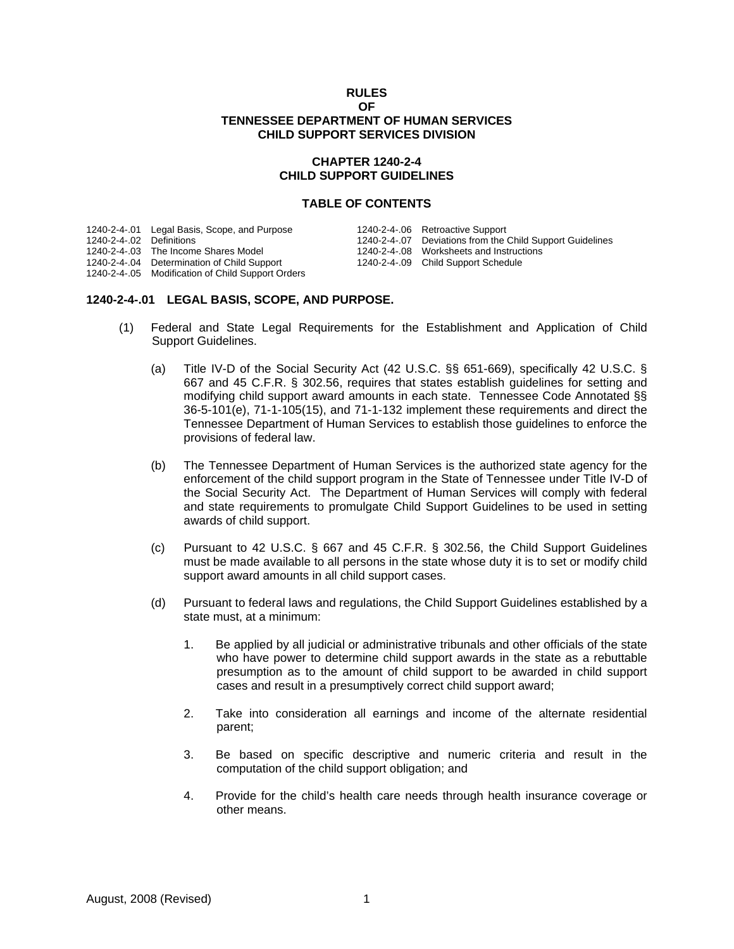#### **RULES OF TENNESSEE DEPARTMENT OF HUMAN SERVICES CHILD SUPPORT SERVICES DIVISION**

### **CHAPTER 1240-2-4 CHILD SUPPORT GUIDELINES**

#### **TABLE OF CONTENTS**

|                          | 1240-2-4-.01 Legal Basis, Scope, and Purpose      | 1240-2-4-.06 Retroactive Support                         |
|--------------------------|---------------------------------------------------|----------------------------------------------------------|
| 1240-2-4-.02 Definitions |                                                   | 1240-2-4-07 Deviations from the Child Support Guidelines |
|                          | 1240-2-4-.03 The Income Shares Model              | 1240-2-4-08 Worksheets and Instructions                  |
|                          | 1240-2-4-.04 Determination of Child Support       | 1240-2-4-.09 Child Support Schedule                      |
|                          | 1240-2-4-.05 Modification of Child Support Orders |                                                          |

### **1240-2-4-.01 LEGAL BASIS, SCOPE, AND PURPOSE.**

- (1) Federal and State Legal Requirements for the Establishment and Application of Child Support Guidelines.
	- (a) Title IV-D of the Social Security Act (42 U.S.C. §§ 651-669), specifically 42 U.S.C. § 667 and 45 C.F.R. § 302.56, requires that states establish guidelines for setting and modifying child support award amounts in each state. Tennessee Code Annotated §§ 36-5-101(e), 71-1-105(15), and 71-1-132 implement these requirements and direct the Tennessee Department of Human Services to establish those guidelines to enforce the provisions of federal law.
	- (b) The Tennessee Department of Human Services is the authorized state agency for the enforcement of the child support program in the State of Tennessee under Title IV-D of the Social Security Act. The Department of Human Services will comply with federal and state requirements to promulgate Child Support Guidelines to be used in setting awards of child support.
	- (c) Pursuant to 42 U.S.C. § 667 and 45 C.F.R. § 302.56, the Child Support Guidelines must be made available to all persons in the state whose duty it is to set or modify child support award amounts in all child support cases.
	- (d) Pursuant to federal laws and regulations, the Child Support Guidelines established by a state must, at a minimum:
		- 1. Be applied by all judicial or administrative tribunals and other officials of the state who have power to determine child support awards in the state as a rebuttable presumption as to the amount of child support to be awarded in child support cases and result in a presumptively correct child support award;
		- 2. Take into consideration all earnings and income of the alternate residential parent;
		- 3. Be based on specific descriptive and numeric criteria and result in the computation of the child support obligation; and
		- 4. Provide for the child's health care needs through health insurance coverage or other means.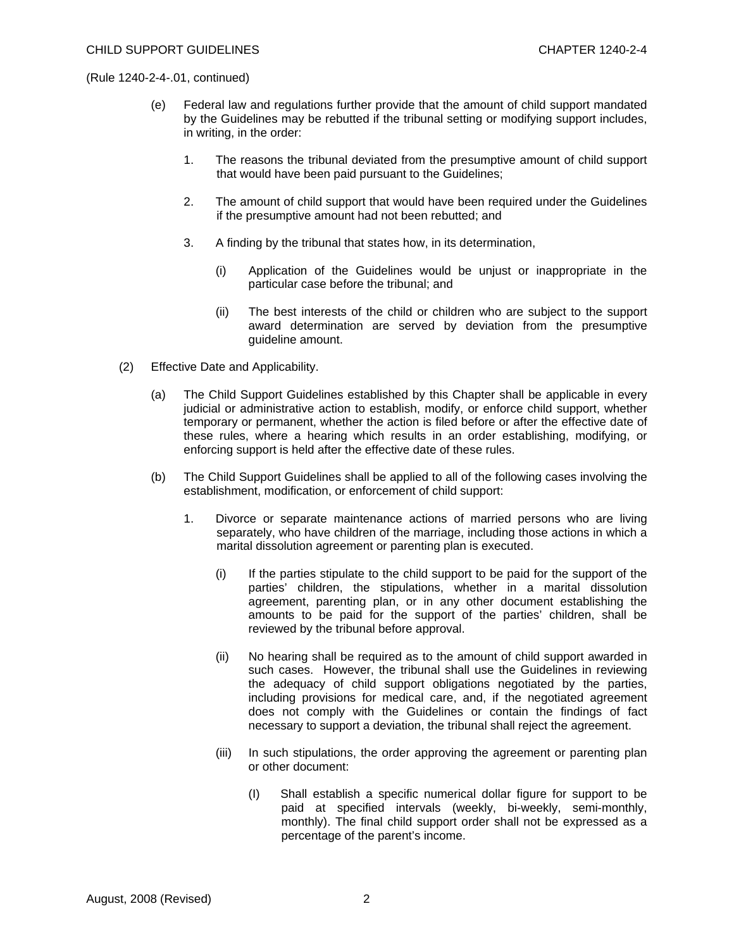- (e) Federal law and regulations further provide that the amount of child support mandated by the Guidelines may be rebutted if the tribunal setting or modifying support includes, in writing, in the order:
	- 1. The reasons the tribunal deviated from the presumptive amount of child support that would have been paid pursuant to the Guidelines;
	- 2. The amount of child support that would have been required under the Guidelines if the presumptive amount had not been rebutted; and
	- 3. A finding by the tribunal that states how, in its determination,
		- (i) Application of the Guidelines would be unjust or inappropriate in the particular case before the tribunal; and
		- (ii) The best interests of the child or children who are subject to the support award determination are served by deviation from the presumptive guideline amount.
- (2) Effective Date and Applicability.
	- (a) The Child Support Guidelines established by this Chapter shall be applicable in every judicial or administrative action to establish, modify, or enforce child support, whether temporary or permanent, whether the action is filed before or after the effective date of these rules, where a hearing which results in an order establishing, modifying, or enforcing support is held after the effective date of these rules.
	- (b) The Child Support Guidelines shall be applied to all of the following cases involving the establishment, modification, or enforcement of child support:
		- 1. Divorce or separate maintenance actions of married persons who are living separately, who have children of the marriage, including those actions in which a marital dissolution agreement or parenting plan is executed.
			- (i) If the parties stipulate to the child support to be paid for the support of the parties' children, the stipulations, whether in a marital dissolution agreement, parenting plan, or in any other document establishing the amounts to be paid for the support of the parties' children, shall be reviewed by the tribunal before approval.
			- (ii) No hearing shall be required as to the amount of child support awarded in such cases. However, the tribunal shall use the Guidelines in reviewing the adequacy of child support obligations negotiated by the parties, including provisions for medical care, and, if the negotiated agreement does not comply with the Guidelines or contain the findings of fact necessary to support a deviation, the tribunal shall reject the agreement.
			- (iii) In such stipulations, the order approving the agreement or parenting plan or other document:
				- (I) Shall establish a specific numerical dollar figure for support to be paid at specified intervals (weekly, bi-weekly, semi-monthly, monthly). The final child support order shall not be expressed as a percentage of the parent's income.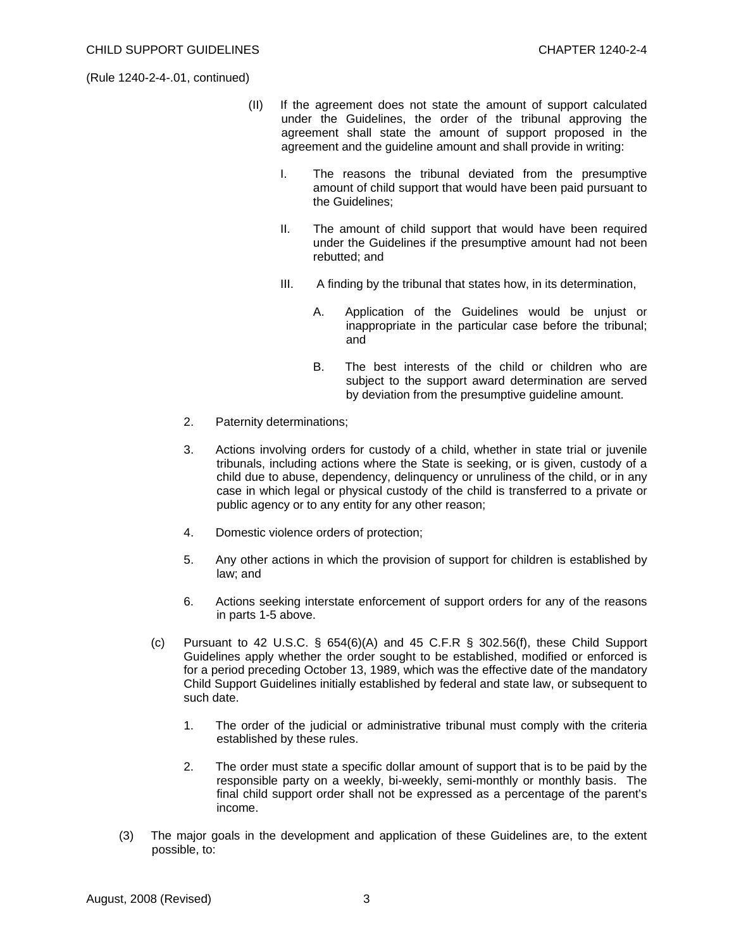- (II) If the agreement does not state the amount of support calculated under the Guidelines, the order of the tribunal approving the agreement shall state the amount of support proposed in the agreement and the guideline amount and shall provide in writing:
	- I. The reasons the tribunal deviated from the presumptive amount of child support that would have been paid pursuant to the Guidelines;
	- II. The amount of child support that would have been required under the Guidelines if the presumptive amount had not been rebutted; and
	- III. A finding by the tribunal that states how, in its determination,
		- A. Application of the Guidelines would be unjust or inappropriate in the particular case before the tribunal; and
		- B. The best interests of the child or children who are subject to the support award determination are served by deviation from the presumptive guideline amount.
- 2. Paternity determinations;
- 3. Actions involving orders for custody of a child, whether in state trial or juvenile tribunals, including actions where the State is seeking, or is given, custody of a child due to abuse, dependency, delinquency or unruliness of the child, or in any case in which legal or physical custody of the child is transferred to a private or public agency or to any entity for any other reason;
- 4. Domestic violence orders of protection;
- 5. Any other actions in which the provision of support for children is established by law; and
- 6. Actions seeking interstate enforcement of support orders for any of the reasons in parts 1-5 above.
- (c) Pursuant to 42 U.S.C.  $\S$  654(6)(A) and 45 C.F.R  $\S$  302.56(f), these Child Support Guidelines apply whether the order sought to be established, modified or enforced is for a period preceding October 13, 1989, which was the effective date of the mandatory Child Support Guidelines initially established by federal and state law, or subsequent to such date.
	- 1. The order of the judicial or administrative tribunal must comply with the criteria established by these rules.
	- 2. The order must state a specific dollar amount of support that is to be paid by the responsible party on a weekly, bi-weekly, semi-monthly or monthly basis. The final child support order shall not be expressed as a percentage of the parent's income.
- (3) The major goals in the development and application of these Guidelines are, to the extent possible, to: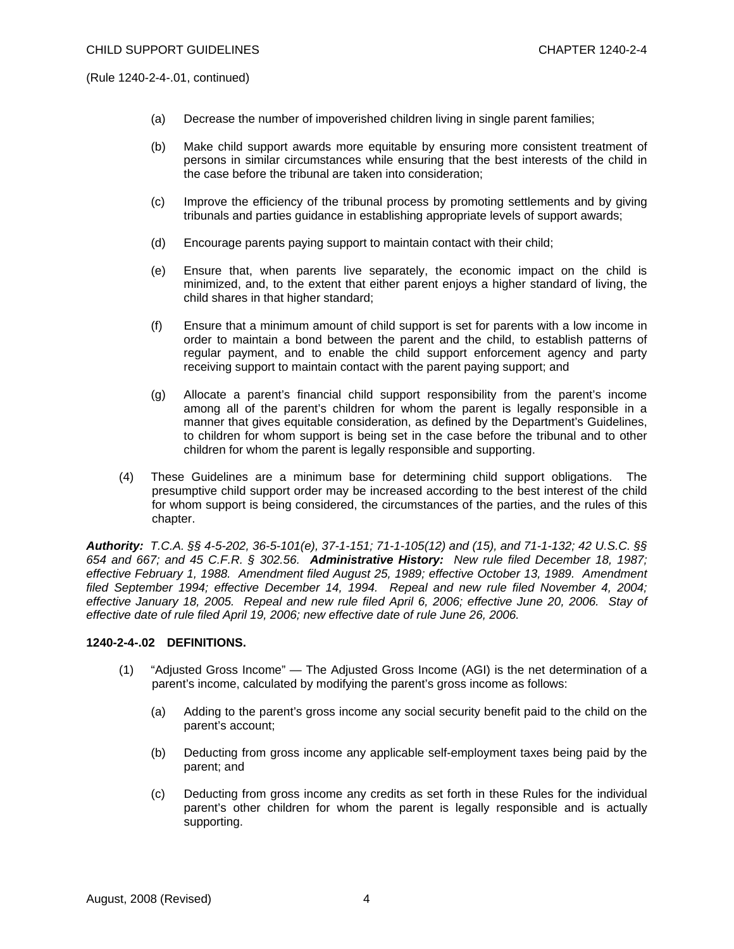- (a) Decrease the number of impoverished children living in single parent families;
- (b) Make child support awards more equitable by ensuring more consistent treatment of persons in similar circumstances while ensuring that the best interests of the child in the case before the tribunal are taken into consideration;
- (c) Improve the efficiency of the tribunal process by promoting settlements and by giving tribunals and parties guidance in establishing appropriate levels of support awards;
- (d) Encourage parents paying support to maintain contact with their child;
- (e) Ensure that, when parents live separately, the economic impact on the child is minimized, and, to the extent that either parent enjoys a higher standard of living, the child shares in that higher standard;
- (f) Ensure that a minimum amount of child support is set for parents with a low income in order to maintain a bond between the parent and the child, to establish patterns of regular payment, and to enable the child support enforcement agency and party receiving support to maintain contact with the parent paying support; and
- (g) Allocate a parent's financial child support responsibility from the parent's income among all of the parent's children for whom the parent is legally responsible in a manner that gives equitable consideration, as defined by the Department's Guidelines, to children for whom support is being set in the case before the tribunal and to other children for whom the parent is legally responsible and supporting.
- (4) These Guidelines are a minimum base for determining child support obligations. The presumptive child support order may be increased according to the best interest of the child for whom support is being considered, the circumstances of the parties, and the rules of this chapter.

*Authority: T.C.A. §§ 4-5-202, 36-5-101(e), 37-1-151; 71-1-105(12) and (15), and 71-1-132; 42 U.S.C. §§ 654 and 667; and 45 C.F.R. § 302.56. Administrative History: New rule filed December 18, 1987; effective February 1, 1988. Amendment filed August 25, 1989; effective October 13, 1989. Amendment filed September 1994; effective December 14, 1994. Repeal and new rule filed November 4, 2004; effective January 18, 2005. Repeal and new rule filed April 6, 2006; effective June 20, 2006. Stay of effective date of rule filed April 19, 2006; new effective date of rule June 26, 2006.* 

### **1240-2-4-.02 DEFINITIONS.**

- (1) "Adjusted Gross Income" The Adjusted Gross Income (AGI) is the net determination of a parent's income, calculated by modifying the parent's gross income as follows:
	- (a) Adding to the parent's gross income any social security benefit paid to the child on the parent's account;
	- (b) Deducting from gross income any applicable self-employment taxes being paid by the parent; and
	- (c) Deducting from gross income any credits as set forth in these Rules for the individual parent's other children for whom the parent is legally responsible and is actually supporting.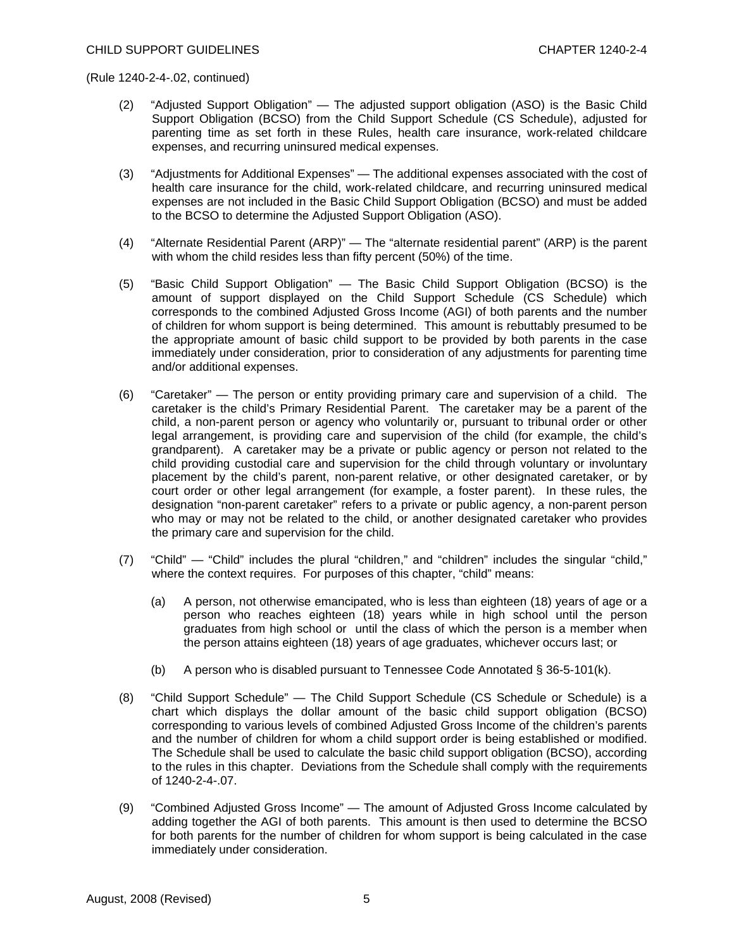- (2) "Adjusted Support Obligation" The adjusted support obligation (ASO) is the Basic Child Support Obligation (BCSO) from the Child Support Schedule (CS Schedule), adjusted for parenting time as set forth in these Rules, health care insurance, work-related childcare expenses, and recurring uninsured medical expenses.
- (3) "Adjustments for Additional Expenses" The additional expenses associated with the cost of health care insurance for the child, work-related childcare, and recurring uninsured medical expenses are not included in the Basic Child Support Obligation (BCSO) and must be added to the BCSO to determine the Adjusted Support Obligation (ASO).
- (4) "Alternate Residential Parent (ARP)" The "alternate residential parent" (ARP) is the parent with whom the child resides less than fifty percent (50%) of the time.
- (5) "Basic Child Support Obligation" The Basic Child Support Obligation (BCSO) is the amount of support displayed on the Child Support Schedule (CS Schedule) which corresponds to the combined Adjusted Gross Income (AGI) of both parents and the number of children for whom support is being determined. This amount is rebuttably presumed to be the appropriate amount of basic child support to be provided by both parents in the case immediately under consideration, prior to consideration of any adjustments for parenting time and/or additional expenses.
- (6) "Caretaker" The person or entity providing primary care and supervision of a child. The caretaker is the child's Primary Residential Parent. The caretaker may be a parent of the child, a non-parent person or agency who voluntarily or, pursuant to tribunal order or other legal arrangement, is providing care and supervision of the child (for example, the child's grandparent). A caretaker may be a private or public agency or person not related to the child providing custodial care and supervision for the child through voluntary or involuntary placement by the child's parent, non-parent relative, or other designated caretaker, or by court order or other legal arrangement (for example, a foster parent). In these rules, the designation "non-parent caretaker" refers to a private or public agency, a non-parent person who may or may not be related to the child, or another designated caretaker who provides the primary care and supervision for the child.
- (7) "Child" "Child" includes the plural "children," and "children" includes the singular "child," where the context requires. For purposes of this chapter, "child" means:
	- (a) A person, not otherwise emancipated, who is less than eighteen (18) years of age or a person who reaches eighteen (18) years while in high school until the person graduates from high school or until the class of which the person is a member when the person attains eighteen (18) years of age graduates, whichever occurs last; or
	- (b) A person who is disabled pursuant to Tennessee Code Annotated  $\S 36-5-101(k)$ .
- (8) "Child Support Schedule" The Child Support Schedule (CS Schedule or Schedule) is a chart which displays the dollar amount of the basic child support obligation (BCSO) corresponding to various levels of combined Adjusted Gross Income of the children's parents and the number of children for whom a child support order is being established or modified. The Schedule shall be used to calculate the basic child support obligation (BCSO), according to the rules in this chapter. Deviations from the Schedule shall comply with the requirements of 1240-2-4-.07.
- (9) "Combined Adjusted Gross Income" The amount of Adjusted Gross Income calculated by adding together the AGI of both parents. This amount is then used to determine the BCSO for both parents for the number of children for whom support is being calculated in the case immediately under consideration.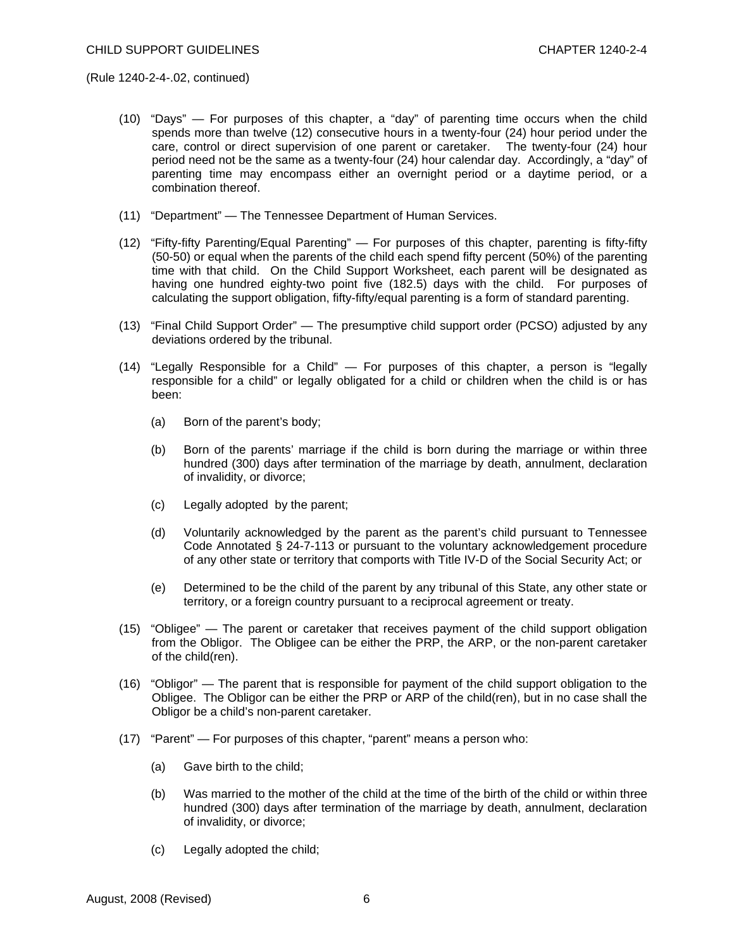- (10) "Days" For purposes of this chapter, a "day" of parenting time occurs when the child spends more than twelve (12) consecutive hours in a twenty-four (24) hour period under the care, control or direct supervision of one parent or caretaker. The twenty-four (24) hour period need not be the same as a twenty-four (24) hour calendar day. Accordingly, a "day" of parenting time may encompass either an overnight period or a daytime period, or a combination thereof.
- (11) "Department" The Tennessee Department of Human Services.
- (12) "Fifty-fifty Parenting/Equal Parenting" For purposes of this chapter, parenting is fifty-fifty (50-50) or equal when the parents of the child each spend fifty percent (50%) of the parenting time with that child. On the Child Support Worksheet, each parent will be designated as having one hundred eighty-two point five (182.5) days with the child. For purposes of calculating the support obligation, fifty-fifty/equal parenting is a form of standard parenting.
- (13) "Final Child Support Order" The presumptive child support order (PCSO) adjusted by any deviations ordered by the tribunal.
- (14) "Legally Responsible for a Child" For purposes of this chapter, a person is "legally responsible for a child" or legally obligated for a child or children when the child is or has been:
	- (a) Born of the parent's body;
	- (b) Born of the parents' marriage if the child is born during the marriage or within three hundred (300) days after termination of the marriage by death, annulment, declaration of invalidity, or divorce;
	- (c) Legally adopted by the parent;
	- (d) Voluntarily acknowledged by the parent as the parent's child pursuant to Tennessee Code Annotated § 24-7-113 or pursuant to the voluntary acknowledgement procedure of any other state or territory that comports with Title IV-D of the Social Security Act; or
	- (e) Determined to be the child of the parent by any tribunal of this State, any other state or territory, or a foreign country pursuant to a reciprocal agreement or treaty.
- (15) "Obligee" The parent or caretaker that receives payment of the child support obligation from the Obligor. The Obligee can be either the PRP, the ARP, or the non-parent caretaker of the child(ren).
- (16) "Obligor" The parent that is responsible for payment of the child support obligation to the Obligee. The Obligor can be either the PRP or ARP of the child(ren), but in no case shall the Obligor be a child's non-parent caretaker.
- (17) "Parent" For purposes of this chapter, "parent" means a person who:
	- (a) Gave birth to the child;
	- (b) Was married to the mother of the child at the time of the birth of the child or within three hundred (300) days after termination of the marriage by death, annulment, declaration of invalidity, or divorce;
	- (c) Legally adopted the child;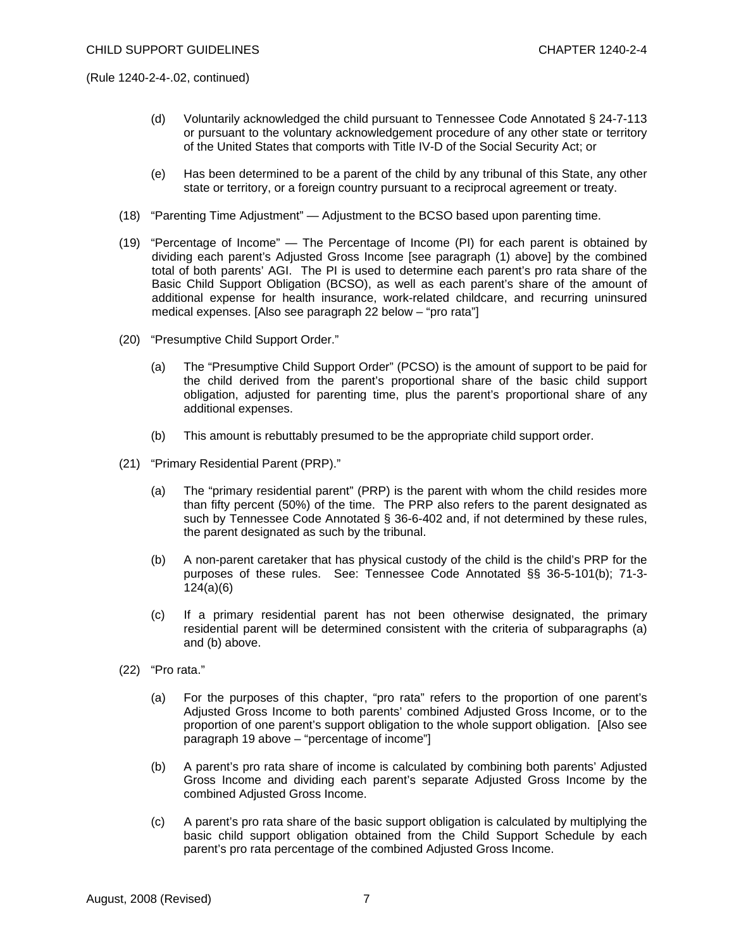- (d) Voluntarily acknowledged the child pursuant to Tennessee Code Annotated § 24-7-113 or pursuant to the voluntary acknowledgement procedure of any other state or territory of the United States that comports with Title IV-D of the Social Security Act; or
- (e) Has been determined to be a parent of the child by any tribunal of this State, any other state or territory, or a foreign country pursuant to a reciprocal agreement or treaty.
- (18) "Parenting Time Adjustment" Adjustment to the BCSO based upon parenting time.
- (19) "Percentage of Income" The Percentage of Income (PI) for each parent is obtained by dividing each parent's Adjusted Gross Income [see paragraph (1) above] by the combined total of both parents' AGI. The PI is used to determine each parent's pro rata share of the Basic Child Support Obligation (BCSO), as well as each parent's share of the amount of additional expense for health insurance, work-related childcare, and recurring uninsured medical expenses. [Also see paragraph 22 below – "pro rata"]
- (20) "Presumptive Child Support Order."
	- (a) The "Presumptive Child Support Order" (PCSO) is the amount of support to be paid for the child derived from the parent's proportional share of the basic child support obligation, adjusted for parenting time, plus the parent's proportional share of any additional expenses.
	- (b) This amount is rebuttably presumed to be the appropriate child support order.
- (21) "Primary Residential Parent (PRP)."
	- (a) The "primary residential parent" (PRP) is the parent with whom the child resides more than fifty percent (50%) of the time. The PRP also refers to the parent designated as such by [Tennessee Code Annotated § 36-6-4](http://www.westlaw.com/Find/Default.wl?rs=++++1.0&vr=2.0&DB=1000039&DocName=TNSTS36-5-101&FindType=L)02 and, if not determined by these rules, the parent designated as such by the tribunal.
	- (b) A non-parent caretaker that has physical custody of the child is the child's PRP for the purposes of these rules. See: Tennessee Code Annotated §§ 36-5-101(b); 71-3- 124(a)(6)
	- (c) If a primary residential parent has not been otherwise designated, the primary residential parent will be determined consistent with the criteria of subparagraphs (a) and (b) above.
- (22) "Pro rata."
	- (a) For the purposes of this chapter, "pro rata" refers to the proportion of one parent's Adjusted Gross Income to both parents' combined Adjusted Gross Income, or to the proportion of one parent's support obligation to the whole support obligation. [Also see paragraph 19 above – "percentage of income"]
	- (b) A parent's pro rata share of income is calculated by combining both parents' Adjusted Gross Income and dividing each parent's separate Adjusted Gross Income by the combined Adjusted Gross Income.
	- (c) A parent's pro rata share of the basic support obligation is calculated by multiplying the basic child support obligation obtained from the Child Support Schedule by each parent's pro rata percentage of the combined Adjusted Gross Income.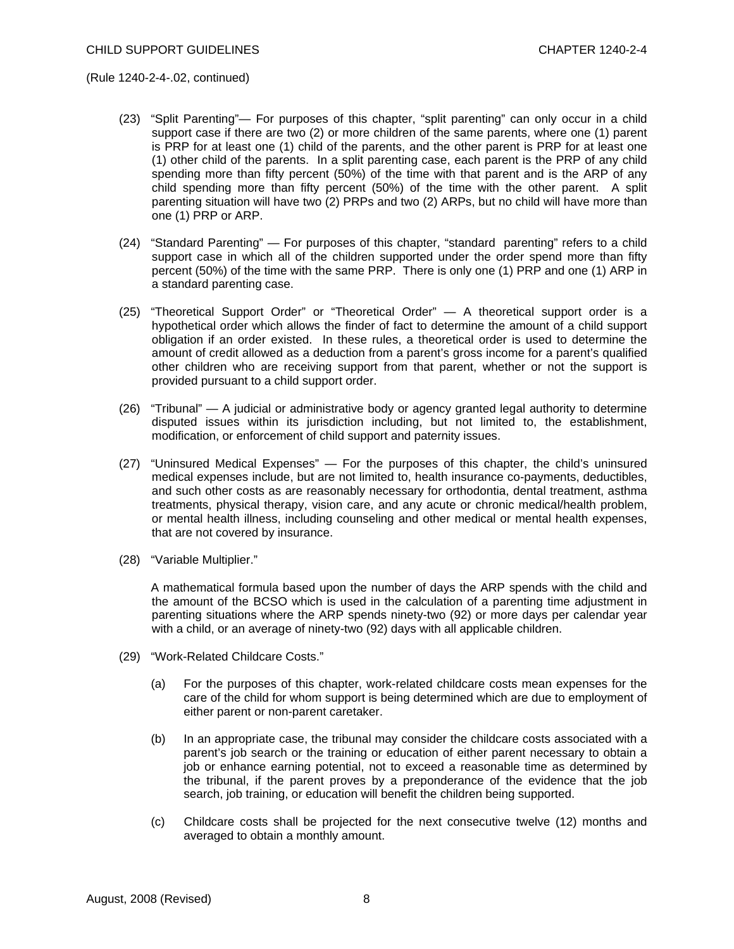- (23) "Split Parenting"— For purposes of this chapter, "split parenting" can only occur in a child support case if there are two (2) or more children of the same parents, where one (1) parent is PRP for at least one (1) child of the parents, and the other parent is PRP for at least one (1) other child of the parents. In a split parenting case, each parent is the PRP of any child spending more than fifty percent (50%) of the time with that parent and is the ARP of any child spending more than fifty percent (50%) of the time with the other parent. A split parenting situation will have two (2) PRPs and two (2) ARPs, but no child will have more than one (1) PRP or ARP.
- (24) "Standard Parenting" For purposes of this chapter, "standard parenting" refers to a child support case in which all of the children supported under the order spend more than fifty percent (50%) of the time with the same PRP. There is only one (1) PRP and one (1) ARP in a standard parenting case.
- (25) "Theoretical Support Order" or "Theoretical Order" A theoretical support order is a hypothetical order which allows the finder of fact to determine the amount of a child support obligation if an order existed. In these rules, a theoretical order is used to determine the amount of credit allowed as a deduction from a parent's gross income for a parent's qualified other children who are receiving support from that parent, whether or not the support is provided pursuant to a child support order.
- (26) "Tribunal" A judicial or administrative body or agency granted legal authority to determine disputed issues within its jurisdiction including, but not limited to, the establishment, modification, or enforcement of child support and paternity issues.
- (27) "Uninsured Medical Expenses" For the purposes of this chapter, the child's uninsured medical expenses include, but are not limited to, health insurance co-payments, deductibles, and such other costs as are reasonably necessary for orthodontia, dental treatment, asthma treatments, physical therapy, vision care, and any acute or chronic medical/health problem, or mental health illness, including counseling and other medical or mental health expenses, that are not covered by insurance.
- (28) "Variable Multiplier."

 A mathematical formula based upon the number of days the ARP spends with the child and the amount of the BCSO which is used in the calculation of a parenting time adjustment in parenting situations where the ARP spends ninety-two (92) or more days per calendar year with a child, or an average of ninety-two (92) days with all applicable children.

- (29) "Work-Related Childcare Costs."
	- (a) For the purposes of this chapter, work-related childcare costs mean expenses for the care of the child for whom support is being determined which are due to employment of either parent or non-parent caretaker.
	- (b) In an appropriate case, the tribunal may consider the childcare costs associated with a parent's job search or the training or education of either parent necessary to obtain a job or enhance earning potential, not to exceed a reasonable time as determined by the tribunal, if the parent proves by a preponderance of the evidence that the job search, job training, or education will benefit the children being supported.
	- (c) Childcare costs shall be projected for the next consecutive twelve (12) months and averaged to obtain a monthly amount.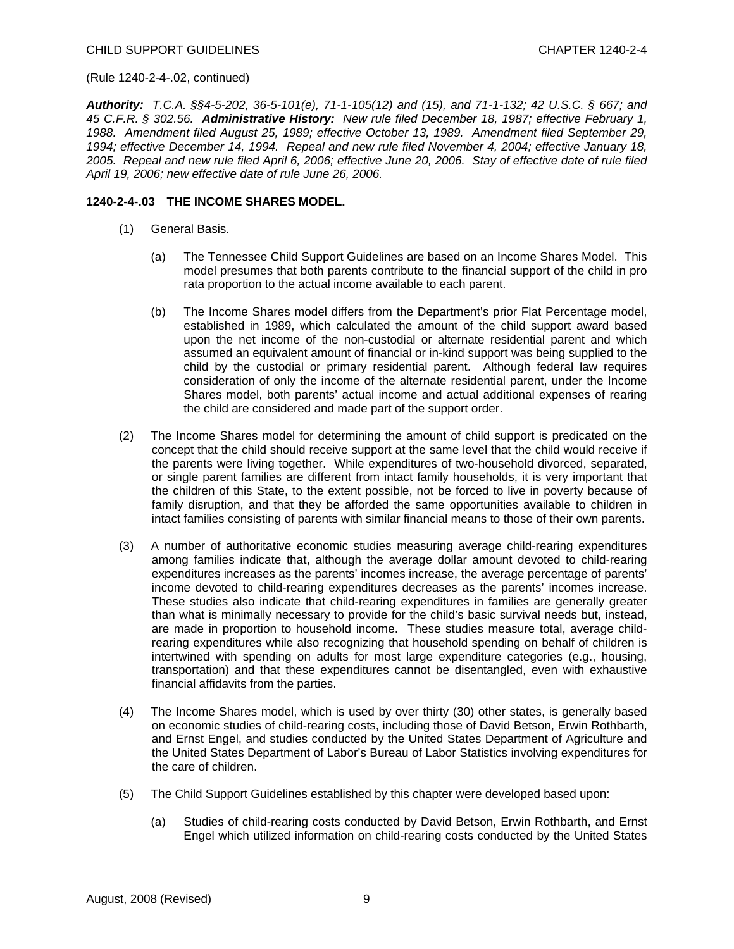*Authority: T.C.A. §§4-5-202, 36-5-101(e), 71-1-105(12) and (15), and 71-1-132; 42 U.S.C. § 667; and 45 C.F.R. § 302.56. Administrative History: New rule filed December 18, 1987; effective February 1, 1988. Amendment filed August 25, 1989; effective October 13, 1989. Amendment filed September 29, 1994; effective December 14, 1994. Repeal and new rule filed November 4, 2004; effective January 18, 2005. Repeal and new rule filed April 6, 2006; effective June 20, 2006. Stay of effective date of rule filed April 19, 2006; new effective date of rule June 26, 2006.* 

### **1240-2-4-.03 THE INCOME SHARES MODEL.**

- (1) General Basis.
	- (a) The Tennessee Child Support Guidelines are based on an Income Shares Model. This model presumes that both parents contribute to the financial support of the child in pro rata proportion to the actual income available to each parent.
	- (b) The Income Shares model differs from the Department's prior Flat Percentage model, established in 1989, which calculated the amount of the child support award based upon the net income of the non-custodial or alternate residential parent and which assumed an equivalent amount of financial or in-kind support was being supplied to the child by the custodial or primary residential parent. Although federal law requires consideration of only the income of the alternate residential parent, under the Income Shares model, both parents' actual income and actual additional expenses of rearing the child are considered and made part of the support order.
- (2) The Income Shares model for determining the amount of child support is predicated on the concept that the child should receive support at the same level that the child would receive if the parents were living together. While expenditures of two-household divorced, separated, or single parent families are different from intact family households, it is very important that the children of this State, to the extent possible, not be forced to live in poverty because of family disruption, and that they be afforded the same opportunities available to children in intact families consisting of parents with similar financial means to those of their own parents.
- (3) A number of authoritative economic studies measuring average child-rearing expenditures among families indicate that, although the average dollar amount devoted to child-rearing expenditures increases as the parents' incomes increase, the average percentage of parents' income devoted to child-rearing expenditures decreases as the parents' incomes increase. These studies also indicate that child-rearing expenditures in families are generally greater than what is minimally necessary to provide for the child's basic survival needs but, instead, are made in proportion to household income. These studies measure total, average childrearing expenditures while also recognizing that household spending on behalf of children is intertwined with spending on adults for most large expenditure categories (e.g., housing, transportation) and that these expenditures cannot be disentangled, even with exhaustive financial affidavits from the parties.
- (4) The Income Shares model, which is used by over thirty (30) other states, is generally based on economic studies of child-rearing costs, including those of David Betson, Erwin Rothbarth, and Ernst Engel, and studies conducted by the United States Department of Agriculture and the United States Department of Labor's Bureau of Labor Statistics involving expenditures for the care of children.
- (5) The Child Support Guidelines established by this chapter were developed based upon:
	- (a) Studies of child-rearing costs conducted by David Betson, Erwin Rothbarth, and Ernst Engel which utilized information on child-rearing costs conducted by the United States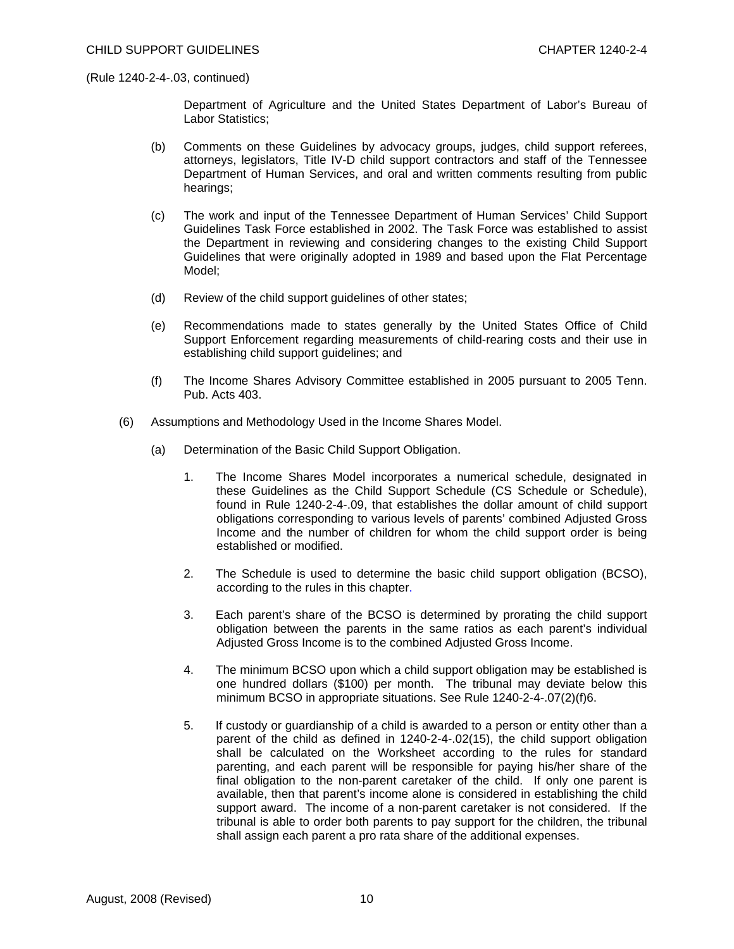Department of Agriculture and the United States Department of Labor's Bureau of Labor Statistics;

- (b) Comments on these Guidelines by advocacy groups, judges, child support referees, attorneys, legislators, Title IV-D child support contractors and staff of the Tennessee Department of Human Services, and oral and written comments resulting from public hearings;
- (c) The work and input of the Tennessee Department of Human Services' Child Support Guidelines Task Force established in 2002. The Task Force was established to assist the Department in reviewing and considering changes to the existing Child Support Guidelines that were originally adopted in 1989 and based upon the Flat Percentage Model;
- (d) Review of the child support guidelines of other states;
- (e) Recommendations made to states generally by the United States Office of Child Support Enforcement regarding measurements of child-rearing costs and their use in establishing child support guidelines; and
- (f) The Income Shares Advisory Committee established in 2005 pursuant to 2005 Tenn. Pub. Acts 403.
- (6) Assumptions and Methodology Used in the Income Shares Model.
	- (a) Determination of the Basic Child Support Obligation.
		- 1. The Income Shares Model incorporates a numerical schedule, designated in these Guidelines as the Child Support Schedule (CS Schedule or Schedule), found in Rule 1240-2-4-.09, that establishes the dollar amount of child support obligations corresponding to various levels of parents' combined Adjusted Gross Income and the number of children for whom the child support order is being established or modified.
		- 2. The Schedule is used to determine the basic child support obligation (BCSO), according to the rules in this chapter.
		- 3. Each parent's share of the BCSO is determined by prorating the child support obligation between the parents in the same ratios as each parent's individual Adjusted Gross Income is to the combined Adjusted Gross Income.
		- 4. The minimum BCSO upon which a child support obligation may be established is one hundred dollars (\$100) per month. The tribunal may deviate below this minimum BCSO in appropriate situations. See Rule 1240-2-4-.07(2)(f)6.
		- 5. If custody or guardianship of a child is awarded to a person or entity other than a parent of the child as defined in 1240-2-4-.02(15), the child support obligation shall be calculated on the Worksheet according to the rules for standard parenting, and each parent will be responsible for paying his/her share of the final obligation to the non-parent caretaker of the child. If only one parent is available, then that parent's income alone is considered in establishing the child support award. The income of a non-parent caretaker is not considered. If the tribunal is able to order both parents to pay support for the children, the tribunal shall assign each parent a pro rata share of the additional expenses.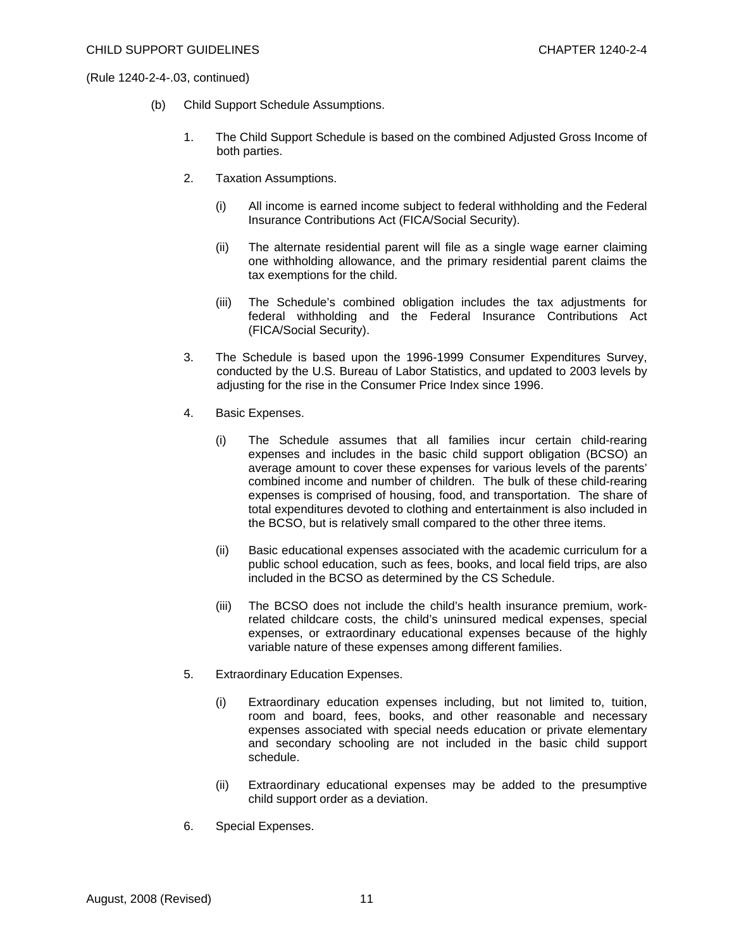- (b) Child Support Schedule Assumptions.
	- 1. The Child Support Schedule is based on the combined Adjusted Gross Income of both parties.
	- 2. Taxation Assumptions.
		- (i) All income is earned income subject to federal withholding and the Federal Insurance Contributions Act (FICA/Social Security).
		- (ii) The alternate residential parent will file as a single wage earner claiming one withholding allowance, and the primary residential parent claims the tax exemptions for the child.
		- (iii) The Schedule's combined obligation includes the tax adjustments for federal withholding and the Federal Insurance Contributions Act (FICA/Social Security).
	- 3. The Schedule is based upon the 1996-1999 Consumer Expenditures Survey, conducted by the U.S. Bureau of Labor Statistics, and updated to 2003 levels by adjusting for the rise in the Consumer Price Index since 1996.
	- 4. Basic Expenses.
		- (i) The Schedule assumes that all families incur certain child-rearing expenses and includes in the basic child support obligation (BCSO) an average amount to cover these expenses for various levels of the parents' combined income and number of children. The bulk of these child-rearing expenses is comprised of housing, food, and transportation. The share of total expenditures devoted to clothing and entertainment is also included in the BCSO, but is relatively small compared to the other three items.
		- (ii) Basic educational expenses associated with the academic curriculum for a public school education, such as fees, books, and local field trips, are also included in the BCSO as determined by the CS Schedule.
		- (iii) The BCSO does not include the child's health insurance premium, workrelated childcare costs, the child's uninsured medical expenses, special expenses, or extraordinary educational expenses because of the highly variable nature of these expenses among different families.
	- 5. Extraordinary Education Expenses.
		- (i) Extraordinary education expenses including, but not limited to, tuition, room and board, fees, books, and other reasonable and necessary expenses associated with special needs education or private elementary and secondary schooling are not included in the basic child support schedule.
		- (ii) Extraordinary educational expenses may be added to the presumptive child support order as a deviation.
	- 6. Special Expenses.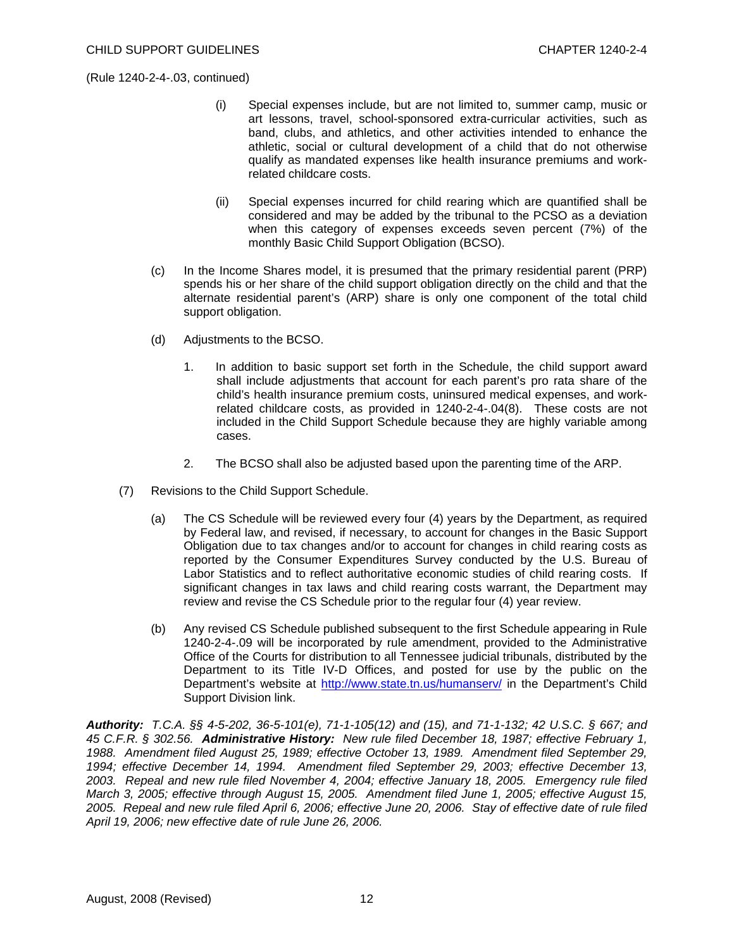- (i) Special expenses include, but are not limited to, summer camp, music or art lessons, travel, school-sponsored extra-curricular activities, such as band, clubs, and athletics, and other activities intended to enhance the athletic, social or cultural development of a child that do not otherwise qualify as mandated expenses like health insurance premiums and workrelated childcare costs.
- (ii) Special expenses incurred for child rearing which are quantified shall be considered and may be added by the tribunal to the PCSO as a deviation when this category of expenses exceeds seven percent (7%) of the monthly Basic Child Support Obligation (BCSO).
- (c) In the Income Shares model, it is presumed that the primary residential parent (PRP) spends his or her share of the child support obligation directly on the child and that the alternate residential parent's (ARP) share is only one component of the total child support obligation.
- (d) Adjustments to the BCSO.
	- 1. In addition to basic support set forth in the Schedule, the child support award shall include adjustments that account for each parent's pro rata share of the child's health insurance premium costs, uninsured medical expenses, and workrelated childcare costs, as provided in 1240-2-4-.04(8). These costs are not included in the Child Support Schedule because they are highly variable among cases.
	- 2. The BCSO shall also be adjusted based upon the parenting time of the ARP.
- (7) Revisions to the Child Support Schedule.
	- (a) The CS Schedule will be reviewed every four (4) years by the Department, as required by Federal law, and revised, if necessary, to account for changes in the Basic Support Obligation due to tax changes and/or to account for changes in child rearing costs as reported by the Consumer Expenditures Survey conducted by the U.S. Bureau of Labor Statistics and to reflect authoritative economic studies of child rearing costs. If significant changes in tax laws and child rearing costs warrant, the Department may review and revise the CS Schedule prior to the regular four (4) year review.
	- (b) Any revised CS Schedule published subsequent to the first Schedule appearing in Rule 1240-2-4-.09 will be incorporated by rule amendment, provided to the Administrative Office of the Courts for distribution to all Tennessee judicial tribunals, distributed by the Department to its Title IV-D Offices, and posted for use by the public on the Department's website at <http://www.state.tn.us/humanserv/>in the Department's Child Support Division link.

*Authority: T.C.A. §§ 4-5-202, 36-5-101(e), 71-1-105(12) and (15), and 71-1-132; 42 U.S.C. § 667; and 45 C.F.R. § 302.56. Administrative History: New rule filed December 18, 1987; effective February 1, 1988. Amendment filed August 25, 1989; effective October 13, 1989. Amendment filed September 29, 1994; effective December 14, 1994. Amendment filed September 29, 2003; effective December 13, 2003. Repeal and new rule filed November 4, 2004; effective January 18, 2005. Emergency rule filed March 3, 2005; effective through August 15, 2005. Amendment filed June 1, 2005; effective August 15, 2005. Repeal and new rule filed April 6, 2006; effective June 20, 2006. Stay of effective date of rule filed April 19, 2006; new effective date of rule June 26, 2006.*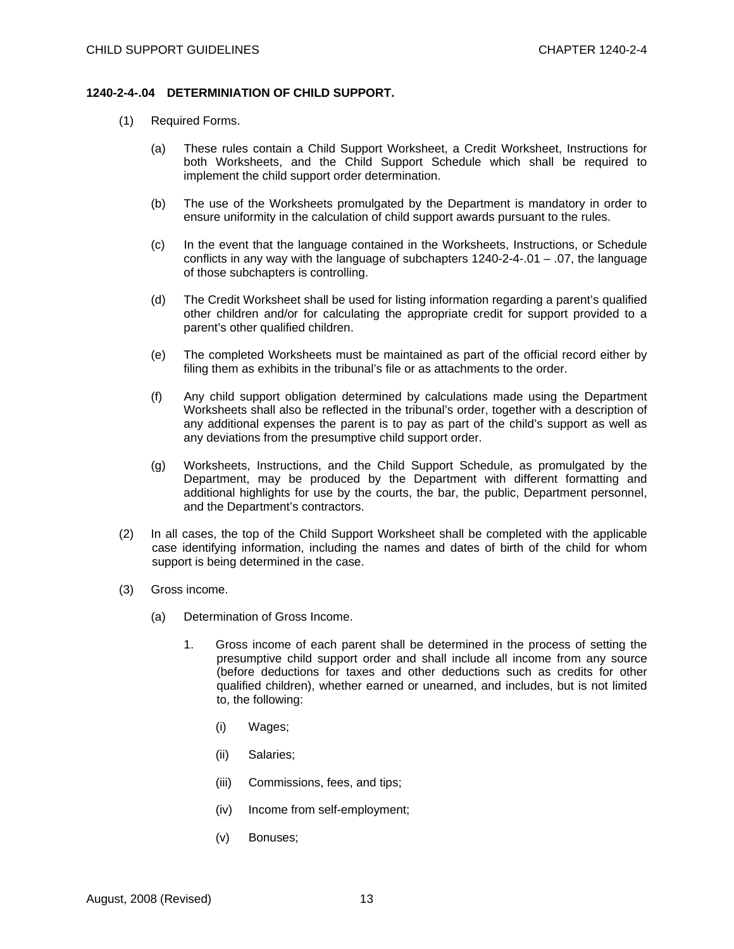### **1240-2-4-.04 DETERMINIATION OF CHILD SUPPORT.**

- (1) Required Forms.
	- (a) These rules contain a Child Support Worksheet, a Credit Worksheet, Instructions for both Worksheets, and the Child Support Schedule which shall be required to implement the child support order determination.
	- (b) The use of the Worksheets promulgated by the Department is mandatory in order to ensure uniformity in the calculation of child support awards pursuant to the rules.
	- (c) In the event that the language contained in the Worksheets, Instructions, or Schedule conflicts in any way with the language of subchapters  $1240-2-4-01 - 07$ , the language of those subchapters is controlling.
	- (d) The Credit Worksheet shall be used for listing information regarding a parent's qualified other children and/or for calculating the appropriate credit for support provided to a parent's other qualified children.
	- (e) The completed Worksheets must be maintained as part of the official record either by filing them as exhibits in the tribunal's file or as attachments to the order.
	- (f) Any child support obligation determined by calculations made using the Department Worksheets shall also be reflected in the tribunal's order, together with a description of any additional expenses the parent is to pay as part of the child's support as well as any deviations from the presumptive child support order.
	- (g) Worksheets, Instructions, and the Child Support Schedule, as promulgated by the Department, may be produced by the Department with different formatting and additional highlights for use by the courts, the bar, the public, Department personnel, and the Department's contractors.
- (2) In all cases, the top of the Child Support Worksheet shall be completed with the applicable case identifying information, including the names and dates of birth of the child for whom support is being determined in the case.
- (3) Gross income.
	- (a) Determination of Gross Income.
		- 1. Gross income of each parent shall be determined in the process of setting the presumptive child support order and shall include all income from any source (before deductions for taxes and other deductions such as credits for other qualified children), whether earned or unearned, and includes, but is not limited to, the following:
			- (i) Wages;
			- (ii) Salaries;
			- (iii) Commissions, fees, and tips;
			- (iv) Income from self-employment;
			- (v) Bonuses;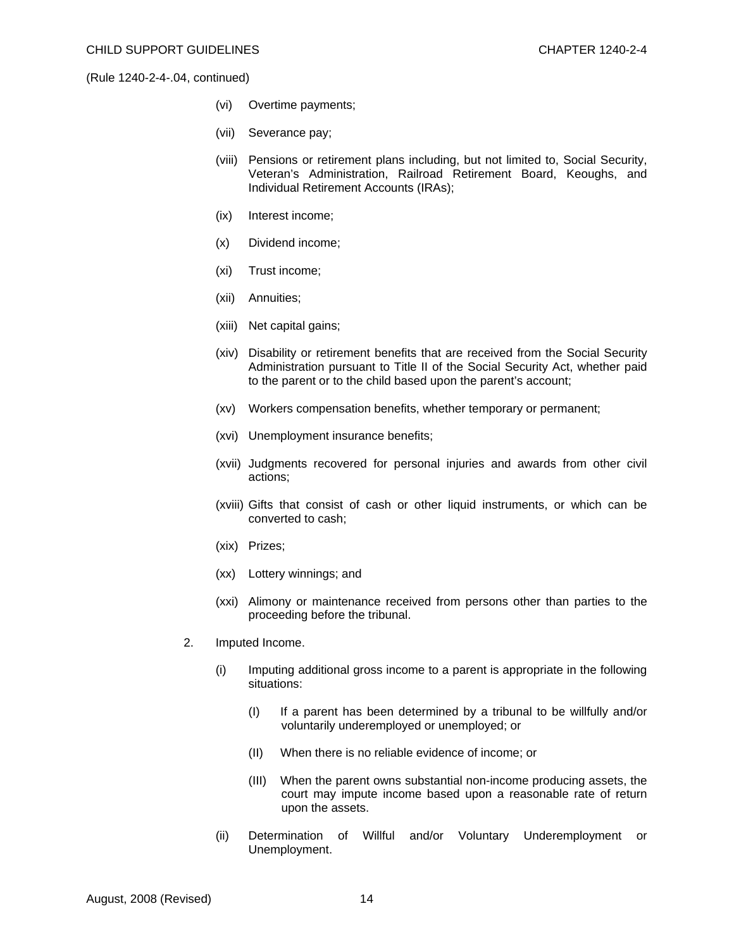- (vi) Overtime payments;
- (vii) Severance pay;
- (viii) Pensions or retirement plans including, but not limited to, Social Security, Veteran's Administration, Railroad Retirement Board, Keoughs, and Individual Retirement Accounts (IRAs);
- (ix) Interest income;
- (x) Dividend income;
- (xi) Trust income;
- (xii) Annuities;
- (xiii) Net capital gains;
- (xiv) Disability or retirement benefits that are received from the Social Security Administration pursuant to Title II of the Social Security Act, whether paid to the parent or to the child based upon the parent's account;
- (xv) Workers compensation benefits, whether temporary or permanent;
- (xvi) Unemployment insurance benefits;
- (xvii) Judgments recovered for personal injuries and awards from other civil actions;
- (xviii) Gifts that consist of cash or other liquid instruments, or which can be converted to cash;
- (xix) Prizes;
- (xx) Lottery winnings; and
- (xxi) Alimony or maintenance received from persons other than parties to the proceeding before the tribunal.
- 2. Imputed Income.
	- (i) Imputing additional gross income to a parent is appropriate in the following situations:
		- (I) If a parent has been determined by a tribunal to be willfully and/or voluntarily underemployed or unemployed; or
		- (II) When there is no reliable evidence of income; or
		- (III) When the parent owns substantial non-income producing assets, the court may impute income based upon a reasonable rate of return upon the assets.
	- (ii) Determination of Willful and/or Voluntary Underemployment or Unemployment.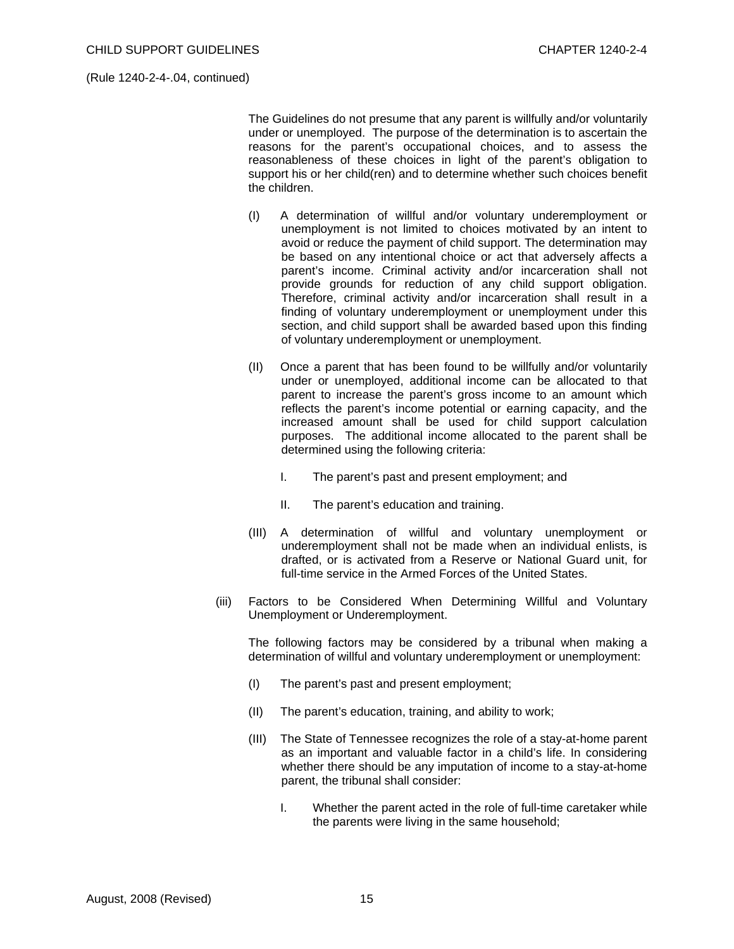The Guidelines do not presume that any parent is willfully and/or voluntarily under or unemployed. The purpose of the determination is to ascertain the reasons for the parent's occupational choices, and to assess the reasonableness of these choices in light of the parent's obligation to support his or her child(ren) and to determine whether such choices benefit the children.

- (I) A determination of willful and/or voluntary underemployment or unemployment is not limited to choices motivated by an intent to avoid or reduce the payment of child support. The determination may be based on any intentional choice or act that adversely affects a parent's income. Criminal activity and/or incarceration shall not provide grounds for reduction of any child support obligation. Therefore, criminal activity and/or incarceration shall result in a finding of voluntary underemployment or unemployment under this section, and child support shall be awarded based upon this finding of voluntary underemployment or unemployment.
- (II) Once a parent that has been found to be willfully and/or voluntarily under or unemployed, additional income can be allocated to that parent to increase the parent's gross income to an amount which reflects the parent's income potential or earning capacity, and the increased amount shall be used for child support calculation purposes. The additional income allocated to the parent shall be determined using the following criteria:
	- I. The parent's past and present employment; and
	- II. The parent's education and training.
- (III) A determination of willful and voluntary unemployment or underemployment shall not be made when an individual enlists, is drafted, or is activated from a Reserve or National Guard unit, for full-time service in the Armed Forces of the United States.
- (iii) Factors to be Considered When Determining Willful and Voluntary Unemployment or Underemployment.

 The following factors may be considered by a tribunal when making a determination of willful and voluntary underemployment or unemployment:

- (I) The parent's past and present employment;
- (II) The parent's education, training, and ability to work;
- (III) The State of Tennessee recognizes the role of a stay-at-home parent as an important and valuable factor in a child's life. In considering whether there should be any imputation of income to a stay-at-home parent, the tribunal shall consider:
	- I. Whether the parent acted in the role of full-time caretaker while the parents were living in the same household;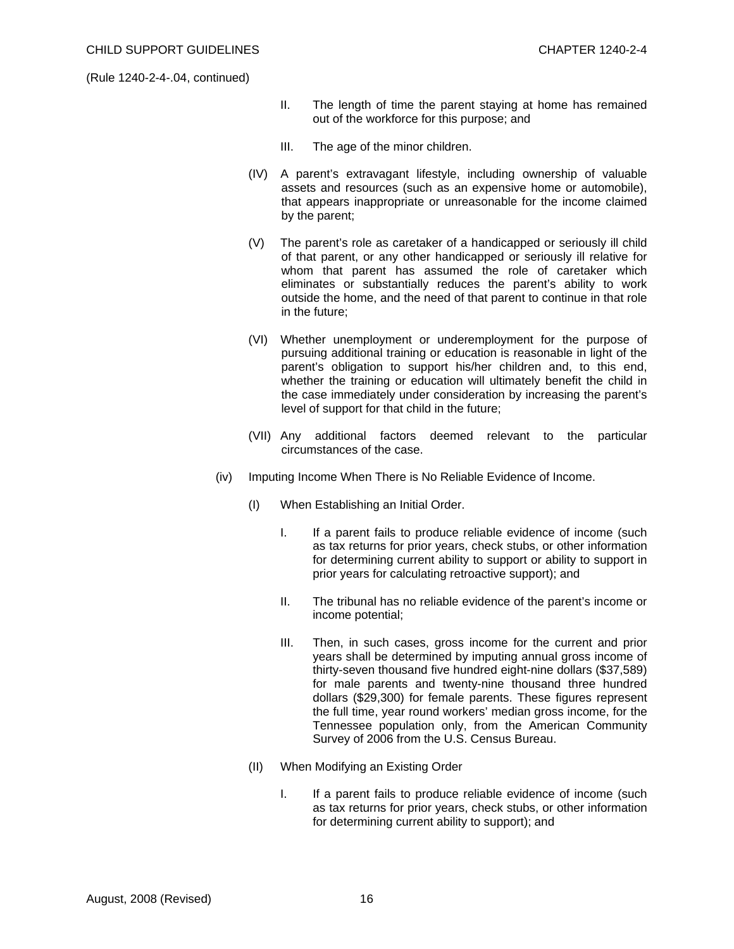- II. The length of time the parent staying at home has remained out of the workforce for this purpose; and
- III. The age of the minor children.
- (IV) A parent's extravagant lifestyle, including ownership of valuable assets and resources (such as an expensive home or automobile), that appears inappropriate or unreasonable for the income claimed by the parent;
- (V) The parent's role as caretaker of a handicapped or seriously ill child of that parent, or any other handicapped or seriously ill relative for whom that parent has assumed the role of caretaker which eliminates or substantially reduces the parent's ability to work outside the home, and the need of that parent to continue in that role in the future;
- (VI) Whether unemployment or underemployment for the purpose of pursuing additional training or education is reasonable in light of the parent's obligation to support his/her children and, to this end, whether the training or education will ultimately benefit the child in the case immediately under consideration by increasing the parent's level of support for that child in the future;
- (VII) Any additional factors deemed relevant to the particular circumstances of the case.
- (iv) Imputing Income When There is No Reliable Evidence of Income.
	- (I) When Establishing an Initial Order.
		- I. If a parent fails to produce reliable evidence of income (such as tax returns for prior years, check stubs, or other information for determining current ability to support or ability to support in prior years for calculating retroactive support); and
		- II. The tribunal has no reliable evidence of the parent's income or income potential;
		- III. Then, in such cases, gross income for the current and prior years shall be determined by imputing annual gross income of thirty-seven thousand five hundred eight-nine dollars (\$37,589) for male parents and twenty-nine thousand three hundred dollars (\$29,300) for female parents. These figures represent the full time, year round workers' median gross income, for the Tennessee population only, from the American Community Survey of 2006 from the U.S. Census Bureau.
	- (II) When Modifying an Existing Order
		- I. If a parent fails to produce reliable evidence of income (such as tax returns for prior years, check stubs, or other information for determining current ability to support); and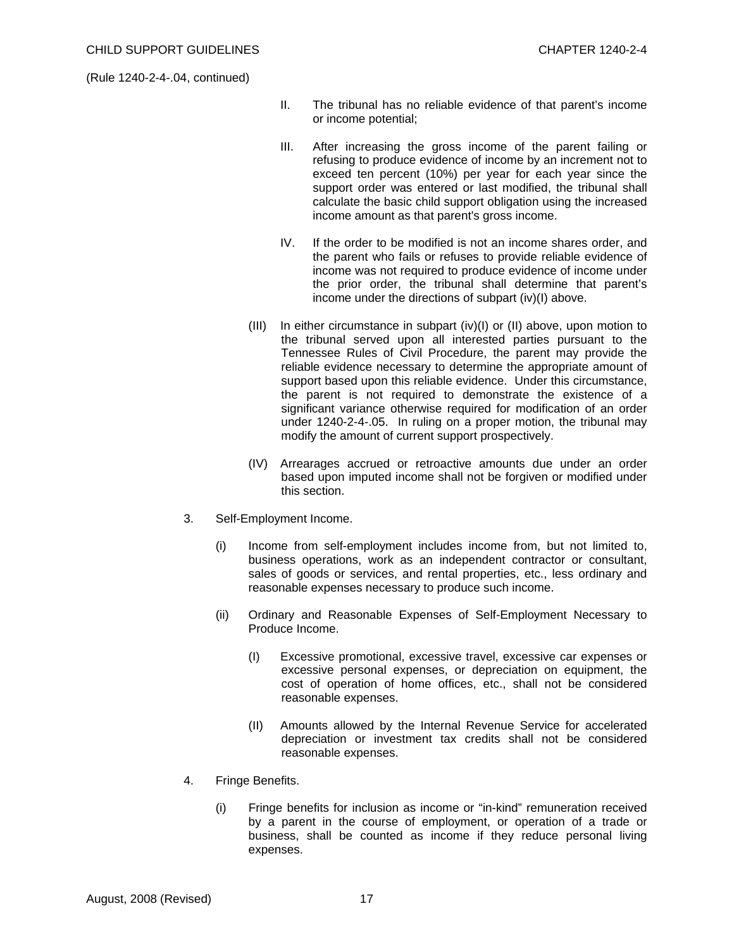- II. The tribunal has no reliable evidence of that parent's income or income potential;
- III. After increasing the gross income of the parent failing or refusing to produce evidence of income by an increment not to exceed ten percent (10%) per year for each year since the support order was entered or last modified, the tribunal shall calculate the basic child support obligation using the increased income amount as that parent's gross income.
- IV. If the order to be modified is not an income shares order, and the parent who fails or refuses to provide reliable evidence of income was not required to produce evidence of income under the prior order, the tribunal shall determine that parent's income under the directions of subpart (iv)(I) above.
- $(III)$  In either circumstance in subpart  $(iv)(I)$  or  $(II)$  above, upon motion to the tribunal served upon all interested parties pursuant to the Tennessee Rules of Civil Procedure, the parent may provide the reliable evidence necessary to determine the appropriate amount of support based upon this reliable evidence. Under this circumstance, the parent is not required to demonstrate the existence of a significant variance otherwise required for modification of an order under 1240-2-4-.05. In ruling on a proper motion, the tribunal may modify the amount of current support prospectively.
- (IV) Arrearages accrued or retroactive amounts due under an order based upon imputed income shall not be forgiven or modified under this section.
- 3. Self-Employment Income.
	- (i) Income from self-employment includes income from, but not limited to, business operations, work as an independent contractor or consultant, sales of goods or services, and rental properties, etc., less ordinary and reasonable expenses necessary to produce such income.
	- (ii) Ordinary and Reasonable Expenses of Self-Employment Necessary to Produce Income.
		- (I) Excessive promotional, excessive travel, excessive car expenses or excessive personal expenses, or depreciation on equipment, the cost of operation of home offices, etc., shall not be considered reasonable expenses.
		- (II) Amounts allowed by the Internal Revenue Service for accelerated depreciation or investment tax credits shall not be considered reasonable expenses.
- 4. Fringe Benefits.
	- (i) Fringe benefits for inclusion as income or "in-kind" remuneration received by a parent in the course of employment, or operation of a trade or business, shall be counted as income if they reduce personal living expenses.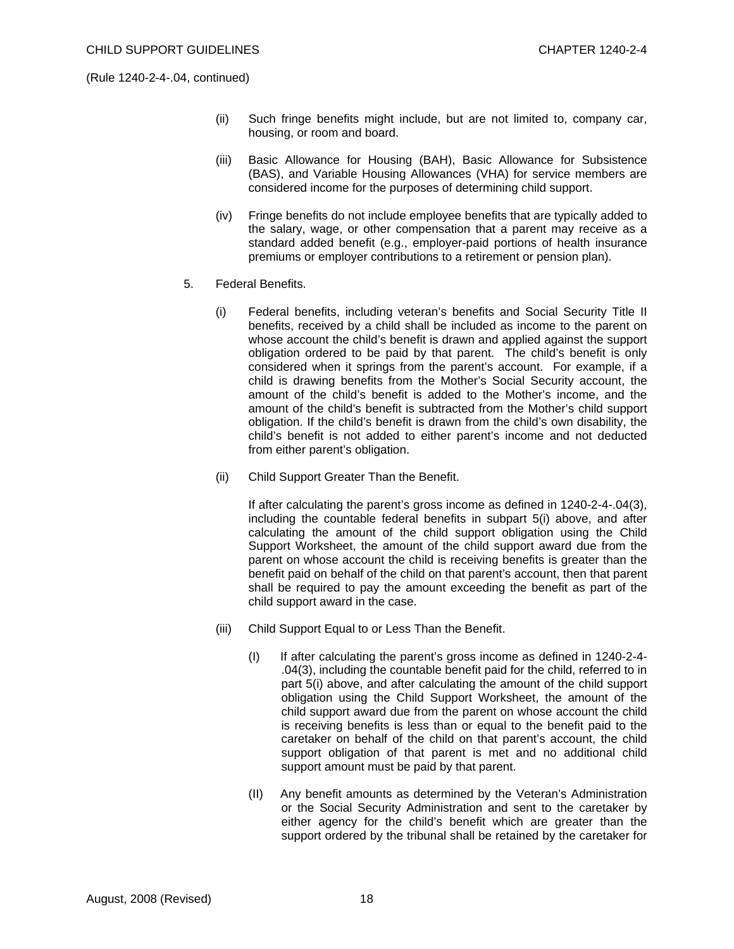- (ii) Such fringe benefits might include, but are not limited to, company car, housing, or room and board.
- (iii) Basic Allowance for Housing (BAH), Basic Allowance for Subsistence (BAS), and Variable Housing Allowances (VHA) for service members are considered income for the purposes of determining child support.
- (iv) Fringe benefits do not include employee benefits that are typically added to the salary, wage, or other compensation that a parent may receive as a standard added benefit (e.g., employer-paid portions of health insurance premiums or employer contributions to a retirement or pension plan).
- 5. Federal Benefits.
	- (i) Federal benefits, including veteran's benefits and Social Security Title II benefits, received by a child shall be included as income to the parent on whose account the child's benefit is drawn and applied against the support obligation ordered to be paid by that parent. The child's benefit is only considered when it springs from the parent's account. For example, if a child is drawing benefits from the Mother's Social Security account, the amount of the child's benefit is added to the Mother's income, and the amount of the child's benefit is subtracted from the Mother's child support obligation. If the child's benefit is drawn from the child's own disability, the child's benefit is not added to either parent's income and not deducted from either parent's obligation.
	- (ii) Child Support Greater Than the Benefit.

 If after calculating the parent's gross income as defined in 1240-2-4-.04(3), including the countable federal benefits in subpart 5(i) above, and after calculating the amount of the child support obligation using the Child Support Worksheet, the amount of the child support award due from the parent on whose account the child is receiving benefits is greater than the benefit paid on behalf of the child on that parent's account, then that parent shall be required to pay the amount exceeding the benefit as part of the child support award in the case.

- (iii) Child Support Equal to or Less Than the Benefit.
	- (I) If after calculating the parent's gross income as defined in 1240-2-4- .04(3), including the countable benefit paid for the child, referred to in part 5(i) above, and after calculating the amount of the child support obligation using the Child Support Worksheet, the amount of the child support award due from the parent on whose account the child is receiving benefits is less than or equal to the benefit paid to the caretaker on behalf of the child on that parent's account, the child support obligation of that parent is met and no additional child support amount must be paid by that parent.
	- (II) Any benefit amounts as determined by the Veteran's Administration or the Social Security Administration and sent to the caretaker by either agency for the child's benefit which are greater than the support ordered by the tribunal shall be retained by the caretaker for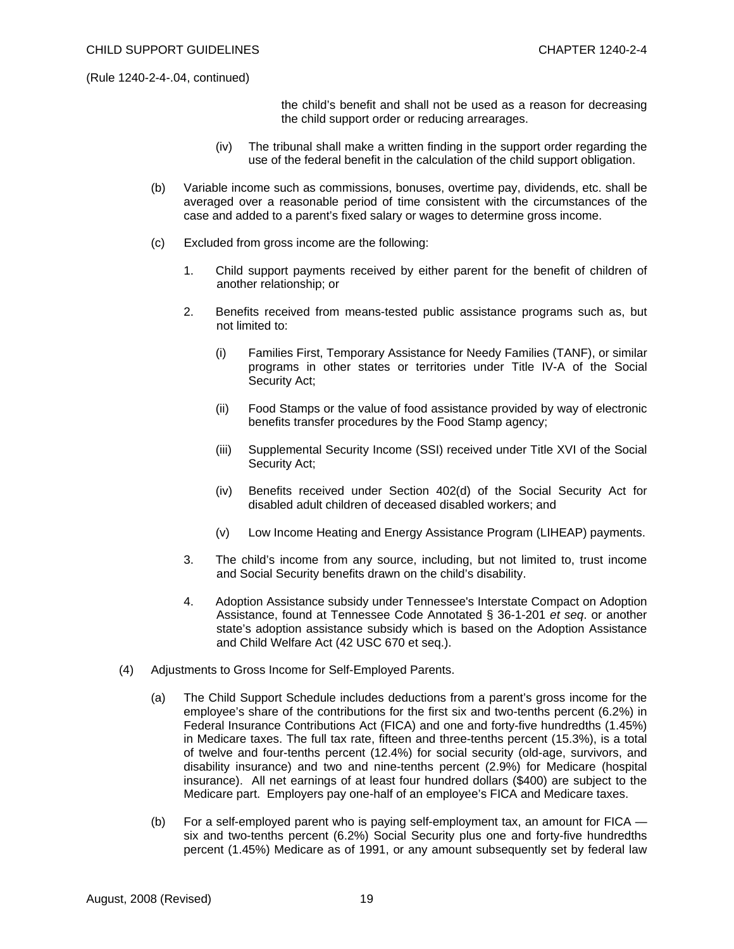the child's benefit and shall not be used as a reason for decreasing the child support order or reducing arrearages.

- (iv) The tribunal shall make a written finding in the support order regarding the use of the federal benefit in the calculation of the child support obligation.
- (b) Variable income such as commissions, bonuses, overtime pay, dividends, etc. shall be averaged over a reasonable period of time consistent with the circumstances of the case and added to a parent's fixed salary or wages to determine gross income.
- (c) Excluded from gross income are the following:
	- 1. Child support payments received by either parent for the benefit of children of another relationship; or
	- 2. Benefits received from means-tested public assistance programs such as, but not limited to:
		- (i) Families First, Temporary Assistance for Needy Families (TANF), or similar programs in other states or territories under Title IV-A of the Social Security Act;
		- (ii) Food Stamps or the value of food assistance provided by way of electronic benefits transfer procedures by the Food Stamp agency;
		- (iii) Supplemental Security Income (SSI) received under Title XVI of the Social Security Act;
		- (iv) Benefits received under Section 402(d) of the Social Security Act for disabled adult children of deceased disabled workers; and
		- (v) Low Income Heating and Energy Assistance Program (LIHEAP) payments.
	- 3. The child's income from any source, including, but not limited to, trust income and Social Security benefits drawn on the child's disability.
	- 4. Adoption Assistance subsidy under Tennessee's Interstate Compact on Adoption Assistance, found at Tennessee Code Annotated § 36-1-201 *et seq*. or another state's adoption assistance subsidy which is based on the Adoption Assistance and Child Welfare Act (42 USC 670 et seq.).
- (4) Adjustments to Gross Income for Self-Employed Parents.
	- (a) The Child Support Schedule includes deductions from a parent's gross income for the employee's share of the contributions for the first six and two-tenths percent (6.2%) in Federal Insurance Contributions Act (FICA) and one and forty-five hundredths (1.45%) in Medicare taxes. The full tax rate, fifteen and three-tenths percent (15.3%), is a total of twelve and four-tenths percent (12.4%) for social security (old-age, survivors, and disability insurance) and two and nine-tenths percent (2.9%) for Medicare (hospital insurance). All net earnings of at least four hundred dollars (\$400) are subject to the Medicare part. Employers pay one-half of an employee's FICA and Medicare taxes.
	- (b) For a self-employed parent who is paying self-employment tax, an amount for FICA six and two-tenths percent (6.2%) Social Security plus one and forty-five hundredths percent (1.45%) Medicare as of 1991, or any amount subsequently set by federal law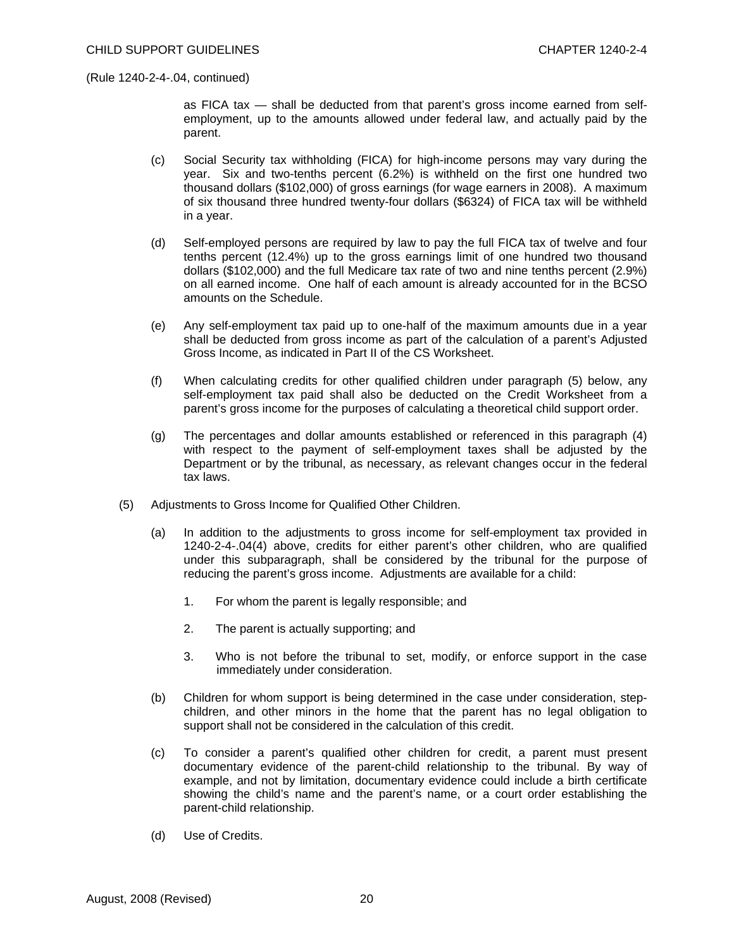as FICA tax — shall be deducted from that parent's gross income earned from selfemployment, up to the amounts allowed under federal law, and actually paid by the parent.

- (c) Social Security tax withholding (FICA) for high-income persons may vary during the year. Six and two-tenths percent (6.2%) is withheld on the first one hundred two thousand dollars (\$102,000) of gross earnings (for wage earners in 2008). A maximum of six thousand three hundred twenty-four dollars (\$6324) of FICA tax will be withheld in a year.
- (d) Self-employed persons are required by law to pay the full FICA tax of twelve and four tenths percent (12.4%) up to the gross earnings limit of one hundred two thousand dollars (\$102,000) and the full Medicare tax rate of two and nine tenths percent (2.9%) on all earned income. One half of each amount is already accounted for in the BCSO amounts on the Schedule.
- (e) Any self-employment tax paid up to one-half of the maximum amounts due in a year shall be deducted from gross income as part of the calculation of a parent's Adjusted Gross Income, as indicated in Part II of the CS Worksheet.
- (f) When calculating credits for other qualified children under paragraph (5) below, any self-employment tax paid shall also be deducted on the Credit Worksheet from a parent's gross income for the purposes of calculating a theoretical child support order.
- (g) The percentages and dollar amounts established or referenced in this paragraph (4) with respect to the payment of self-employment taxes shall be adjusted by the Department or by the tribunal, as necessary, as relevant changes occur in the federal tax laws.
- (5) Adjustments to Gross Income for Qualified Other Children.
	- (a) In addition to the adjustments to gross income for self-employment tax provided in 1240-2-4-.04(4) above, credits for either parent's other children, who are qualified under this subparagraph, shall be considered by the tribunal for the purpose of reducing the parent's gross income. Adjustments are available for a child:
		- 1. For whom the parent is legally responsible; and
		- 2. The parent is actually supporting; and
		- 3. Who is not before the tribunal to set, modify, or enforce support in the case immediately under consideration.
	- (b) Children for whom support is being determined in the case under consideration, stepchildren, and other minors in the home that the parent has no legal obligation to support shall not be considered in the calculation of this credit.
	- (c) To consider a parent's qualified other children for credit, a parent must present documentary evidence of the parent-child relationship to the tribunal. By way of example, and not by limitation, documentary evidence could include a birth certificate showing the child's name and the parent's name, or a court order establishing the parent-child relationship.
	- (d) Use of Credits.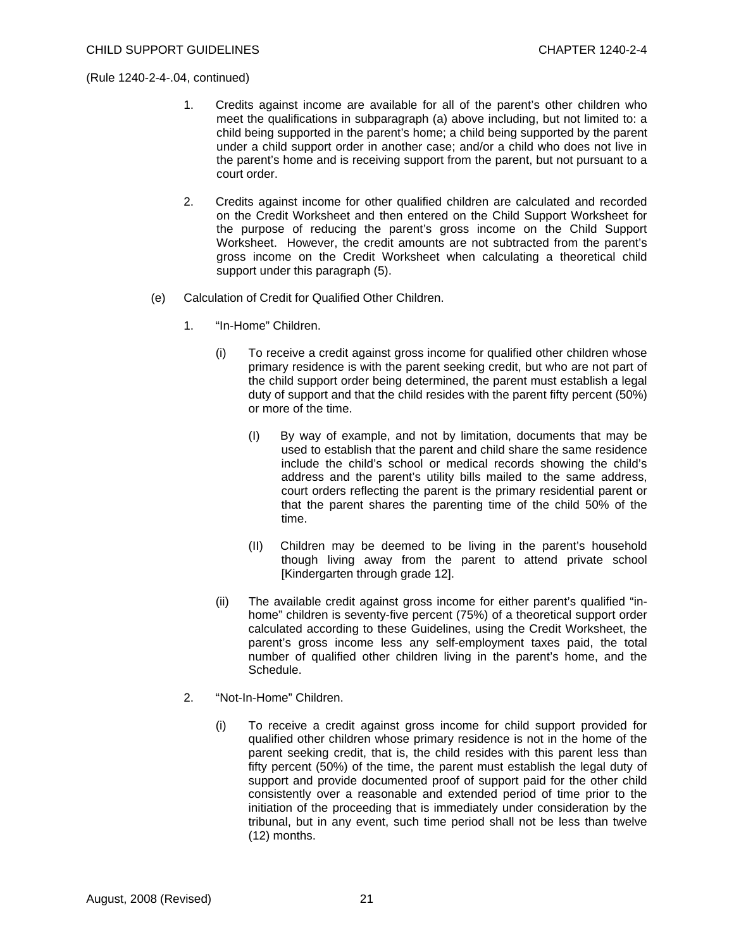- 1. Credits against income are available for all of the parent's other children who meet the qualifications in subparagraph (a) above including, but not limited to: a child being supported in the parent's home; a child being supported by the parent under a child support order in another case; and/or a child who does not live in the parent's home and is receiving support from the parent, but not pursuant to a court order.
- 2. Credits against income for other qualified children are calculated and recorded on the Credit Worksheet and then entered on the Child Support Worksheet for the purpose of reducing the parent's gross income on the Child Support Worksheet. However, the credit amounts are not subtracted from the parent's gross income on the Credit Worksheet when calculating a theoretical child support under this paragraph (5).
- (e) Calculation of Credit for Qualified Other Children.
	- 1. "In-Home" Children.
		- (i) To receive a credit against gross income for qualified other children whose primary residence is with the parent seeking credit, but who are not part of the child support order being determined, the parent must establish a legal duty of support and that the child resides with the parent fifty percent (50%) or more of the time.
			- (I) By way of example, and not by limitation, documents that may be used to establish that the parent and child share the same residence include the child's school or medical records showing the child's address and the parent's utility bills mailed to the same address, court orders reflecting the parent is the primary residential parent or that the parent shares the parenting time of the child 50% of the time.
			- (II) Children may be deemed to be living in the parent's household though living away from the parent to attend private school [Kindergarten through grade 12].
		- (ii) The available credit against gross income for either parent's qualified "inhome" children is seventy-five percent (75%) of a theoretical support order calculated according to these Guidelines, using the Credit Worksheet, the parent's gross income less any self-employment taxes paid, the total number of qualified other children living in the parent's home, and the Schedule.
	- 2. "Not-In-Home" Children.
		- (i) To receive a credit against gross income for child support provided for qualified other children whose primary residence is not in the home of the parent seeking credit, that is, the child resides with this parent less than fifty percent (50%) of the time, the parent must establish the legal duty of support and provide documented proof of support paid for the other child consistently over a reasonable and extended period of time prior to the initiation of the proceeding that is immediately under consideration by the tribunal, but in any event, such time period shall not be less than twelve (12) months.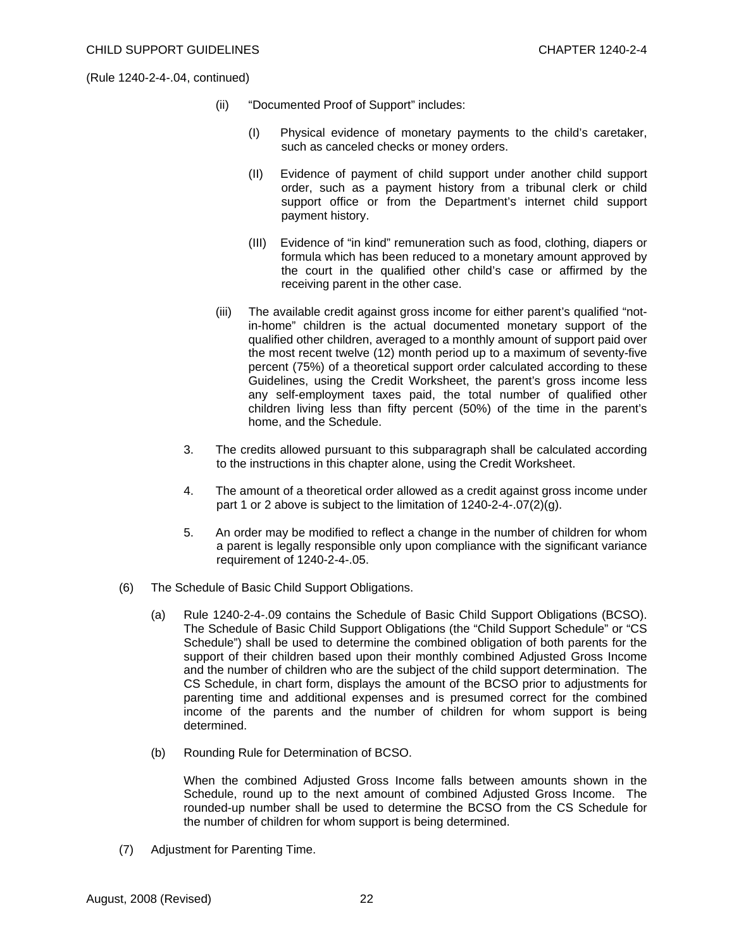- (ii) "Documented Proof of Support" includes:
	- (I) Physical evidence of monetary payments to the child's caretaker, such as canceled checks or money orders.
	- (II) Evidence of payment of child support under another child support order, such as a payment history from a tribunal clerk or child support office or from the Department's internet child support payment history.
	- (III) Evidence of "in kind" remuneration such as food, clothing, diapers or formula which has been reduced to a monetary amount approved by the court in the qualified other child's case or affirmed by the receiving parent in the other case.
- (iii) The available credit against gross income for either parent's qualified "notin-home" children is the actual documented monetary support of the qualified other children, averaged to a monthly amount of support paid over the most recent twelve (12) month period up to a maximum of seventy-five percent (75%) of a theoretical support order calculated according to these Guidelines, using the Credit Worksheet, the parent's gross income less any self-employment taxes paid, the total number of qualified other children living less than fifty percent (50%) of the time in the parent's home, and the Schedule.
- 3. The credits allowed pursuant to this subparagraph shall be calculated according to the instructions in this chapter alone, using the Credit Worksheet.
- 4. The amount of a theoretical order allowed as a credit against gross income under part 1 or 2 above is subject to the limitation of 1240-2-4-.07(2)(g).
- 5. An order may be modified to reflect a change in the number of children for whom a parent is legally responsible only upon compliance with the significant variance requirement of 1240-2-4-.05.
- (6) The Schedule of Basic Child Support Obligations.
	- (a) Rule 1240-2-4-.09 contains the Schedule of Basic Child Support Obligations (BCSO). The Schedule of Basic Child Support Obligations (the "Child Support Schedule" or "CS Schedule") shall be used to determine the combined obligation of both parents for the support of their children based upon their monthly combined Adjusted Gross Income and the number of children who are the subject of the child support determination. The CS Schedule, in chart form, displays the amount of the BCSO prior to adjustments for parenting time and additional expenses and is presumed correct for the combined income of the parents and the number of children for whom support is being determined.
	- (b) Rounding Rule for Determination of BCSO.

 When the combined Adjusted Gross Income falls between amounts shown in the Schedule, round up to the next amount of combined Adjusted Gross Income. The rounded-up number shall be used to determine the BCSO from the CS Schedule for the number of children for whom support is being determined.

(7) Adjustment for Parenting Time.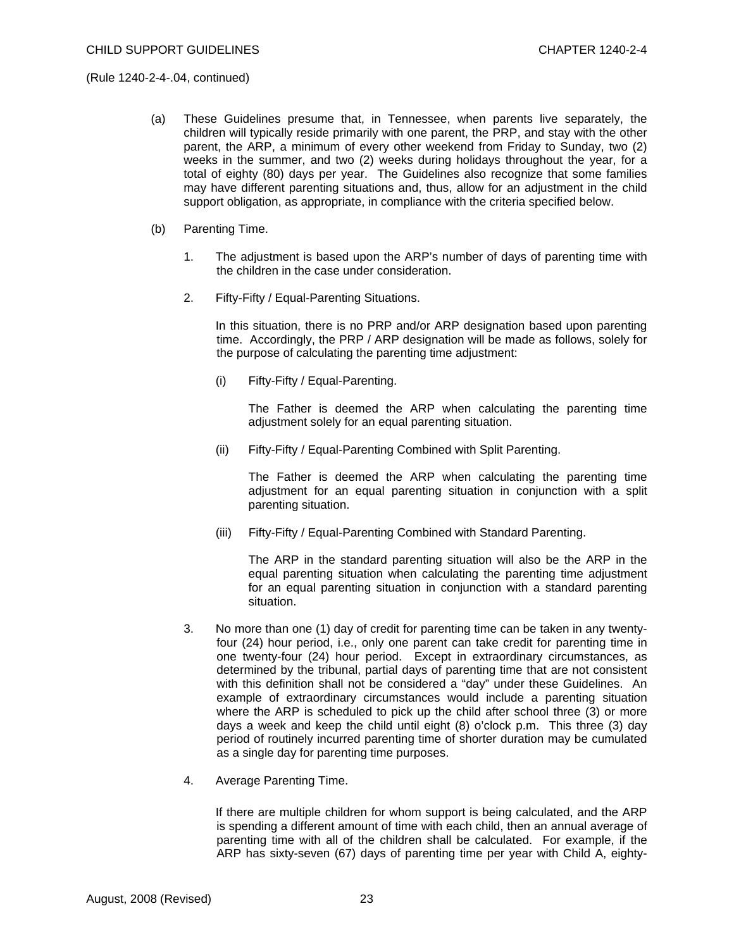- (a) These Guidelines presume that, in Tennessee, when parents live separately, the children will typically reside primarily with one parent, the PRP, and stay with the other parent, the ARP, a minimum of every other weekend from Friday to Sunday, two (2) weeks in the summer, and two (2) weeks during holidays throughout the year, for a total of eighty (80) days per year. The Guidelines also recognize that some families may have different parenting situations and, thus, allow for an adjustment in the child support obligation, as appropriate, in compliance with the criteria specified below.
- (b) Parenting Time.
	- 1. The adjustment is based upon the ARP's number of days of parenting time with the children in the case under consideration.
	- 2. Fifty-Fifty / Equal-Parenting Situations.

 In this situation, there is no PRP and/or ARP designation based upon parenting time. Accordingly, the PRP / ARP designation will be made as follows, solely for the purpose of calculating the parenting time adjustment:

(i) Fifty-Fifty / Equal-Parenting.

 The Father is deemed the ARP when calculating the parenting time adjustment solely for an equal parenting situation.

(ii) Fifty-Fifty / Equal-Parenting Combined with Split Parenting.

 The Father is deemed the ARP when calculating the parenting time adjustment for an equal parenting situation in conjunction with a split parenting situation.

(iii) Fifty-Fifty / Equal-Parenting Combined with Standard Parenting.

 The ARP in the standard parenting situation will also be the ARP in the equal parenting situation when calculating the parenting time adjustment for an equal parenting situation in conjunction with a standard parenting situation.

- 3. No more than one (1) day of credit for parenting time can be taken in any twentyfour (24) hour period, i.e., only one parent can take credit for parenting time in one twenty-four (24) hour period. Except in extraordinary circumstances, as determined by the tribunal, partial days of parenting time that are not consistent with this definition shall not be considered a "day" under these Guidelines. An example of extraordinary circumstances would include a parenting situation where the ARP is scheduled to pick up the child after school three (3) or more days a week and keep the child until eight (8) o'clock p.m. This three (3) day period of routinely incurred parenting time of shorter duration may be cumulated as a single day for parenting time purposes.
- 4. Average Parenting Time.

 If there are multiple children for whom support is being calculated, and the ARP is spending a different amount of time with each child, then an annual average of parenting time with all of the children shall be calculated. For example, if the ARP has sixty-seven (67) days of parenting time per year with Child A, eighty-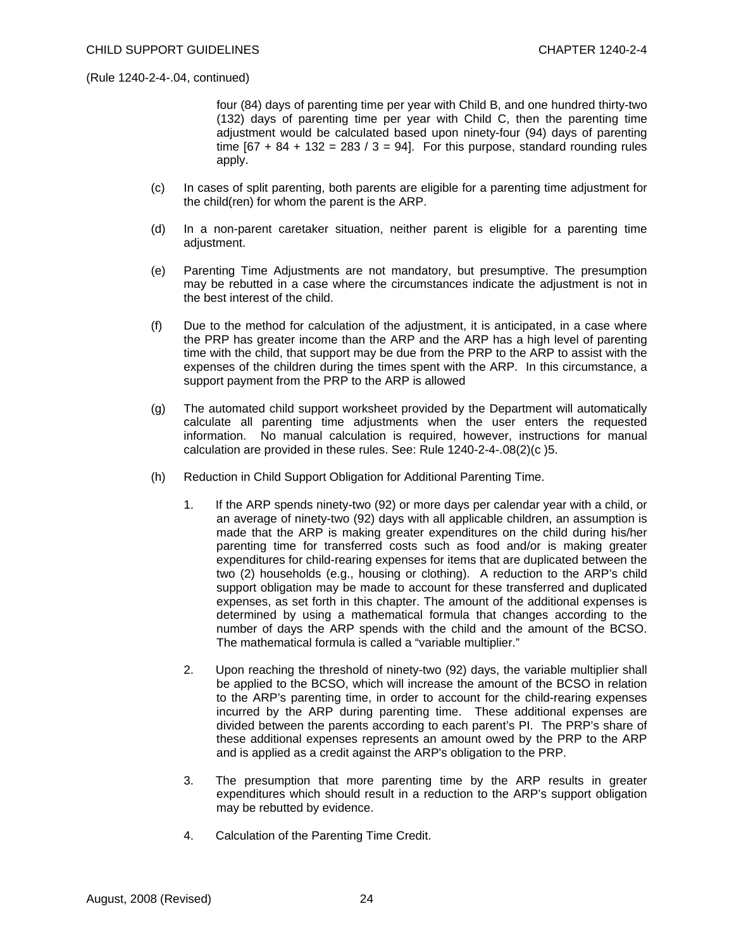four (84) days of parenting time per year with Child B, and one hundred thirty-two (132) days of parenting time per year with Child C, then the parenting time adjustment would be calculated based upon ninety-four (94) days of parenting time  $[67 + 84 + 132 = 283 / 3 = 94]$ . For this purpose, standard rounding rules apply.

- (c) In cases of split parenting, both parents are eligible for a parenting time adjustment for the child(ren) for whom the parent is the ARP.
- (d) In a non-parent caretaker situation, neither parent is eligible for a parenting time adjustment.
- (e) Parenting Time Adjustments are not mandatory, but presumptive. The presumption may be rebutted in a case where the circumstances indicate the adjustment is not in the best interest of the child.
- (f) Due to the method for calculation of the adjustment, it is anticipated, in a case where the PRP has greater income than the ARP and the ARP has a high level of parenting time with the child, that support may be due from the PRP to the ARP to assist with the expenses of the children during the times spent with the ARP. In this circumstance, a support payment from the PRP to the ARP is allowed
- (g) The automated child support worksheet provided by the Department will automatically calculate all parenting time adjustments when the user enters the requested information. No manual calculation is required, however, instructions for manual calculation are provided in these rules. See: Rule 1240-2-4-.08(2)(c )5.
- (h) Reduction in Child Support Obligation for Additional Parenting Time.
	- 1. If the ARP spends ninety-two (92) or more days per calendar year with a child, or an average of ninety-two (92) days with all applicable children, an assumption is made that the ARP is making greater expenditures on the child during his/her parenting time for transferred costs such as food and/or is making greater expenditures for child-rearing expenses for items that are duplicated between the two (2) households (e.g., housing or clothing). A reduction to the ARP's child support obligation may be made to account for these transferred and duplicated expenses, as set forth in this chapter. The amount of the additional expenses is determined by using a mathematical formula that changes according to the number of days the ARP spends with the child and the amount of the BCSO. The mathematical formula is called a "variable multiplier."
	- 2. Upon reaching the threshold of ninety-two (92) days, the variable multiplier shall be applied to the BCSO, which will increase the amount of the BCSO in relation to the ARP's parenting time, in order to account for the child-rearing expenses incurred by the ARP during parenting time. These additional expenses are divided between the parents according to each parent's PI. The PRP's share of these additional expenses represents an amount owed by the PRP to the ARP and is applied as a credit against the ARP's obligation to the PRP.
	- 3. The presumption that more parenting time by the ARP results in greater expenditures which should result in a reduction to the ARP's support obligation may be rebutted by evidence.
	- 4. Calculation of the Parenting Time Credit.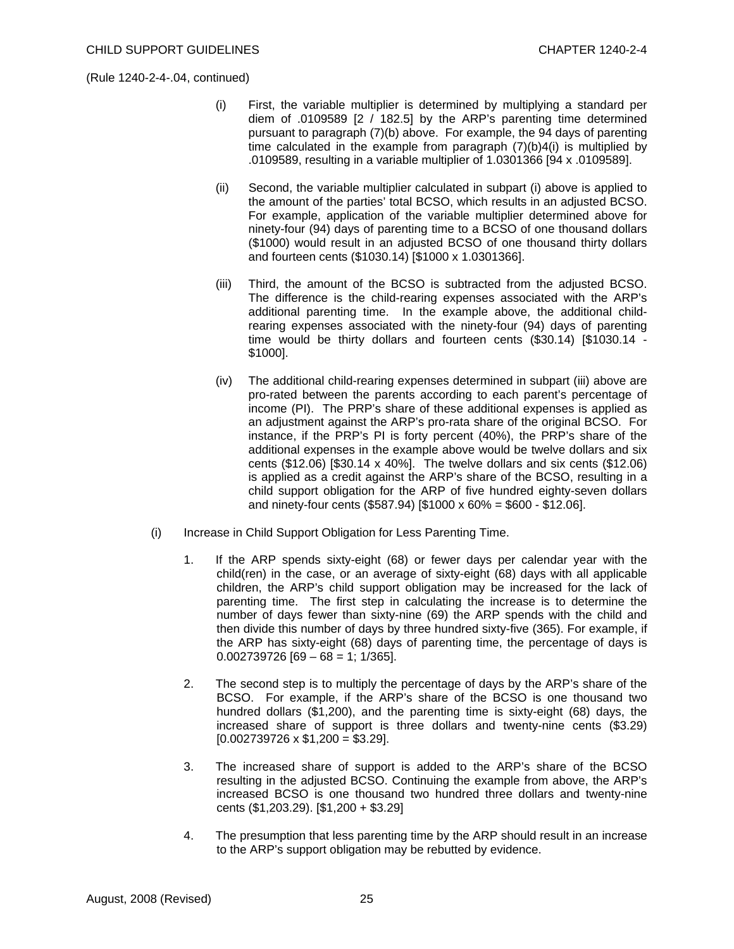- (i) First, the variable multiplier is determined by multiplying a standard per diem of .0109589 [2 / 182.5] by the ARP's parenting time determined pursuant to paragraph (7)(b) above. For example, the 94 days of parenting time calculated in the example from paragraph (7)(b)4(i) is multiplied by .0109589, resulting in a variable multiplier of 1.0301366 [94 x .0109589].
- (ii) Second, the variable multiplier calculated in subpart (i) above is applied to the amount of the parties' total BCSO, which results in an adjusted BCSO. For example, application of the variable multiplier determined above for ninety-four (94) days of parenting time to a BCSO of one thousand dollars (\$1000) would result in an adjusted BCSO of one thousand thirty dollars and fourteen cents (\$1030.14) [\$1000 x 1.0301366].
- (iii) Third, the amount of the BCSO is subtracted from the adjusted BCSO. The difference is the child-rearing expenses associated with the ARP's additional parenting time. In the example above, the additional childrearing expenses associated with the ninety-four (94) days of parenting time would be thirty dollars and fourteen cents (\$30.14) [\$1030.14 - \$1000].
- (iv) The additional child-rearing expenses determined in subpart (iii) above are pro-rated between the parents according to each parent's percentage of income (PI). The PRP's share of these additional expenses is applied as an adjustment against the ARP's pro-rata share of the original BCSO. For instance, if the PRP's PI is forty percent (40%), the PRP's share of the additional expenses in the example above would be twelve dollars and six cents (\$12.06) [\$30.14 x 40%]. The twelve dollars and six cents (\$12.06) is applied as a credit against the ARP's share of the BCSO, resulting in a child support obligation for the ARP of five hundred eighty-seven dollars and ninety-four cents (\$587.94) [\$1000 x 60% = \$600 - \$12.06].
- (i) Increase in Child Support Obligation for Less Parenting Time.
	- 1. If the ARP spends sixty-eight (68) or fewer days per calendar year with the child(ren) in the case, or an average of sixty-eight (68) days with all applicable children, the ARP's child support obligation may be increased for the lack of parenting time. The first step in calculating the increase is to determine the number of days fewer than sixty-nine (69) the ARP spends with the child and then divide this number of days by three hundred sixty-five (365). For example, if the ARP has sixty-eight (68) days of parenting time, the percentage of days is  $0.002739726$  [69 – 68 = 1; 1/365].
	- 2. The second step is to multiply the percentage of days by the ARP's share of the BCSO. For example, if the ARP's share of the BCSO is one thousand two hundred dollars (\$1,200), and the parenting time is sixty-eight (68) days, the increased share of support is three dollars and twenty-nine cents (\$3.29)  $[0.002739726 \times $1,200 = $3.29]$ .
	- 3. The increased share of support is added to the ARP's share of the BCSO resulting in the adjusted BCSO. Continuing the example from above, the ARP's increased BCSO is one thousand two hundred three dollars and twenty-nine cents (\$1,203.29). [\$1,200 + \$3.29]
	- 4. The presumption that less parenting time by the ARP should result in an increase to the ARP's support obligation may be rebutted by evidence.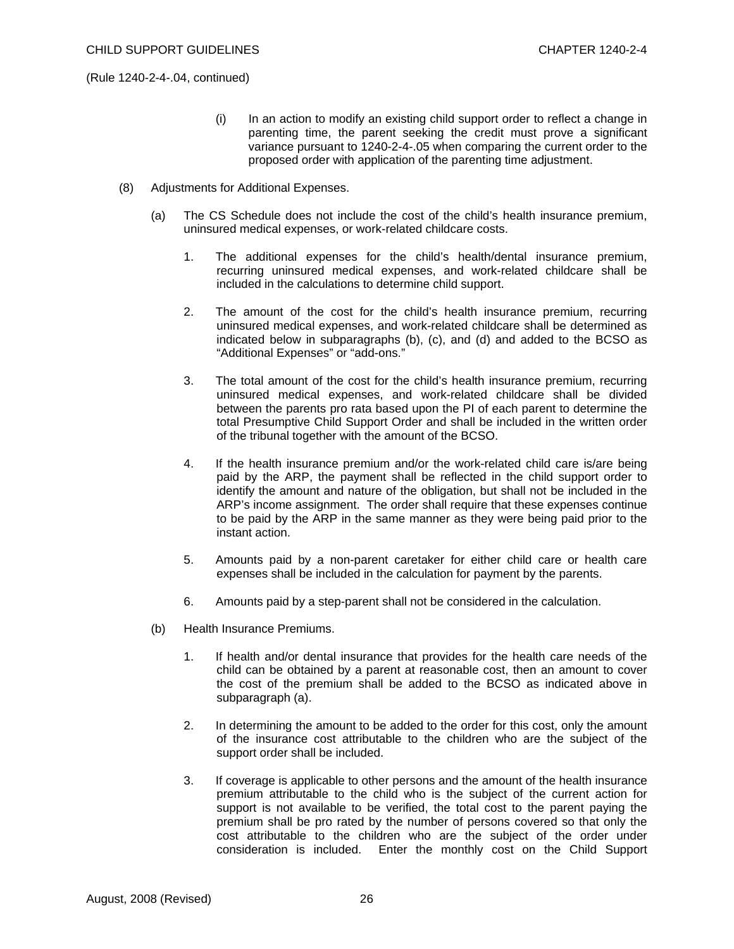- (i) In an action to modify an existing child support order to reflect a change in parenting time, the parent seeking the credit must prove a significant variance pursuant to 1240-2-4-.05 when comparing the current order to the proposed order with application of the parenting time adjustment.
- (8) Adjustments for Additional Expenses.
	- (a) The CS Schedule does not include the cost of the child's health insurance premium, uninsured medical expenses, or work-related childcare costs.
		- 1. The additional expenses for the child's health/dental insurance premium, recurring uninsured medical expenses, and work-related childcare shall be included in the calculations to determine child support.
		- 2. The amount of the cost for the child's health insurance premium, recurring uninsured medical expenses, and work-related childcare shall be determined as indicated below in subparagraphs (b), (c), and (d) and added to the BCSO as "Additional Expenses" or "add-ons."
		- 3. The total amount of the cost for the child's health insurance premium, recurring uninsured medical expenses, and work-related childcare shall be divided between the parents pro rata based upon the PI of each parent to determine the total Presumptive Child Support Order and shall be included in the written order of the tribunal together with the amount of the BCSO.
		- 4. If the health insurance premium and/or the work-related child care is/are being paid by the ARP, the payment shall be reflected in the child support order to identify the amount and nature of the obligation, but shall not be included in the ARP's income assignment. The order shall require that these expenses continue to be paid by the ARP in the same manner as they were being paid prior to the instant action.
		- 5. Amounts paid by a non-parent caretaker for either child care or health care expenses shall be included in the calculation for payment by the parents.
		- 6. Amounts paid by a step-parent shall not be considered in the calculation.
	- (b) Health Insurance Premiums.
		- 1. If health and/or dental insurance that provides for the health care needs of the child can be obtained by a parent at reasonable cost, then an amount to cover the cost of the premium shall be added to the BCSO as indicated above in subparagraph (a).
		- 2. In determining the amount to be added to the order for this cost, only the amount of the insurance cost attributable to the children who are the subject of the support order shall be included.
		- 3. If coverage is applicable to other persons and the amount of the health insurance premium attributable to the child who is the subject of the current action for support is not available to be verified, the total cost to the parent paying the premium shall be pro rated by the number of persons covered so that only the cost attributable to the children who are the subject of the order under consideration is included. Enter the monthly cost on the Child Support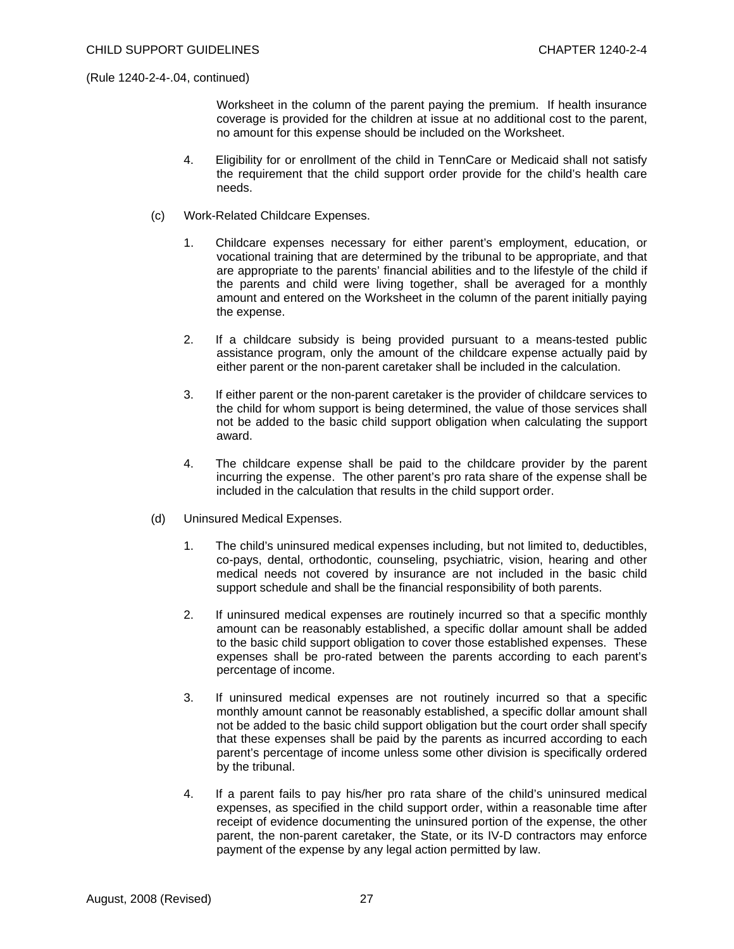Worksheet in the column of the parent paying the premium. If health insurance coverage is provided for the children at issue at no additional cost to the parent, no amount for this expense should be included on the Worksheet.

- 4. Eligibility for or enrollment of the child in TennCare or Medicaid shall not satisfy the requirement that the child support order provide for the child's health care needs.
- (c) Work-Related Childcare Expenses.
	- 1. Childcare expenses necessary for either parent's employment, education, or vocational training that are determined by the tribunal to be appropriate, and that are appropriate to the parents' financial abilities and to the lifestyle of the child if the parents and child were living together, shall be averaged for a monthly amount and entered on the Worksheet in the column of the parent initially paying the expense.
	- 2. If a childcare subsidy is being provided pursuant to a means-tested public assistance program, only the amount of the childcare expense actually paid by either parent or the non-parent caretaker shall be included in the calculation.
	- 3. If either parent or the non-parent caretaker is the provider of childcare services to the child for whom support is being determined, the value of those services shall not be added to the basic child support obligation when calculating the support award.
	- 4. The childcare expense shall be paid to the childcare provider by the parent incurring the expense. The other parent's pro rata share of the expense shall be included in the calculation that results in the child support order.
- (d) Uninsured Medical Expenses.
	- 1. The child's uninsured medical expenses including, but not limited to, deductibles, co-pays, dental, orthodontic, counseling, psychiatric, vision, hearing and other medical needs not covered by insurance are not included in the basic child support schedule and shall be the financial responsibility of both parents.
	- 2. If uninsured medical expenses are routinely incurred so that a specific monthly amount can be reasonably established, a specific dollar amount shall be added to the basic child support obligation to cover those established expenses. These expenses shall be pro-rated between the parents according to each parent's percentage of income.
	- 3. If uninsured medical expenses are not routinely incurred so that a specific monthly amount cannot be reasonably established, a specific dollar amount shall not be added to the basic child support obligation but the court order shall specify that these expenses shall be paid by the parents as incurred according to each parent's percentage of income unless some other division is specifically ordered by the tribunal.
	- 4. If a parent fails to pay his/her pro rata share of the child's uninsured medical expenses, as specified in the child support order, within a reasonable time after receipt of evidence documenting the uninsured portion of the expense, the other parent, the non-parent caretaker, the State, or its IV-D contractors may enforce payment of the expense by any legal action permitted by law.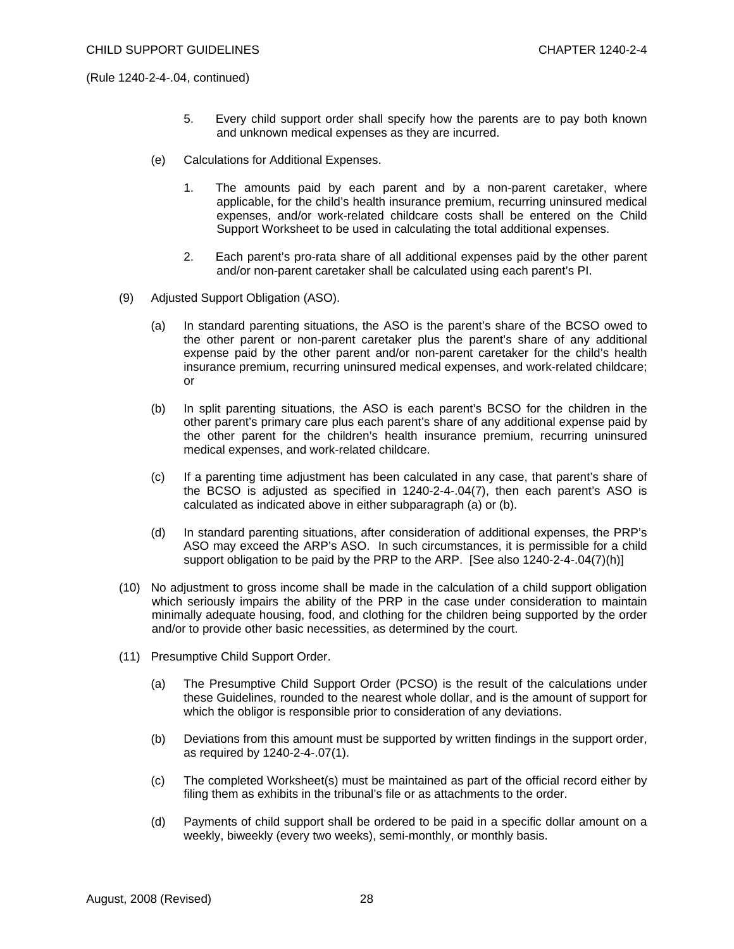- 5. Every child support order shall specify how the parents are to pay both known and unknown medical expenses as they are incurred.
- (e) Calculations for Additional Expenses.
	- 1. The amounts paid by each parent and by a non-parent caretaker, where applicable, for the child's health insurance premium, recurring uninsured medical expenses, and/or work-related childcare costs shall be entered on the Child Support Worksheet to be used in calculating the total additional expenses.
	- 2. Each parent's pro-rata share of all additional expenses paid by the other parent and/or non-parent caretaker shall be calculated using each parent's PI.
- (9) Adjusted Support Obligation (ASO).
	- (a) In standard parenting situations, the ASO is the parent's share of the BCSO owed to the other parent or non-parent caretaker plus the parent's share of any additional expense paid by the other parent and/or non-parent caretaker for the child's health insurance premium, recurring uninsured medical expenses, and work-related childcare; or
	- (b) In split parenting situations, the ASO is each parent's BCSO for the children in the other parent's primary care plus each parent's share of any additional expense paid by the other parent for the children's health insurance premium, recurring uninsured medical expenses, and work-related childcare.
	- (c) If a parenting time adjustment has been calculated in any case, that parent's share of the BCSO is adjusted as specified in 1240-2-4-.04(7), then each parent's ASO is calculated as indicated above in either subparagraph (a) or (b).
	- (d) In standard parenting situations, after consideration of additional expenses, the PRP's ASO may exceed the ARP's ASO. In such circumstances, it is permissible for a child support obligation to be paid by the PRP to the ARP. [See also 1240-2-4-.04(7)(h)]
- (10) No adjustment to gross income shall be made in the calculation of a child support obligation which seriously impairs the ability of the PRP in the case under consideration to maintain minimally adequate housing, food, and clothing for the children being supported by the order and/or to provide other basic necessities, as determined by the court.
- (11) Presumptive Child Support Order.
	- (a) The Presumptive Child Support Order (PCSO) is the result of the calculations under these Guidelines, rounded to the nearest whole dollar, and is the amount of support for which the obligor is responsible prior to consideration of any deviations.
	- (b) Deviations from this amount must be supported by written findings in the support order, as required by 1240-2-4-.07(1).
	- (c) The completed Worksheet(s) must be maintained as part of the official record either by filing them as exhibits in the tribunal's file or as attachments to the order.
	- (d) Payments of child support shall be ordered to be paid in a specific dollar amount on a weekly, biweekly (every two weeks), semi-monthly, or monthly basis.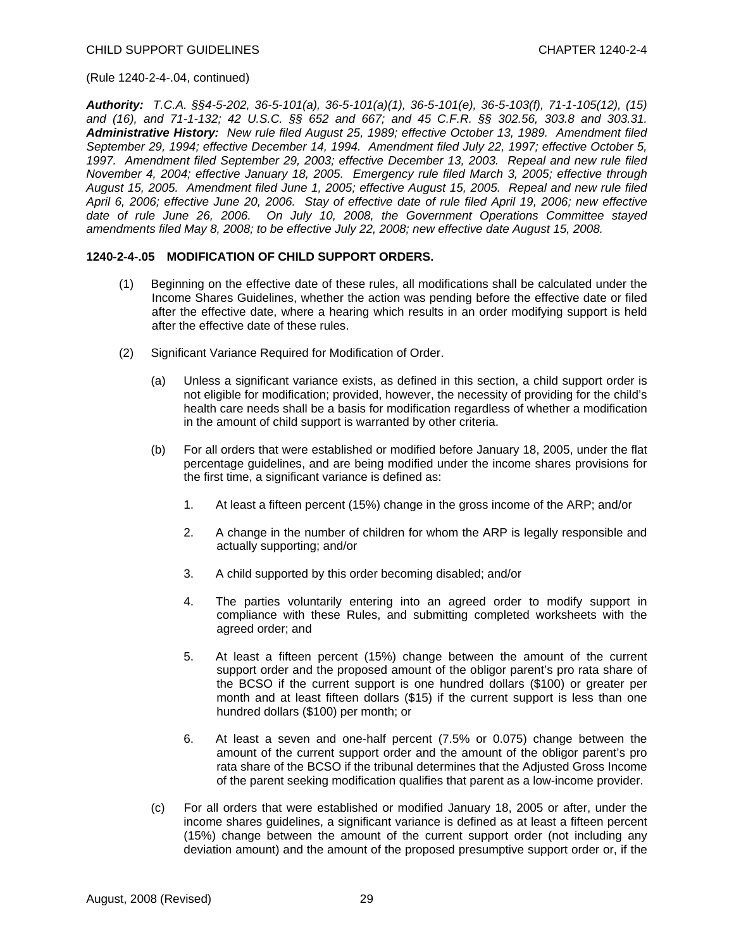*Authority: T.C.A. §§4-5-202, 36-5-101(a), 36-5-101(a)(1), 36-5-101(e), 36-5-103(f), 71-1-105(12), (15) and (16), and 71-1-132; 42 U.S.C. §§ 652 and 667; and 45 C.F.R. §§ 302.56, 303.8 and 303.31. Administrative History: New rule filed August 25, 1989; effective October 13, 1989. Amendment filed September 29, 1994; effective December 14, 1994. Amendment filed July 22, 1997; effective October 5, 1997. Amendment filed September 29, 2003; effective December 13, 2003. Repeal and new rule filed November 4, 2004; effective January 18, 2005. Emergency rule filed March 3, 2005; effective through August 15, 2005. Amendment filed June 1, 2005; effective August 15, 2005. Repeal and new rule filed April 6, 2006; effective June 20, 2006. Stay of effective date of rule filed April 19, 2006; new effective date of rule June 26, 2006. On July 10, 2008, the Government Operations Committee stayed amendments filed May 8, 2008; to be effective July 22, 2008; new effective date August 15, 2008.* 

### **1240-2-4-.05 MODIFICATION OF CHILD SUPPORT ORDERS.**

- (1) Beginning on the effective date of these rules, all modifications shall be calculated under the Income Shares Guidelines, whether the action was pending before the effective date or filed after the effective date, where a hearing which results in an order modifying support is held after the effective date of these rules.
- (2) Significant Variance Required for Modification of Order.
	- (a) Unless a significant variance exists, as defined in this section, a child support order is not eligible for modification; provided, however, the necessity of providing for the child's health care needs shall be a basis for modification regardless of whether a modification in the amount of child support is warranted by other criteria.
	- (b) For all orders that were established or modified before January 18, 2005, under the flat percentage guidelines, and are being modified under the income shares provisions for the first time, a significant variance is defined as:
		- 1. At least a fifteen percent (15%) change in the gross income of the ARP; and/or
		- 2. A change in the number of children for whom the ARP is legally responsible and actually supporting; and/or
		- 3. A child supported by this order becoming disabled; and/or
		- 4. The parties voluntarily entering into an agreed order to modify support in compliance with these Rules, and submitting completed worksheets with the agreed order; and
		- 5. At least a fifteen percent (15%) change between the amount of the current support order and the proposed amount of the obligor parent's pro rata share of the BCSO if the current support is one hundred dollars (\$100) or greater per month and at least fifteen dollars (\$15) if the current support is less than one hundred dollars (\$100) per month; or
		- 6. At least a seven and one-half percent (7.5% or 0.075) change between the amount of the current support order and the amount of the obligor parent's pro rata share of the BCSO if the tribunal determines that the Adjusted Gross Income of the parent seeking modification qualifies that parent as a low-income provider.
	- (c) For all orders that were established or modified January 18, 2005 or after, under the income shares guidelines, a significant variance is defined as at least a fifteen percent (15%) change between the amount of the current support order (not including any deviation amount) and the amount of the proposed presumptive support order or, if the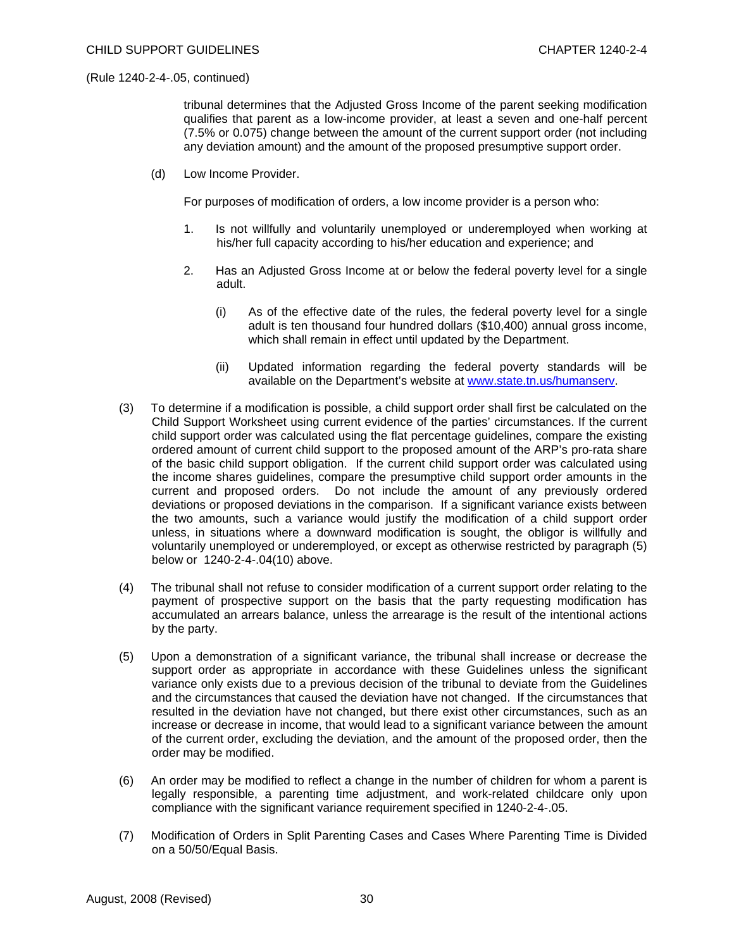tribunal determines that the Adjusted Gross Income of the parent seeking modification qualifies that parent as a low-income provider, at least a seven and one-half percent (7.5% or 0.075) change between the amount of the current support order (not including any deviation amount) and the amount of the proposed presumptive support order.

(d) Low Income Provider.

For purposes of modification of orders, a low income provider is a person who:

- 1. Is not willfully and voluntarily unemployed or underemployed when working at his/her full capacity according to his/her education and experience; and
- 2. Has an Adjusted Gross Income at or below the federal poverty level for a single adult.
	- (i) As of the effective date of the rules, the federal poverty level for a single adult is ten thousand four hundred dollars (\$10,400) annual gross income, which shall remain in effect until updated by the Department.
	- (ii) Updated information regarding the federal poverty standards will be available on the Department's website at [www.state.tn.us/humanserv](http://www.state.tn.us/humanserv).
- (3) To determine if a modification is possible, a child support order shall first be calculated on the Child Support Worksheet using current evidence of the parties' circumstances. If the current child support order was calculated using the flat percentage guidelines, compare the existing ordered amount of current child support to the proposed amount of the ARP's pro-rata share of the basic child support obligation. If the current child support order was calculated using the income shares guidelines, compare the presumptive child support order amounts in the current and proposed orders. Do not include the amount of any previously ordered deviations or proposed deviations in the comparison. If a significant variance exists between the two amounts, such a variance would justify the modification of a child support order unless, in situations where a downward modification is sought, the obligor is willfully and voluntarily unemployed or underemployed, or except as otherwise restricted by paragraph (5) below or 1240-2-4-.04(10) above.
- (4) The tribunal shall not refuse to consider modification of a current support order relating to the payment of prospective support on the basis that the party requesting modification has accumulated an arrears balance, unless the arrearage is the result of the intentional actions by the party.
- (5) Upon a demonstration of a significant variance, the tribunal shall increase or decrease the support order as appropriate in accordance with these Guidelines unless the significant variance only exists due to a previous decision of the tribunal to deviate from the Guidelines and the circumstances that caused the deviation have not changed. If the circumstances that resulted in the deviation have not changed, but there exist other circumstances, such as an increase or decrease in income, that would lead to a significant variance between the amount of the current order, excluding the deviation, and the amount of the proposed order, then the order may be modified.
- (6) An order may be modified to reflect a change in the number of children for whom a parent is legally responsible, a parenting time adjustment, and work-related childcare only upon compliance with the significant variance requirement specified in 1240-2-4-.05.
- (7) Modification of Orders in Split Parenting Cases and Cases Where Parenting Time is Divided on a 50/50/Equal Basis.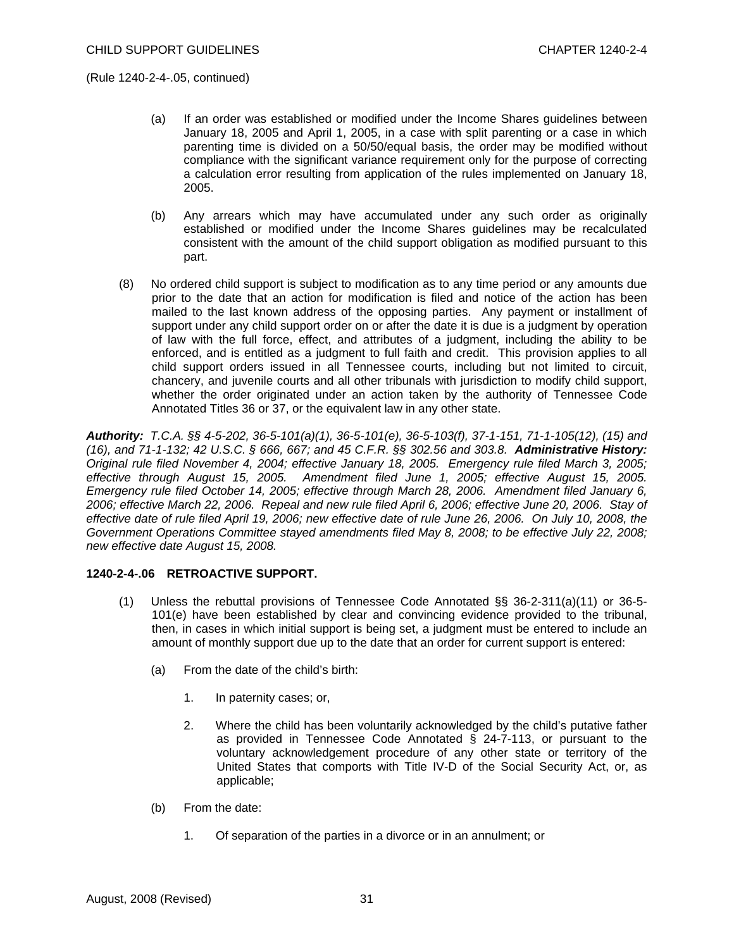- (a) If an order was established or modified under the Income Shares guidelines between January 18, 2005 and April 1, 2005, in a case with split parenting or a case in which parenting time is divided on a 50/50/equal basis, the order may be modified without compliance with the significant variance requirement only for the purpose of correcting a calculation error resulting from application of the rules implemented on January 18, 2005.
- (b) Any arrears which may have accumulated under any such order as originally established or modified under the Income Shares guidelines may be recalculated consistent with the amount of the child support obligation as modified pursuant to this part.
- (8) No ordered child support is subject to modification as to any time period or any amounts due prior to the date that an action for modification is filed and notice of the action has been mailed to the last known address of the opposing parties. Any payment or installment of support under any child support order on or after the date it is due is a judgment by operation of law with the full force, effect, and attributes of a judgment, including the ability to be enforced, and is entitled as a judgment to full faith and credit. This provision applies to all child support orders issued in all Tennessee courts, including but not limited to circuit, chancery, and juvenile courts and all other tribunals with jurisdiction to modify child support, whether the order originated under an action taken by the authority of Tennessee Code Annotated Titles 36 or 37, or the equivalent law in any other state.

*Authority: T.C.A. §§ 4-5-202, 36-5-101(a)(1), 36-5-101(e), 36-5-103(f), 37-1-151, 71-1-105(12), (15) and (16), and 71-1-132; 42 U.S.C. § 666, 667; and 45 C.F.R. §§ 302.56 and 303.8. Administrative History: Original rule filed November 4, 2004; effective January 18, 2005. Emergency rule filed March 3, 2005; effective through August 15, 2005. Amendment filed June 1, 2005; effective August 15, 2005. Emergency rule filed October 14, 2005; effective through March 28, 2006. Amendment filed January 6, 2006; effective March 22, 2006. Repeal and new rule filed April 6, 2006; effective June 20, 2006. Stay of effective date of rule filed April 19, 2006; new effective date of rule June 26, 2006. On July 10, 2008, the Government Operations Committee stayed amendments filed May 8, 2008; to be effective July 22, 2008; new effective date August 15, 2008.* 

### **1240-2-4-.06 RETROACTIVE SUPPORT.**

- (1) Unless the rebuttal provisions of Tennessee Code Annotated §§ 36-2-311(a)(11) or 36-5- 101(e) have been established by clear and convincing evidence provided to the tribunal, then, in cases in which initial support is being set, a judgment must be entered to include an amount of monthly support due up to the date that an order for current support is entered:
	- (a) From the date of the child's birth:
		- 1. In paternity cases; or,
		- 2. Where the child has been voluntarily acknowledged by the child's putative father as provided in Tennessee Code Annotated  $\tilde{\S}$  24-7-113, or pursuant to the voluntary acknowledgement procedure of any other state or territory of the United States that comports with Title IV-D of the Social Security Act, or, as applicable;
	- (b) From the date:
		- 1. Of separation of the parties in a divorce or in an annulment; or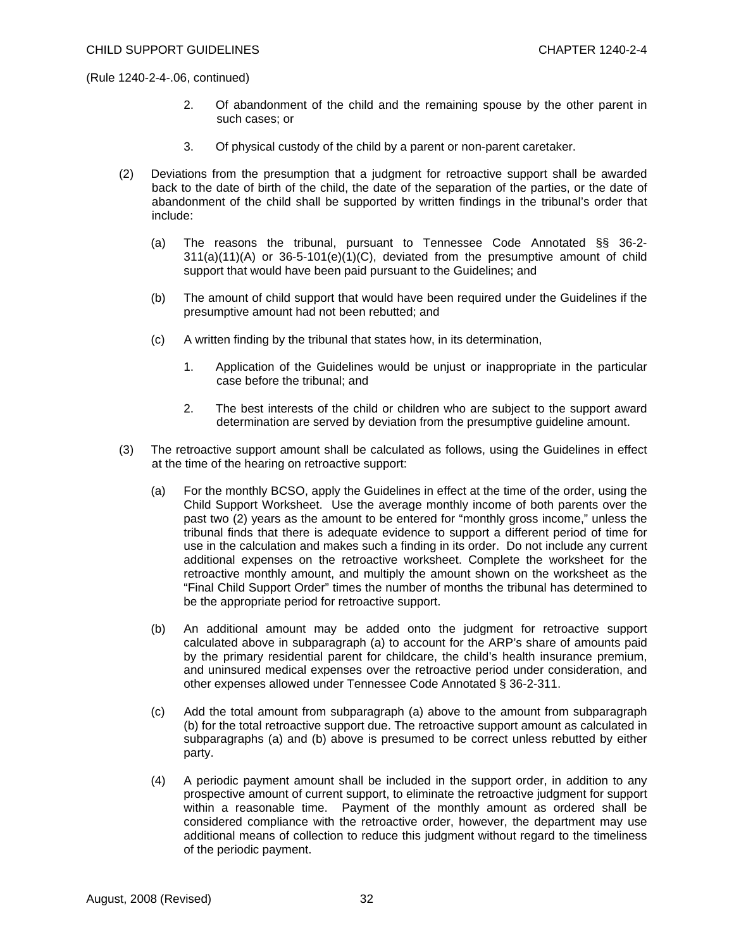- 2. Of abandonment of the child and the remaining spouse by the other parent in such cases; or
- 3. Of physical custody of the child by a parent or non-parent caretaker.
- (2) Deviations from the presumption that a judgment for retroactive support shall be awarded back to the date of birth of the child, the date of the separation of the parties, or the date of abandonment of the child shall be supported by written findings in the tribunal's order that include:
	- (a) The reasons the tribunal, pursuant to Tennessee Code Annotated §§ 36-2-  $311(a)(11)(A)$  or  $36-5-101(e)(1)(C)$ , deviated from the presumptive amount of child support that would have been paid pursuant to the Guidelines; and
	- (b) The amount of child support that would have been required under the Guidelines if the presumptive amount had not been rebutted; and
	- (c) A written finding by the tribunal that states how, in its determination,
		- 1. Application of the Guidelines would be unjust or inappropriate in the particular case before the tribunal; and
		- 2. The best interests of the child or children who are subject to the support award determination are served by deviation from the presumptive guideline amount.
- (3) The retroactive support amount shall be calculated as follows, using the Guidelines in effect at the time of the hearing on retroactive support:
	- (a) For the monthly BCSO, apply the Guidelines in effect at the time of the order, using the Child Support Worksheet. Use the average monthly income of both parents over the past two (2) years as the amount to be entered for "monthly gross income," unless the tribunal finds that there is adequate evidence to support a different period of time for use in the calculation and makes such a finding in its order. Do not include any current additional expenses on the retroactive worksheet. Complete the worksheet for the retroactive monthly amount, and multiply the amount shown on the worksheet as the "Final Child Support Order" times the number of months the tribunal has determined to be the appropriate period for retroactive support.
	- (b) An additional amount may be added onto the judgment for retroactive support calculated above in subparagraph (a) to account for the ARP's share of amounts paid by the primary residential parent for childcare, the child's health insurance premium, and uninsured medical expenses over the retroactive period under consideration, and other expenses allowed under Tennessee Code Annotated § 36-2-311.
	- (c) Add the total amount from subparagraph (a) above to the amount from subparagraph (b) for the total retroactive support due. The retroactive support amount as calculated in subparagraphs (a) and (b) above is presumed to be correct unless rebutted by either party.
	- (4) A periodic payment amount shall be included in the support order, in addition to any prospective amount of current support, to eliminate the retroactive judgment for support within a reasonable time. Payment of the monthly amount as ordered shall be considered compliance with the retroactive order, however, the department may use additional means of collection to reduce this judgment without regard to the timeliness of the periodic payment.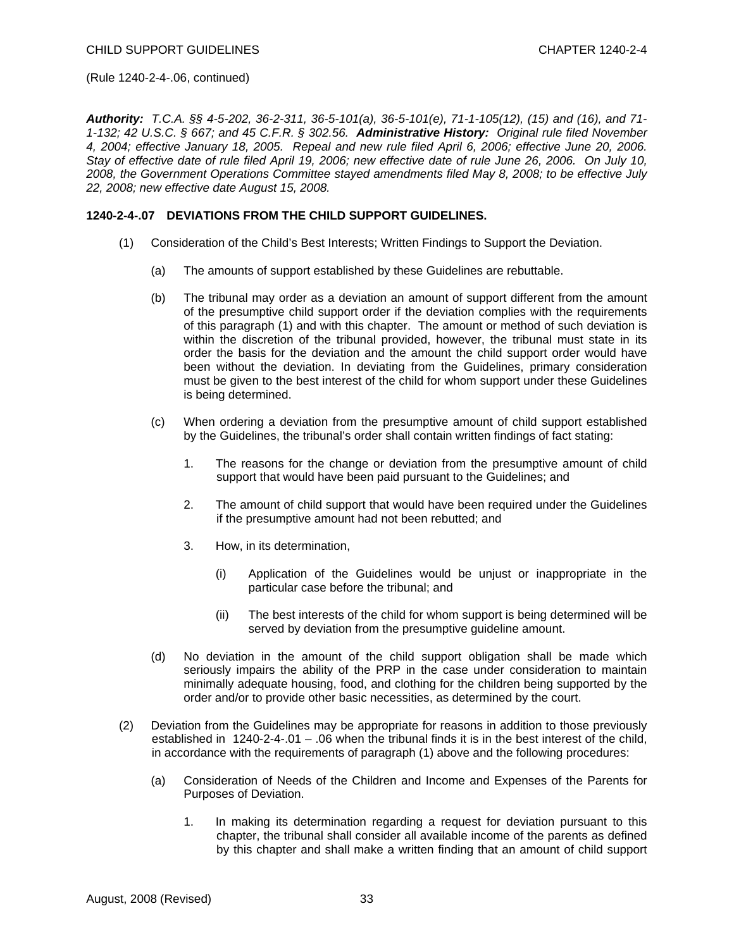*Authority: T.C.A. §§ 4-5-202, 36-2-311, 36-5-101(a), 36-5-101(e), 71-1-105(12), (15) and (16), and 71- 1-132; 42 U.S.C. § 667; and 45 C.F.R. § 302.56. Administrative History: Original rule filed November 4, 2004; effective January 18, 2005. Repeal and new rule filed April 6, 2006; effective June 20, 2006. Stay of effective date of rule filed April 19, 2006; new effective date of rule June 26, 2006. On July 10, 2008, the Government Operations Committee stayed amendments filed May 8, 2008; to be effective July 22, 2008; new effective date August 15, 2008.* 

### **1240-2-4-.07 DEVIATIONS FROM THE CHILD SUPPORT GUIDELINES.**

- (1) Consideration of the Child's Best Interests; Written Findings to Support the Deviation.
	- (a) The amounts of support established by these Guidelines are rebuttable.
	- (b) The tribunal may order as a deviation an amount of support different from the amount of the presumptive child support order if the deviation complies with the requirements of this paragraph (1) and with this chapter. The amount or method of such deviation is within the discretion of the tribunal provided, however, the tribunal must state in its order the basis for the deviation and the amount the child support order would have been without the deviation. In deviating from the Guidelines, primary consideration must be given to the best interest of the child for whom support under these Guidelines is being determined.
	- (c) When ordering a deviation from the presumptive amount of child support established by the Guidelines, the tribunal's order shall contain written findings of fact stating:
		- 1. The reasons for the change or deviation from the presumptive amount of child support that would have been paid pursuant to the Guidelines; and
		- 2. The amount of child support that would have been required under the Guidelines if the presumptive amount had not been rebutted; and
		- 3. How, in its determination,
			- (i) Application of the Guidelines would be unjust or inappropriate in the particular case before the tribunal; and
			- (ii) The best interests of the child for whom support is being determined will be served by deviation from the presumptive guideline amount.
	- (d) No deviation in the amount of the child support obligation shall be made which seriously impairs the ability of the PRP in the case under consideration to maintain minimally adequate housing, food, and clothing for the children being supported by the order and/or to provide other basic necessities, as determined by the court.
- (2) Deviation from the Guidelines may be appropriate for reasons in addition to those previously established in  $1240-2-4-01 - 06$  when the tribunal finds it is in the best interest of the child, in accordance with the requirements of paragraph (1) above and the following procedures:
	- (a) Consideration of Needs of the Children and Income and Expenses of the Parents for Purposes of Deviation.
		- 1. In making its determination regarding a request for deviation pursuant to this chapter, the tribunal shall consider all available income of the parents as defined by this chapter and shall make a written finding that an amount of child support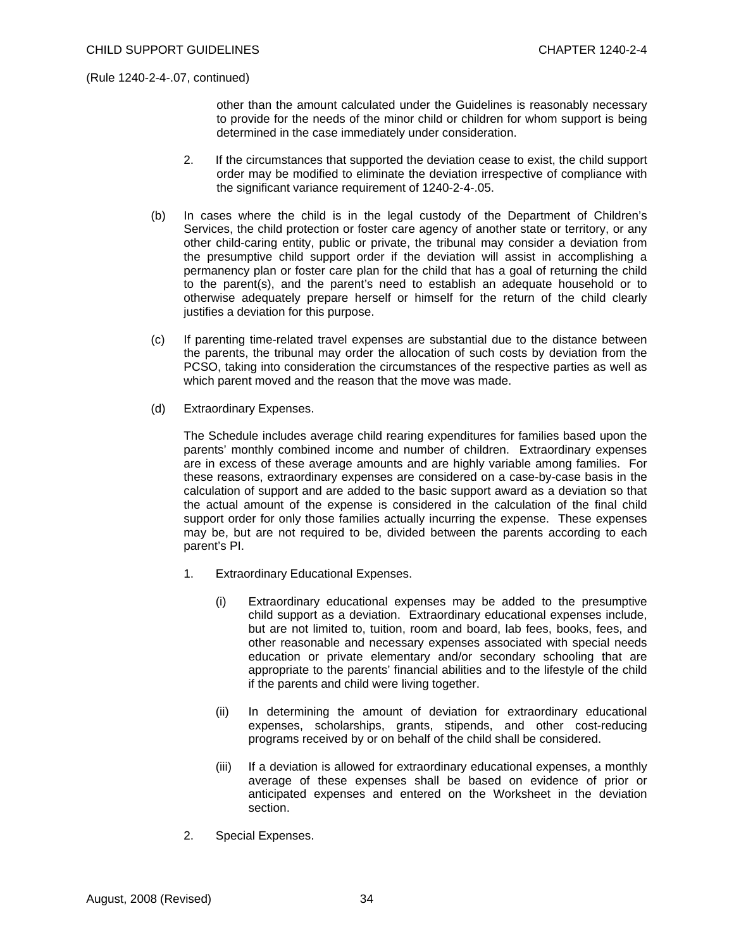other than the amount calculated under the Guidelines is reasonably necessary to provide for the needs of the minor child or children for whom support is being determined in the case immediately under consideration.

- 2. If the circumstances that supported the deviation cease to exist, the child support order may be modified to eliminate the deviation irrespective of compliance with the significant variance requirement of 1240-2-4-.05.
- (b) In cases where the child is in the legal custody of the Department of Children's Services, the child protection or foster care agency of another state or territory, or any other child-caring entity, public or private, the tribunal may consider a deviation from the presumptive child support order if the deviation will assist in accomplishing a permanency plan or foster care plan for the child that has a goal of returning the child to the parent(s), and the parent's need to establish an adequate household or to otherwise adequately prepare herself or himself for the return of the child clearly justifies a deviation for this purpose.
- (c) If parenting time-related travel expenses are substantial due to the distance between the parents, the tribunal may order the allocation of such costs by deviation from the PCSO, taking into consideration the circumstances of the respective parties as well as which parent moved and the reason that the move was made.
- (d) Extraordinary Expenses.

 The Schedule includes average child rearing expenditures for families based upon the parents' monthly combined income and number of children. Extraordinary expenses are in excess of these average amounts and are highly variable among families. For these reasons, extraordinary expenses are considered on a case-by-case basis in the calculation of support and are added to the basic support award as a deviation so that the actual amount of the expense is considered in the calculation of the final child support order for only those families actually incurring the expense. These expenses may be, but are not required to be, divided between the parents according to each parent's PI.

- 1. Extraordinary Educational Expenses.
	- (i) Extraordinary educational expenses may be added to the presumptive child support as a deviation. Extraordinary educational expenses include, but are not limited to, tuition, room and board, lab fees, books, fees, and other reasonable and necessary expenses associated with special needs education or private elementary and/or secondary schooling that are appropriate to the parents' financial abilities and to the lifestyle of the child if the parents and child were living together.
	- (ii) In determining the amount of deviation for extraordinary educational expenses, scholarships, grants, stipends, and other cost-reducing programs received by or on behalf of the child shall be considered.
	- (iii) If a deviation is allowed for extraordinary educational expenses, a monthly average of these expenses shall be based on evidence of prior or anticipated expenses and entered on the Worksheet in the deviation section.
- 2. Special Expenses.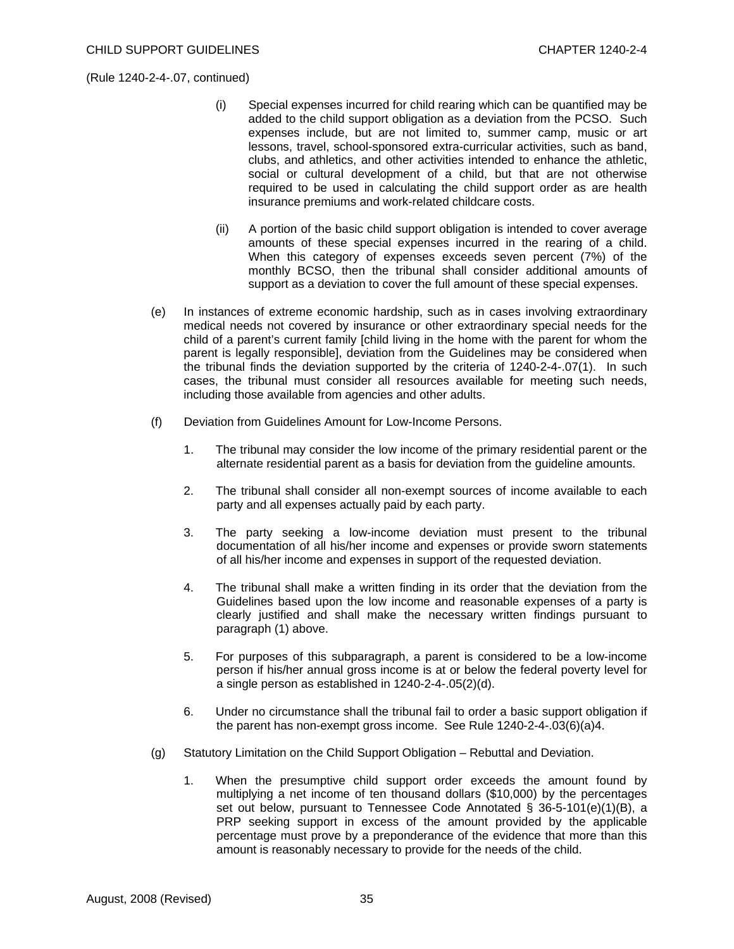- (i) Special expenses incurred for child rearing which can be quantified may be added to the child support obligation as a deviation from the PCSO. Such expenses include, but are not limited to, summer camp, music or art lessons, travel, school-sponsored extra-curricular activities, such as band, clubs, and athletics, and other activities intended to enhance the athletic, social or cultural development of a child, but that are not otherwise required to be used in calculating the child support order as are health insurance premiums and work-related childcare costs.
- (ii) A portion of the basic child support obligation is intended to cover average amounts of these special expenses incurred in the rearing of a child. When this category of expenses exceeds seven percent (7%) of the monthly BCSO, then the tribunal shall consider additional amounts of support as a deviation to cover the full amount of these special expenses.
- (e) In instances of extreme economic hardship, such as in cases involving extraordinary medical needs not covered by insurance or other extraordinary special needs for the child of a parent's current family [child living in the home with the parent for whom the parent is legally responsible], deviation from the Guidelines may be considered when the tribunal finds the deviation supported by the criteria of 1240-2-4-.07(1). In such cases, the tribunal must consider all resources available for meeting such needs, including those available from agencies and other adults.
- (f) Deviation from Guidelines Amount for Low-Income Persons.
	- 1. The tribunal may consider the low income of the primary residential parent or the alternate residential parent as a basis for deviation from the guideline amounts.
	- 2. The tribunal shall consider all non-exempt sources of income available to each party and all expenses actually paid by each party.
	- 3. The party seeking a low-income deviation must present to the tribunal documentation of all his/her income and expenses or provide sworn statements of all his/her income and expenses in support of the requested deviation.
	- 4. The tribunal shall make a written finding in its order that the deviation from the Guidelines based upon the low income and reasonable expenses of a party is clearly justified and shall make the necessary written findings pursuant to paragraph (1) above.
	- 5. For purposes of this subparagraph, a parent is considered to be a low-income person if his/her annual gross income is at or below the federal poverty level for a single person as established in 1240-2-4-.05(2)(d).
	- 6. Under no circumstance shall the tribunal fail to order a basic support obligation if the parent has non-exempt gross income. See Rule 1240-2-4-.03(6)(a)4.
- (g) Statutory Limitation on the Child Support Obligation Rebuttal and Deviation.
	- 1. When the presumptive child support order exceeds the amount found by multiplying a net income of ten thousand dollars (\$10,000) by the percentages set out below, pursuant to Tennessee Code Annotated  $\S$  36-5-101(e)(1)(B), a PRP seeking support in excess of the amount provided by the applicable percentage must prove by a preponderance of the evidence that more than this amount is reasonably necessary to provide for the needs of the child.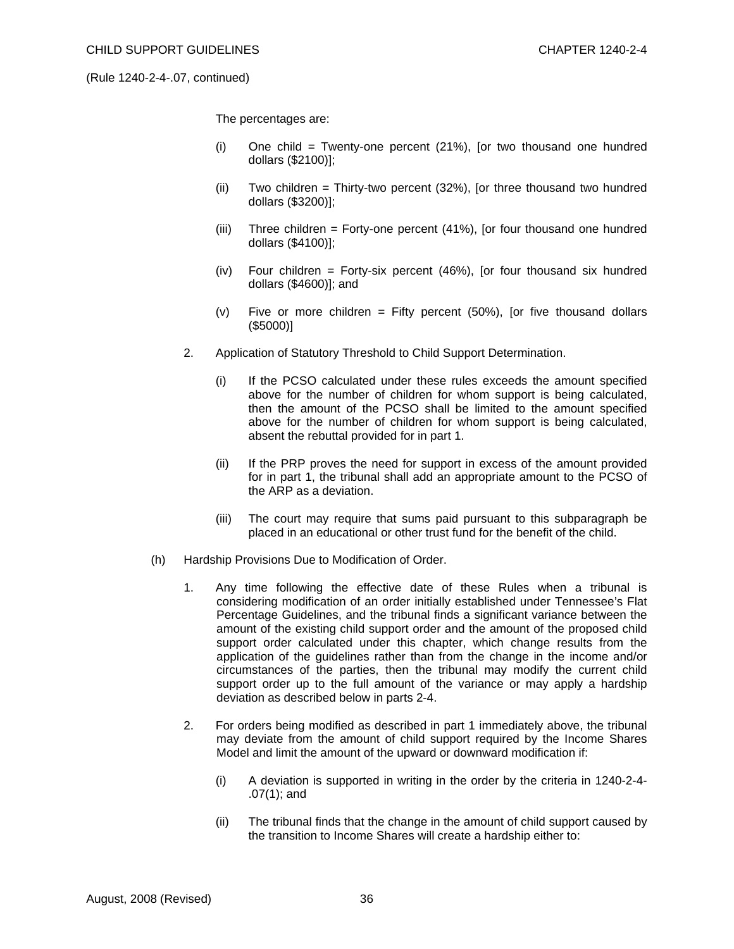The percentages are:

- (i) One child = Twenty-one percent (21%), [or two thousand one hundred dollars (\$2100)];
- (ii) Two children = Thirty-two percent  $(32%)$ , [or three thousand two hundred dollars (\$3200)];
- (iii) Three children = Forty-one percent (41%), [or four thousand one hundred dollars (\$4100)];
- (iv) Four children = Forty-six percent (46%), [or four thousand six hundred dollars (\$4600)]; and
- (v) Five or more children  $=$  Fifty percent (50%), [or five thousand dollars (\$5000)]
- 2. Application of Statutory Threshold to Child Support Determination.
	- (i) If the PCSO calculated under these rules exceeds the amount specified above for the number of children for whom support is being calculated, then the amount of the PCSO shall be limited to the amount specified above for the number of children for whom support is being calculated, absent the rebuttal provided for in part 1.
	- (ii) If the PRP proves the need for support in excess of the amount provided for in part 1, the tribunal shall add an appropriate amount to the PCSO of the ARP as a deviation.
	- (iii) The court may require that sums paid pursuant to this subparagraph be placed in an educational or other trust fund for the benefit of the child.
- (h) Hardship Provisions Due to Modification of Order.
	- 1. Any time following the effective date of these Rules when a tribunal is considering modification of an order initially established under Tennessee's Flat Percentage Guidelines, and the tribunal finds a significant variance between the amount of the existing child support order and the amount of the proposed child support order calculated under this chapter, which change results from the application of the guidelines rather than from the change in the income and/or circumstances of the parties, then the tribunal may modify the current child support order up to the full amount of the variance or may apply a hardship deviation as described below in parts 2-4.
	- 2. For orders being modified as described in part 1 immediately above, the tribunal may deviate from the amount of child support required by the Income Shares Model and limit the amount of the upward or downward modification if:
		- (i) A deviation is supported in writing in the order by the criteria in 1240-2-4- .07(1); and
		- (ii) The tribunal finds that the change in the amount of child support caused by the transition to Income Shares will create a hardship either to: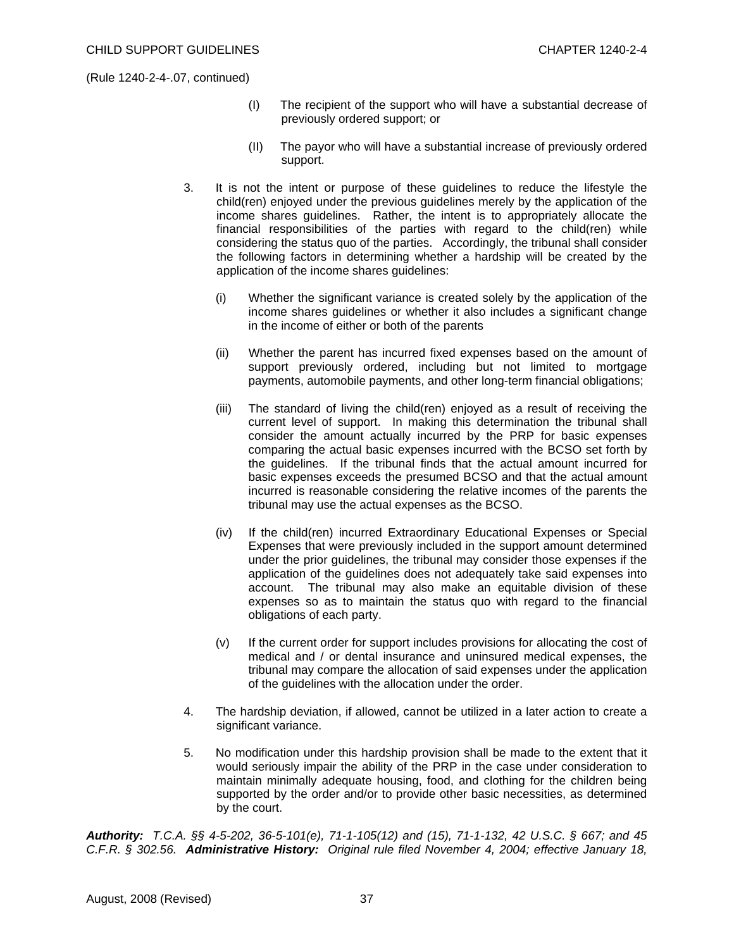- (I) The recipient of the support who will have a substantial decrease of previously ordered support; or
- (II) The payor who will have a substantial increase of previously ordered support.
- 3. It is not the intent or purpose of these guidelines to reduce the lifestyle the child(ren) enjoyed under the previous guidelines merely by the application of the income shares guidelines. Rather, the intent is to appropriately allocate the financial responsibilities of the parties with regard to the child(ren) while considering the status quo of the parties. Accordingly, the tribunal shall consider the following factors in determining whether a hardship will be created by the application of the income shares guidelines:
	- (i) Whether the significant variance is created solely by the application of the income shares guidelines or whether it also includes a significant change in the income of either or both of the parents
	- (ii) Whether the parent has incurred fixed expenses based on the amount of support previously ordered, including but not limited to mortgage payments, automobile payments, and other long-term financial obligations;
	- (iii) The standard of living the child(ren) enjoyed as a result of receiving the current level of support. In making this determination the tribunal shall consider the amount actually incurred by the PRP for basic expenses comparing the actual basic expenses incurred with the BCSO set forth by the guidelines. If the tribunal finds that the actual amount incurred for basic expenses exceeds the presumed BCSO and that the actual amount incurred is reasonable considering the relative incomes of the parents the tribunal may use the actual expenses as the BCSO.
	- (iv) If the child(ren) incurred Extraordinary Educational Expenses or Special Expenses that were previously included in the support amount determined under the prior guidelines, the tribunal may consider those expenses if the application of the guidelines does not adequately take said expenses into account. The tribunal may also make an equitable division of these expenses so as to maintain the status quo with regard to the financial obligations of each party.
	- (v) If the current order for support includes provisions for allocating the cost of medical and / or dental insurance and uninsured medical expenses, the tribunal may compare the allocation of said expenses under the application of the guidelines with the allocation under the order.
- 4. The hardship deviation, if allowed, cannot be utilized in a later action to create a significant variance.
- 5. No modification under this hardship provision shall be made to the extent that it would seriously impair the ability of the PRP in the case under consideration to maintain minimally adequate housing, food, and clothing for the children being supported by the order and/or to provide other basic necessities, as determined by the court.

*Authority: T.C.A. §§ 4-5-202, 36-5-101(e), 71-1-105(12) and (15), 71-1-132, 42 U.S.C. § 667; and 45 C.F.R. § 302.56. Administrative History: Original rule filed November 4, 2004; effective January 18,*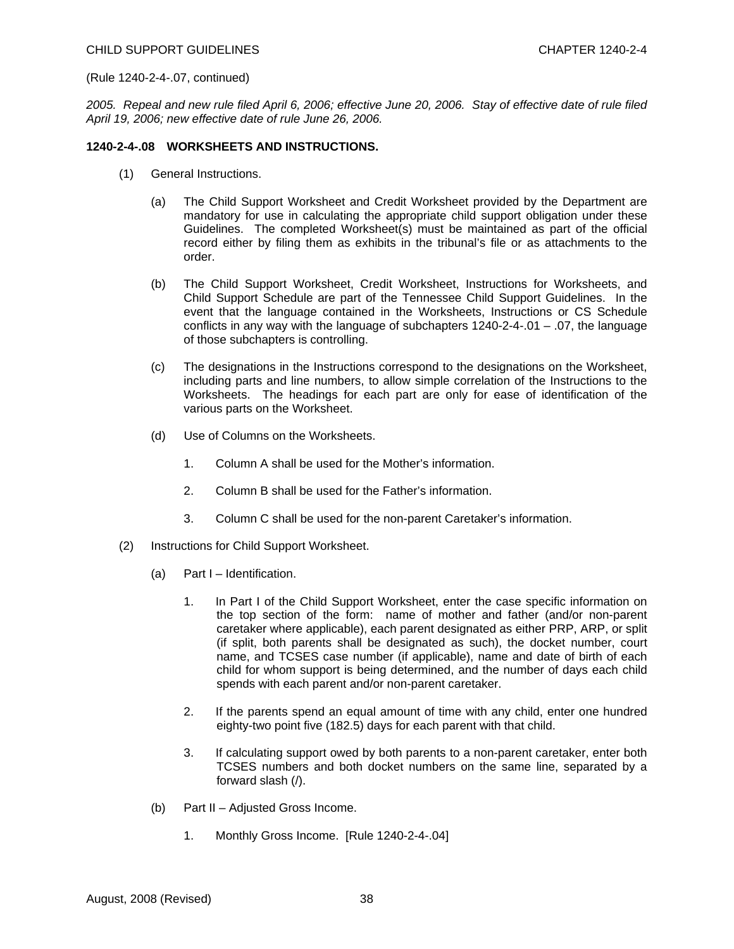*2005. Repeal and new rule filed April 6, 2006; effective June 20, 2006. Stay of effective date of rule filed April 19, 2006; new effective date of rule June 26, 2006.* 

### **1240-2-4-.08 WORKSHEETS AND INSTRUCTIONS.**

- (1) General Instructions.
	- (a) The Child Support Worksheet and Credit Worksheet provided by the Department are mandatory for use in calculating the appropriate child support obligation under these Guidelines. The completed Worksheet(s) must be maintained as part of the official record either by filing them as exhibits in the tribunal's file or as attachments to the order.
	- (b) The Child Support Worksheet, Credit Worksheet, Instructions for Worksheets, and Child Support Schedule are part of the Tennessee Child Support Guidelines. In the event that the language contained in the Worksheets, Instructions or CS Schedule conflicts in any way with the language of subchapters  $1240-2-4-01 - 07$ , the language of those subchapters is controlling.
	- (c) The designations in the Instructions correspond to the designations on the Worksheet, including parts and line numbers, to allow simple correlation of the Instructions to the Worksheets. The headings for each part are only for ease of identification of the various parts on the Worksheet.
	- (d) Use of Columns on the Worksheets.
		- 1. Column A shall be used for the Mother's information.
		- 2. Column B shall be used for the Father's information.
		- 3. Column C shall be used for the non-parent Caretaker's information.
- (2) Instructions for Child Support Worksheet.
	- (a) Part I Identification.
		- 1. In Part I of the Child Support Worksheet, enter the case specific information on the top section of the form: name of mother and father (and/or non-parent caretaker where applicable), each parent designated as either PRP, ARP, or split (if split, both parents shall be designated as such), the docket number, court name, and TCSES case number (if applicable), name and date of birth of each child for whom support is being determined, and the number of days each child spends with each parent and/or non-parent caretaker.
		- 2. If the parents spend an equal amount of time with any child, enter one hundred eighty-two point five (182.5) days for each parent with that child.
		- 3. If calculating support owed by both parents to a non-parent caretaker, enter both TCSES numbers and both docket numbers on the same line, separated by a forward slash (/).
	- (b) Part II Adjusted Gross Income.
		- 1. Monthly Gross Income. [Rule 1240-2-4-.04]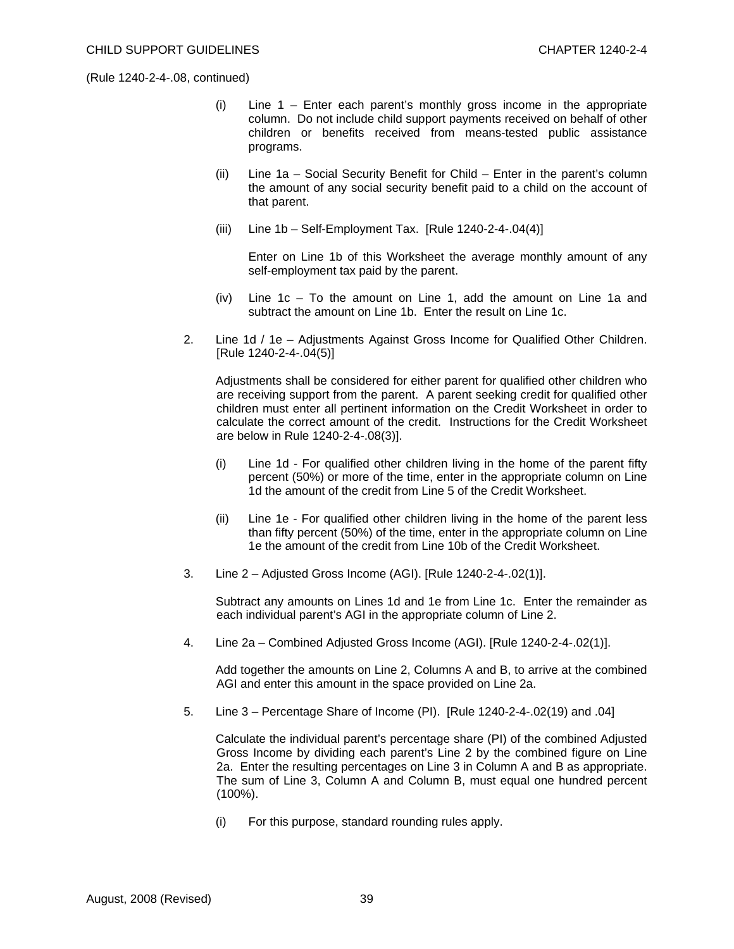- (i) Line 1 Enter each parent's monthly gross income in the appropriate column. Do not include child support payments received on behalf of other children or benefits received from means-tested public assistance programs.
- (ii) Line 1a Social Security Benefit for Child Enter in the parent's column the amount of any social security benefit paid to a child on the account of that parent.
- (iii) Line  $1b Self-Employment Tax.$  [Rule  $1240-2-4-04(4)$ ]

 Enter on Line 1b of this Worksheet the average monthly amount of any self-employment tax paid by the parent.

- (iv) Line  $1c To$  the amount on Line 1, add the amount on Line 1a and subtract the amount on Line 1b. Enter the result on Line 1c.
- 2. Line 1d / 1e Adjustments Against Gross Income for Qualified Other Children. [Rule 1240-2-4-.04(5)]

 Adjustments shall be considered for either parent for qualified other children who are receiving support from the parent. A parent seeking credit for qualified other children must enter all pertinent information on the Credit Worksheet in order to calculate the correct amount of the credit. Instructions for the Credit Worksheet are below in Rule 1240-2-4-.08(3)].

- (i) Line 1d For qualified other children living in the home of the parent fifty percent (50%) or more of the time, enter in the appropriate column on Line 1d the amount of the credit from Line 5 of the Credit Worksheet.
- (ii) Line 1e For qualified other children living in the home of the parent less than fifty percent (50%) of the time, enter in the appropriate column on Line 1e the amount of the credit from Line 10b of the Credit Worksheet.
- 3. Line 2 Adjusted Gross Income (AGI). [Rule 1240-2-4-.02(1)].

 Subtract any amounts on Lines 1d and 1e from Line 1c. Enter the remainder as each individual parent's AGI in the appropriate column of Line 2.

4. Line 2a – Combined Adjusted Gross Income (AGI). [Rule 1240-2-4-.02(1)].

 Add together the amounts on Line 2, Columns A and B, to arrive at the combined AGI and enter this amount in the space provided on Line 2a.

5. Line 3 – Percentage Share of Income (PI).[Rule 1240-2-4-.02(19) and .04]

 Calculate the individual parent's percentage share (PI) of the combined Adjusted Gross Income by dividing each parent's Line 2 by the combined figure on Line 2a. Enter the resulting percentages on Line 3 in Column A and B as appropriate. The sum of Line 3, Column A and Column B, must equal one hundred percent  $(100\%)$ .

(i) For this purpose, standard rounding rules apply.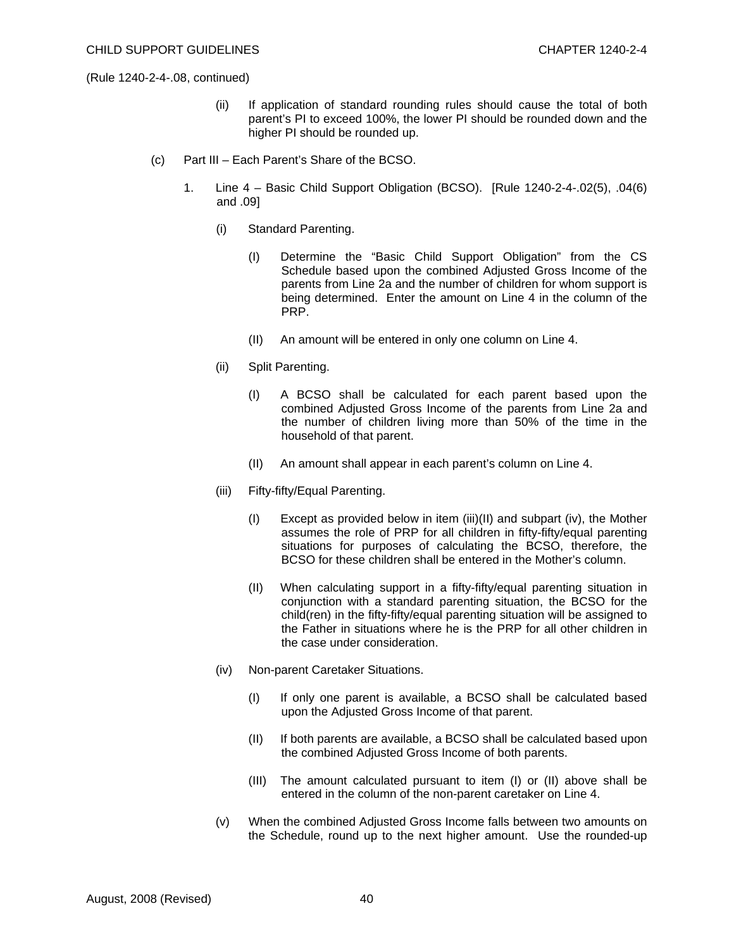- (ii) If application of standard rounding rules should cause the total of both parent's PI to exceed 100%, the lower PI should be rounded down and the higher PI should be rounded up.
- (c) Part III Each Parent's Share of the BCSO.
	- 1. Line 4 Basic Child Support Obligation (BCSO). [Rule 1240-2-4-.02(5), .04(6) and .09]
		- (i) Standard Parenting.
			- (I) Determine the "Basic Child Support Obligation" from the CS Schedule based upon the combined Adjusted Gross Income of the parents from Line 2a and the number of children for whom support is being determined. Enter the amount on Line 4 in the column of the PRP.
			- (II) An amount will be entered in only one column on Line 4.
		- (ii) Split Parenting.
			- (I) A BCSO shall be calculated for each parent based upon the combined Adjusted Gross Income of the parents from Line 2a and the number of children living more than 50% of the time in the household of that parent.
			- (II) An amount shall appear in each parent's column on Line 4.
		- (iii) Fifty-fifty/Equal Parenting.
			- (I) Except as provided below in item (iii)(II) and subpart (iv), the Mother assumes the role of PRP for all children in fifty-fifty/equal parenting situations for purposes of calculating the BCSO, therefore, the BCSO for these children shall be entered in the Mother's column.
			- (II) When calculating support in a fifty-fifty/equal parenting situation in conjunction with a standard parenting situation, the BCSO for the child(ren) in the fifty-fifty/equal parenting situation will be assigned to the Father in situations where he is the PRP for all other children in the case under consideration.
		- (iv) Non-parent Caretaker Situations.
			- (I) If only one parent is available, a BCSO shall be calculated based upon the Adjusted Gross Income of that parent.
			- (II) If both parents are available, a BCSO shall be calculated based upon the combined Adjusted Gross Income of both parents.
			- (III) The amount calculated pursuant to item (I) or (II) above shall be entered in the column of the non-parent caretaker on Line 4.
		- (v) When the combined Adjusted Gross Income falls between two amounts on the Schedule, round up to the next higher amount. Use the rounded-up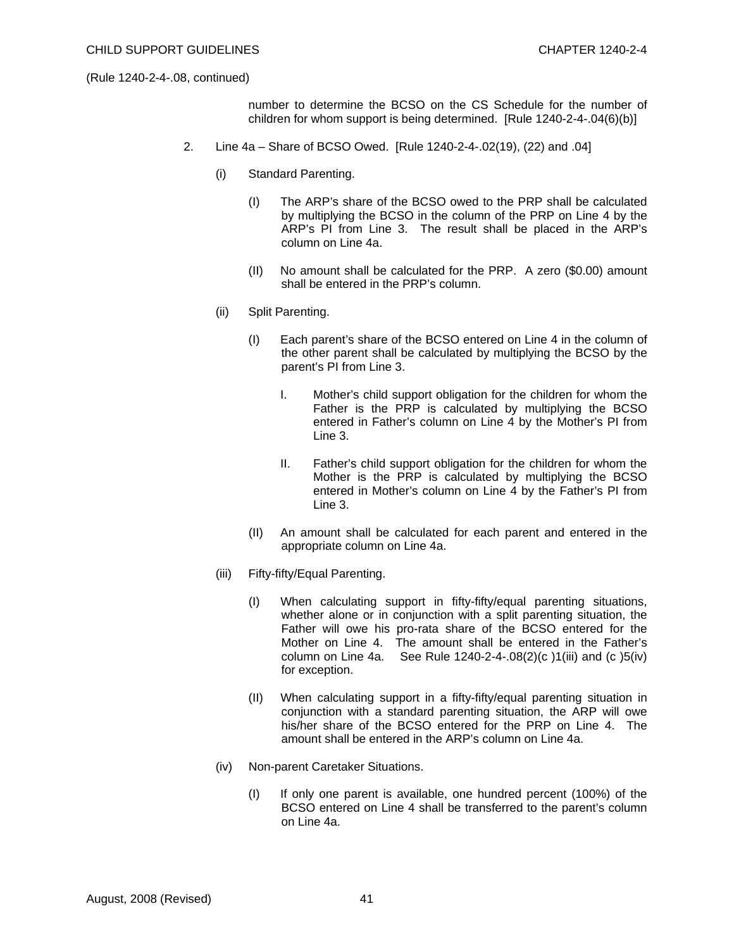number to determine the BCSO on the CS Schedule for the number of children for whom support is being determined. [Rule 1240-2-4-.04(6)(b)]

- 2. Line 4a Share of BCSO Owed. [Rule 1240-2-4-.02(19), (22) and .04]
	- (i) Standard Parenting.
		- (I) The ARP's share of the BCSO owed to the PRP shall be calculated by multiplying the BCSO in the column of the PRP on Line 4 by the ARP's PI from Line 3. The result shall be placed in the ARP's column on Line 4a.
		- (II) No amount shall be calculated for the PRP. A zero (\$0.00) amount shall be entered in the PRP's column.
	- (ii) Split Parenting.
		- (I) Each parent's share of the BCSO entered on Line 4 in the column of the other parent shall be calculated by multiplying the BCSO by the parent's PI from Line 3.
			- I. Mother's child support obligation for the children for whom the Father is the PRP is calculated by multiplying the BCSO entered in Father's column on Line 4 by the Mother's PI from Line 3.
			- II. Father's child support obligation for the children for whom the Mother is the PRP is calculated by multiplying the BCSO entered in Mother's column on Line 4 by the Father's PI from Line 3.
		- (II) An amount shall be calculated for each parent and entered in the appropriate column on Line 4a.
	- (iii) Fifty-fifty/Equal Parenting.
		- (I) When calculating support in fifty-fifty/equal parenting situations, whether alone or in conjunction with a split parenting situation, the Father will owe his pro-rata share of the BCSO entered for the Mother on Line 4. The amount shall be entered in the Father's column on Line 4a. See Rule  $1240-2-4-08(2)(c)1(iii)$  and  $(c)5(iv)$ for exception.
		- (II) When calculating support in a fifty-fifty/equal parenting situation in conjunction with a standard parenting situation, the ARP will owe his/her share of the BCSO entered for the PRP on Line 4. The amount shall be entered in the ARP's column on Line 4a.
	- (iv) Non-parent Caretaker Situations.
		- (I) If only one parent is available, one hundred percent (100%) of the BCSO entered on Line 4 shall be transferred to the parent's column on Line 4a.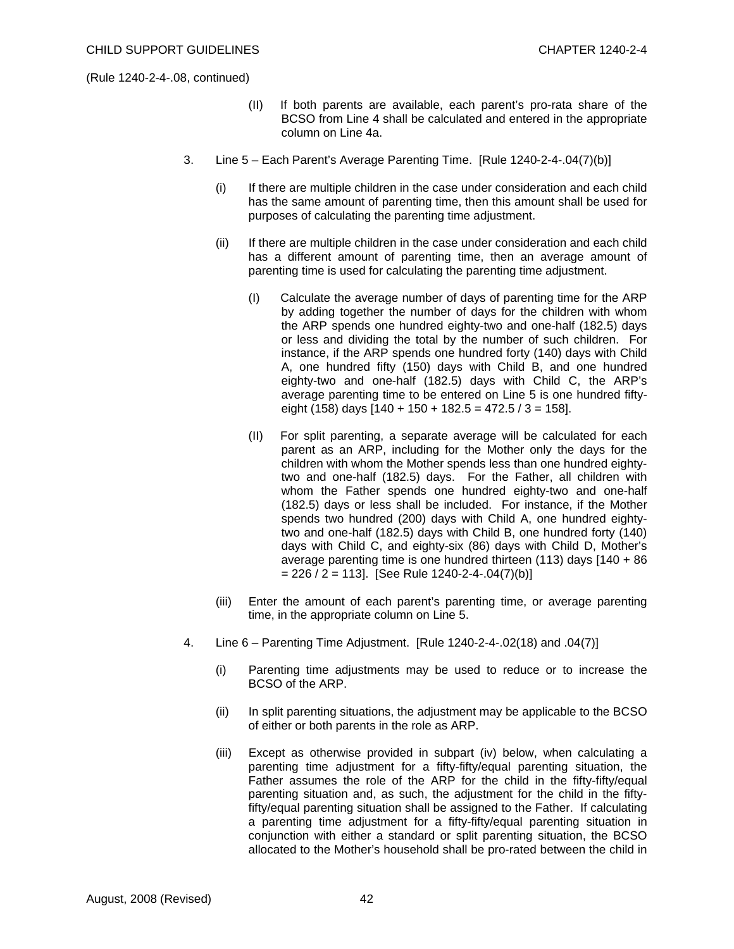- (II) If both parents are available, each parent's pro-rata share of the BCSO from Line 4 shall be calculated and entered in the appropriate column on Line 4a.
- 3. Line 5 Each Parent's Average Parenting Time. [Rule 1240-2-4-.04(7)(b)]
	- (i) If there are multiple children in the case under consideration and each child has the same amount of parenting time, then this amount shall be used for purposes of calculating the parenting time adjustment.
	- (ii) If there are multiple children in the case under consideration and each child has a different amount of parenting time, then an average amount of parenting time is used for calculating the parenting time adjustment.
		- (I) Calculate the average number of days of parenting time for the ARP by adding together the number of days for the children with whom the ARP spends one hundred eighty-two and one-half (182.5) days or less and dividing the total by the number of such children. For instance, if the ARP spends one hundred forty (140) days with Child A, one hundred fifty (150) days with Child B, and one hundred eighty-two and one-half (182.5) days with Child C, the ARP's average parenting time to be entered on Line 5 is one hundred fiftyeight (158) days  $[140 + 150 + 182.5 = 472.5 / 3 = 158]$ .
		- (II) For split parenting, a separate average will be calculated for each parent as an ARP, including for the Mother only the days for the children with whom the Mother spends less than one hundred eightytwo and one-half (182.5) days. For the Father, all children with whom the Father spends one hundred eighty-two and one-half (182.5) days or less shall be included. For instance, if the Mother spends two hundred (200) days with Child A, one hundred eightytwo and one-half (182.5) days with Child B, one hundred forty (140) days with Child C, and eighty-six (86) days with Child D, Mother's average parenting time is one hundred thirteen (113) days [140 + 86  $= 226 / 2 = 113$ ]. [See Rule 1240-2-4-.04(7)(b)]
	- (iii) Enter the amount of each parent's parenting time, or average parenting time, in the appropriate column on Line 5.
- 4. Line 6 Parenting Time Adjustment. [Rule 1240-2-4-.02(18) and .04(7)]
	- (i) Parenting time adjustments may be used to reduce or to increase the BCSO of the ARP.
	- (ii) In split parenting situations, the adjustment may be applicable to the BCSO of either or both parents in the role as ARP.
	- (iii) Except as otherwise provided in subpart (iv) below, when calculating a parenting time adjustment for a fifty-fifty/equal parenting situation, the Father assumes the role of the ARP for the child in the fifty-fifty/equal parenting situation and, as such, the adjustment for the child in the fiftyfifty/equal parenting situation shall be assigned to the Father. If calculating a parenting time adjustment for a fifty-fifty/equal parenting situation in conjunction with either a standard or split parenting situation, the BCSO allocated to the Mother's household shall be pro-rated between the child in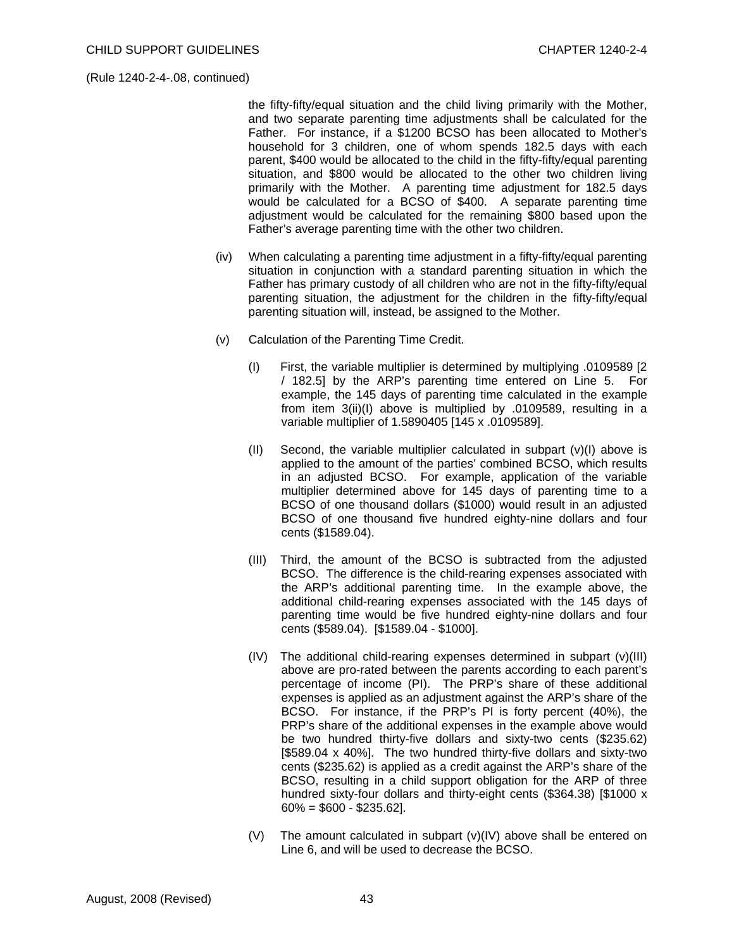the fifty-fifty/equal situation and the child living primarily with the Mother, and two separate parenting time adjustments shall be calculated for the Father. For instance, if a \$1200 BCSO has been allocated to Mother's household for 3 children, one of whom spends 182.5 days with each parent, \$400 would be allocated to the child in the fifty-fifty/equal parenting situation, and \$800 would be allocated to the other two children living primarily with the Mother. A parenting time adjustment for 182.5 days would be calculated for a BCSO of \$400. A separate parenting time adjustment would be calculated for the remaining \$800 based upon the Father's average parenting time with the other two children.

- (iv) When calculating a parenting time adjustment in a fifty-fifty/equal parenting situation in conjunction with a standard parenting situation in which the Father has primary custody of all children who are not in the fifty-fifty/equal parenting situation, the adjustment for the children in the fifty-fifty/equal parenting situation will, instead, be assigned to the Mother.
- (v) Calculation of the Parenting Time Credit.
	- (I) First, the variable multiplier is determined by multiplying .0109589 [2 / 182.5] by the ARP's parenting time entered on Line 5. For example, the 145 days of parenting time calculated in the example from item 3(ii)(I) above is multiplied by .0109589, resulting in a variable multiplier of 1.5890405 [145 x .0109589].
	- (II) Second, the variable multiplier calculated in subpart  $(v)(I)$  above is applied to the amount of the parties' combined BCSO, which results in an adjusted BCSO. For example, application of the variable multiplier determined above for 145 days of parenting time to a BCSO of one thousand dollars (\$1000) would result in an adjusted BCSO of one thousand five hundred eighty-nine dollars and four cents (\$1589.04).
	- (III) Third, the amount of the BCSO is subtracted from the adjusted BCSO. The difference is the child-rearing expenses associated with the ARP's additional parenting time. In the example above, the additional child-rearing expenses associated with the 145 days of parenting time would be five hundred eighty-nine dollars and four cents (\$589.04). [\$1589.04 - \$1000].
	- (IV) The additional child-rearing expenses determined in subpart (v)(III) above are pro-rated between the parents according to each parent's percentage of income (PI). The PRP's share of these additional expenses is applied as an adjustment against the ARP's share of the BCSO. For instance, if the PRP's PI is forty percent (40%), the PRP's share of the additional expenses in the example above would be two hundred thirty-five dollars and sixty-two cents (\$235.62) [\$589.04 x 40%]. The two hundred thirty-five dollars and sixty-two cents (\$235.62) is applied as a credit against the ARP's share of the BCSO, resulting in a child support obligation for the ARP of three hundred sixty-four dollars and thirty-eight cents (\$364.38) [\$1000 x 60% = \$600 - \$235.62].
	- (V) The amount calculated in subpart (v)(IV) above shall be entered on Line 6, and will be used to decrease the BCSO.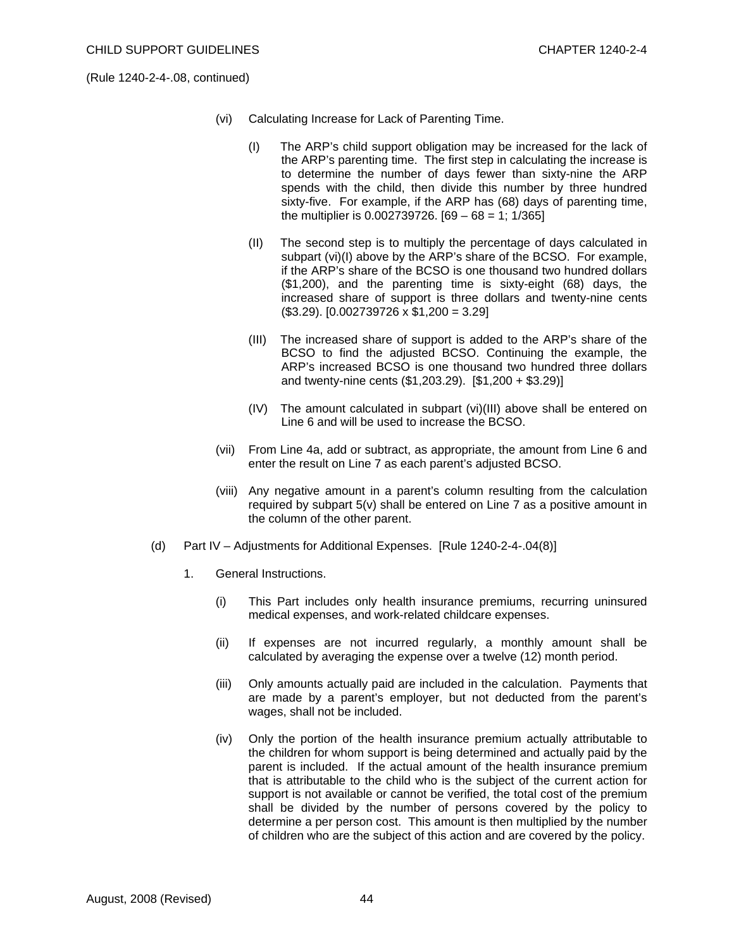- (vi) Calculating Increase for Lack of Parenting Time.
	- (I) The ARP's child support obligation may be increased for the lack of the ARP's parenting time. The first step in calculating the increase is to determine the number of days fewer than sixty-nine the ARP spends with the child, then divide this number by three hundred sixty-five. For example, if the ARP has (68) days of parenting time, the multiplier is  $0.002739726$ .  $[69 - 68 = 1; 1/365]$
	- (II) The second step is to multiply the percentage of days calculated in subpart (vi)(I) above by the ARP's share of the BCSO. For example, if the ARP's share of the BCSO is one thousand two hundred dollars (\$1,200), and the parenting time is sixty-eight (68) days, the increased share of support is three dollars and twenty-nine cents  $($3.29)$ .  $[0.002739726 \times $1,200 = 3.29]$
	- (III) The increased share of support is added to the ARP's share of the BCSO to find the adjusted BCSO. Continuing the example, the ARP's increased BCSO is one thousand two hundred three dollars and twenty-nine cents (\$1,203.29). [\$1,200 + \$3.29)]
	- (IV) The amount calculated in subpart (vi)(III) above shall be entered on Line 6 and will be used to increase the BCSO.
- (vii) From Line 4a, add or subtract, as appropriate, the amount from Line 6 and enter the result on Line 7 as each parent's adjusted BCSO.
- (viii) Any negative amount in a parent's column resulting from the calculation required by subpart 5(v) shall be entered on Line 7 as a positive amount in the column of the other parent.
- (d) Part IV Adjustments for Additional Expenses. [Rule 1240-2-4-.04(8)]
	- 1. General Instructions.
		- (i) This Part includes only health insurance premiums, recurring uninsured medical expenses, and work-related childcare expenses.
		- (ii) If expenses are not incurred regularly, a monthly amount shall be calculated by averaging the expense over a twelve (12) month period.
		- (iii) Only amounts actually paid are included in the calculation. Payments that are made by a parent's employer, but not deducted from the parent's wages, shall not be included.
		- (iv) Only the portion of the health insurance premium actually attributable to the children for whom support is being determined and actually paid by the parent is included. If the actual amount of the health insurance premium that is attributable to the child who is the subject of the current action for support is not available or cannot be verified, the total cost of the premium shall be divided by the number of persons covered by the policy to determine a per person cost. This amount is then multiplied by the number of children who are the subject of this action and are covered by the policy.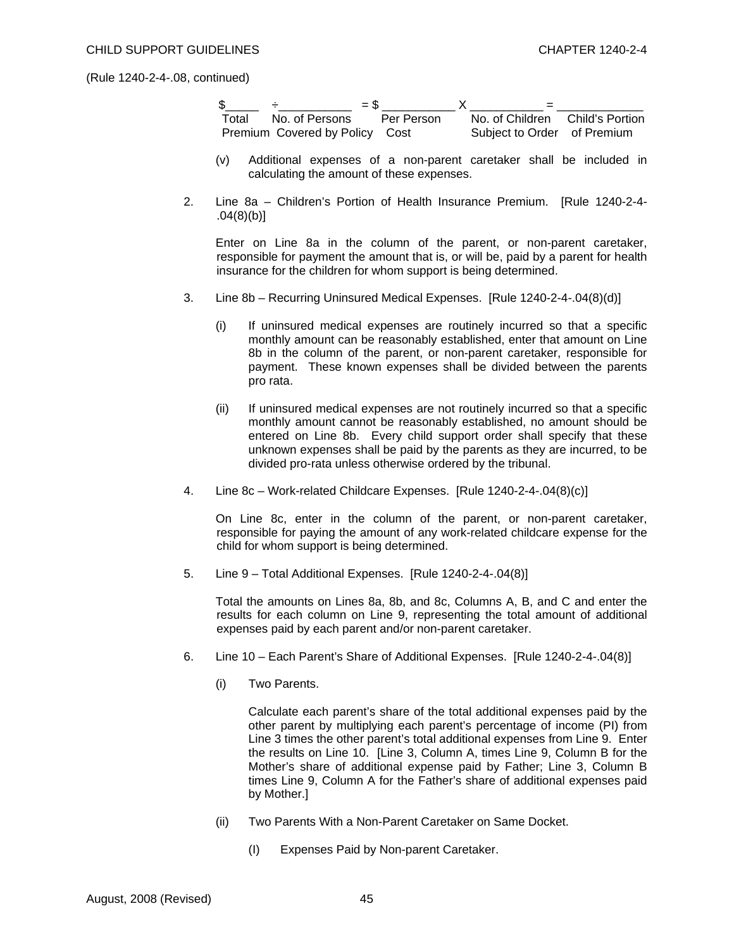|       | $=$ \$                         |  |                                 |
|-------|--------------------------------|--|---------------------------------|
| Total | No. of Persons   Per Person    |  | No. of Children Child's Portion |
|       | Premium Covered by Policy Cost |  | Subject to Order of Premium     |

- (v) Additional expenses of a non-parent caretaker shall be included in calculating the amount of these expenses.
- 2. Line 8a Children's Portion of Health Insurance Premium. [Rule 1240-2-4- .04(8)(b)]

 Enter on Line 8a in the column of the parent, or non-parent caretaker, responsible for payment the amount that is, or will be, paid by a parent for health insurance for the children for whom support is being determined.

- 3. Line 8b Recurring Uninsured Medical Expenses. [Rule 1240-2-4-.04(8)(d)]
	- (i) If uninsured medical expenses are routinely incurred so that a specific monthly amount can be reasonably established, enter that amount on Line 8b in the column of the parent, or non-parent caretaker, responsible for payment. These known expenses shall be divided between the parents pro rata.
	- (ii) If uninsured medical expenses are not routinely incurred so that a specific monthly amount cannot be reasonably established, no amount should be entered on Line 8b. Every child support order shall specify that these unknown expenses shall be paid by the parents as they are incurred, to be divided pro-rata unless otherwise ordered by the tribunal.
- 4. Line 8c Work-related Childcare Expenses. [Rule 1240-2-4-.04(8)(c)]

 On Line 8c, enter in the column of the parent, or non-parent caretaker, responsible for paying the amount of any work-related childcare expense for the child for whom support is being determined.

5. Line 9 – Total Additional Expenses. [Rule 1240-2-4-.04(8)]

 Total the amounts on Lines 8a, 8b, and 8c, Columns A, B, and C and enter the results for each column on Line 9, representing the total amount of additional expenses paid by each parent and/or non-parent caretaker.

- 6. Line 10 Each Parent's Share of Additional Expenses. [Rule 1240-2-4-.04(8)]
	- (i) Two Parents.

 Calculate each parent's share of the total additional expenses paid by the other parent by multiplying each parent's percentage of income (PI) from Line 3 times the other parent's total additional expenses from Line 9. Enter the results on Line 10. [Line 3, Column A, times Line 9, Column B for the Mother's share of additional expense paid by Father; Line 3, Column B times Line 9, Column A for the Father's share of additional expenses paid by Mother.]

- (ii) Two Parents With a Non-Parent Caretaker on Same Docket.
	- (I) Expenses Paid by Non-parent Caretaker.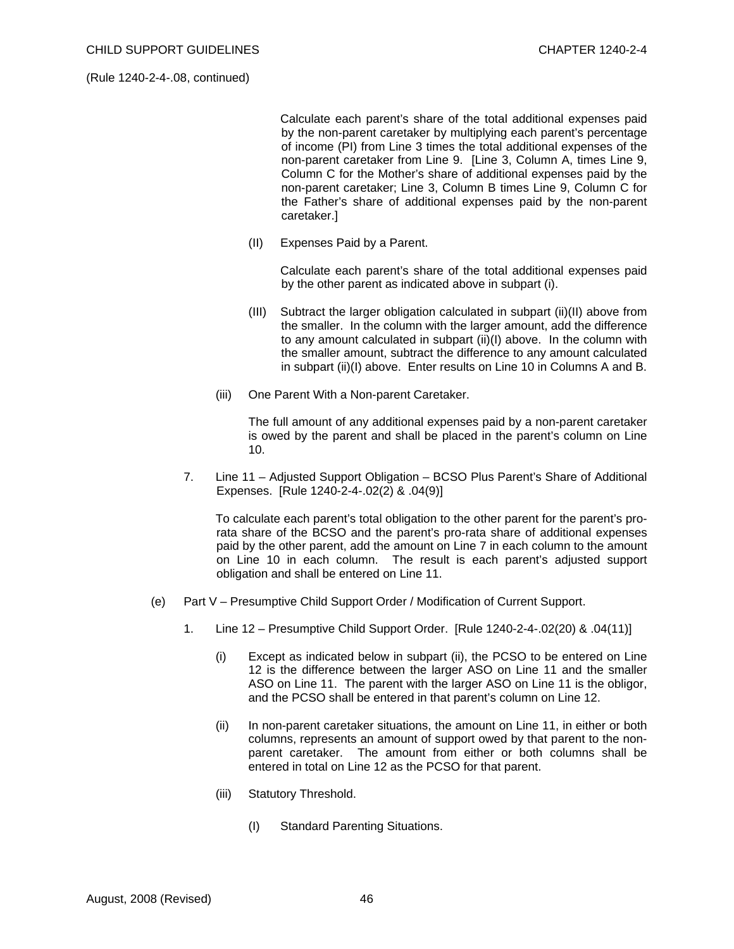Calculate each parent's share of the total additional expenses paid by the non-parent caretaker by multiplying each parent's percentage of income (PI) from Line 3 times the total additional expenses of the non-parent caretaker from Line 9. [Line 3, Column A, times Line 9, Column C for the Mother's share of additional expenses paid by the non-parent caretaker; Line 3, Column B times Line 9, Column C for the Father's share of additional expenses paid by the non-parent caretaker.]

(II) Expenses Paid by a Parent.

 Calculate each parent's share of the total additional expenses paid by the other parent as indicated above in subpart (i).

- (III) Subtract the larger obligation calculated in subpart (ii)(II) above from the smaller. In the column with the larger amount, add the difference to any amount calculated in subpart (ii)(I) above. In the column with the smaller amount, subtract the difference to any amount calculated in subpart (ii)(I) above. Enter results on Line 10 in Columns A and B.
- (iii) One Parent With a Non-parent Caretaker.

 The full amount of any additional expenses paid by a non-parent caretaker is owed by the parent and shall be placed in the parent's column on Line 10.

7. Line 11 – Adjusted Support Obligation – BCSO Plus Parent's Share of Additional Expenses. [Rule 1240-2-4-.02(2) & .04(9)]

 To calculate each parent's total obligation to the other parent for the parent's prorata share of the BCSO and the parent's pro-rata share of additional expenses paid by the other parent, add the amount on Line 7 in each column to the amount on Line 10 in each column. The result is each parent's adjusted support obligation and shall be entered on Line 11.

- (e) Part V Presumptive Child Support Order / Modification of Current Support.
	- 1. Line 12 Presumptive Child Support Order.[Rule 1240-2-4-.02(20) & .04(11)]
		- (i) Except as indicated below in subpart (ii), the PCSO to be entered on Line 12 is the difference between the larger ASO on Line 11 and the smaller ASO on Line 11. The parent with the larger ASO on Line 11 is the obligor, and the PCSO shall be entered in that parent's column on Line 12.
		- (ii) In non-parent caretaker situations, the amount on Line 11, in either or both columns, represents an amount of support owed by that parent to the nonparent caretaker. The amount from either or both columns shall be entered in total on Line 12 as the PCSO for that parent.
		- (iii) Statutory Threshold.
			- (I) Standard Parenting Situations.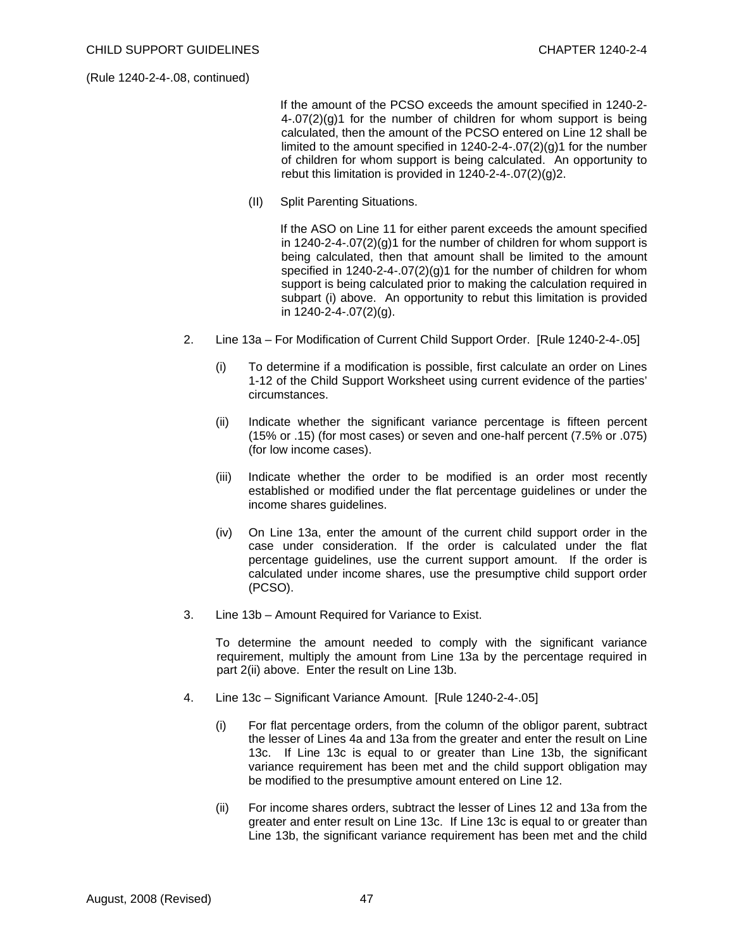If the amount of the PCSO exceeds the amount specified in 1240-2-  $4-.07(2)(q)1$  for the number of children for whom support is being calculated, then the amount of the PCSO entered on Line 12 shall be limited to the amount specified in  $1240-2-4-07(2)(g)1$  for the number of children for whom support is being calculated. An opportunity to rebut this limitation is provided in 1240-2-4-.07(2)(g)2.

(II) Split Parenting Situations.

 If the ASO on Line 11 for either parent exceeds the amount specified in 1240-2-4-.07(2)(g)1 for the number of children for whom support is being calculated, then that amount shall be limited to the amount specified in 1240-2-4-.07(2)(g)1 for the number of children for whom support is being calculated prior to making the calculation required in subpart (i) above. An opportunity to rebut this limitation is provided in 1240-2-4-.07(2)(g).

- 2. Line 13a For Modification of Current Child Support Order. [Rule 1240-2-4-.05]
	- (i) To determine if a modification is possible, first calculate an order on Lines 1-12 of the Child Support Worksheet using current evidence of the parties' circumstances.
	- (ii) Indicate whether the significant variance percentage is fifteen percent (15% or .15) (for most cases) or seven and one-half percent (7.5% or .075) (for low income cases).
	- (iii) Indicate whether the order to be modified is an order most recently established or modified under the flat percentage guidelines or under the income shares guidelines.
	- (iv) On Line 13a, enter the amount of the current child support order in the case under consideration. If the order is calculated under the flat percentage guidelines, use the current support amount. If the order is calculated under income shares, use the presumptive child support order (PCSO).
- 3. Line 13b Amount Required for Variance to Exist.

 To determine the amount needed to comply with the significant variance requirement, multiply the amount from Line 13a by the percentage required in part 2(ii) above. Enter the result on Line 13b.

- 4. Line 13c Significant Variance Amount. [Rule 1240-2-4-.05]
	- (i) For flat percentage orders, from the column of the obligor parent, subtract the lesser of Lines 4a and 13a from the greater and enter the result on Line 13c. If Line 13c is equal to or greater than Line 13b, the significant variance requirement has been met and the child support obligation may be modified to the presumptive amount entered on Line 12.
	- (ii) For income shares orders, subtract the lesser of Lines 12 and 13a from the greater and enter result on Line 13c. If Line 13c is equal to or greater than Line 13b, the significant variance requirement has been met and the child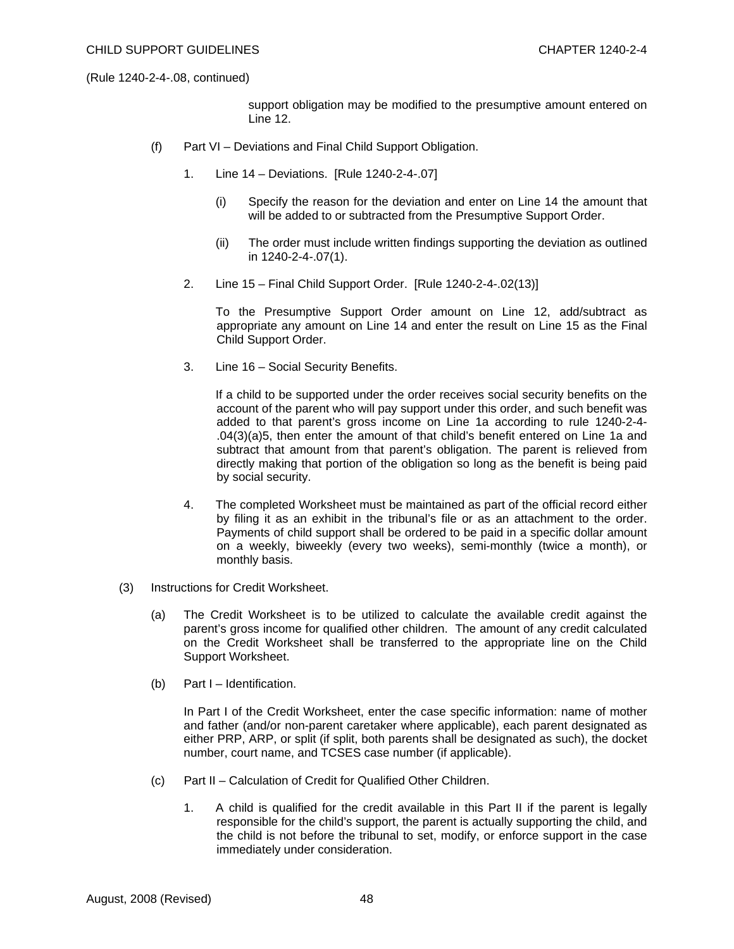support obligation may be modified to the presumptive amount entered on Line 12.

- (f) Part VI Deviations and Final Child Support Obligation.
	- 1. Line 14 Deviations. [Rule 1240-2-4-.07]
		- (i) Specify the reason for the deviation and enter on Line 14 the amount that will be added to or subtracted from the Presumptive Support Order.
		- (ii) The order must include written findings supporting the deviation as outlined in 1240-2-4-.07(1).
	- 2. Line 15 Final Child Support Order. [Rule 1240-2-4-.02(13)]

To the Presumptive Support Order amount on Line 12, add/subtract as appropriate any amount on Line 14 and enter the result on Line 15 as the Final Child Support Order.

3. Line 16 – Social Security Benefits.

 If a child to be supported under the order receives social security benefits on the account of the parent who will pay support under this order, and such benefit was added to that parent's gross income on Line 1a according to rule 1240-2-4- .04(3)(a)5, then enter the amount of that child's benefit entered on Line 1a and subtract that amount from that parent's obligation. The parent is relieved from directly making that portion of the obligation so long as the benefit is being paid by social security.

- 4. The completed Worksheet must be maintained as part of the official record either by filing it as an exhibit in the tribunal's file or as an attachment to the order. Payments of child support shall be ordered to be paid in a specific dollar amount on a weekly, biweekly (every two weeks), semi-monthly (twice a month), or monthly basis.
- (3) Instructions for Credit Worksheet.
	- (a) The Credit Worksheet is to be utilized to calculate the available credit against the parent's gross income for qualified other children. The amount of any credit calculated on the Credit Worksheet shall be transferred to the appropriate line on the Child Support Worksheet.
	- (b) Part I Identification.

 In Part I of the Credit Worksheet, enter the case specific information: name of mother and father (and/or non-parent caretaker where applicable), each parent designated as either PRP, ARP, or split (if split, both parents shall be designated as such), the docket number, court name, and TCSES case number (if applicable).

- (c) Part II Calculation of Credit for Qualified Other Children.
	- 1. A child is qualified for the credit available in this Part II if the parent is legally responsible for the child's support, the parent is actually supporting the child, and the child is not before the tribunal to set, modify, or enforce support in the case immediately under consideration.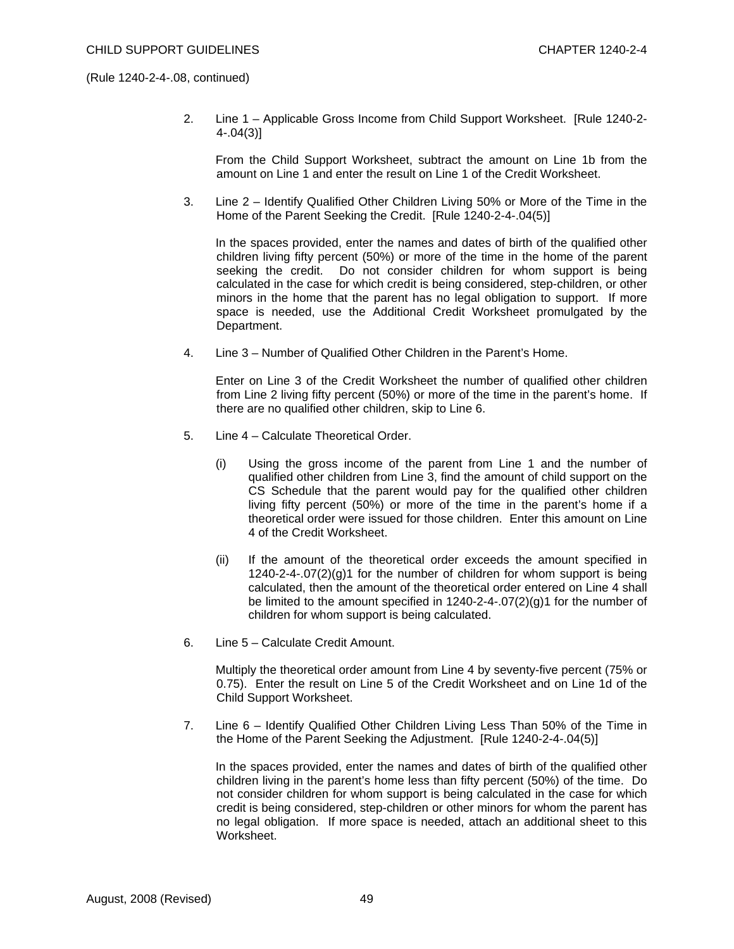2. Line 1 – Applicable Gross Income from Child Support Worksheet. [Rule 1240-2- 4-.04(3)]

 From the Child Support Worksheet, subtract the amount on Line 1b from the amount on Line 1 and enter the result on Line 1 of the Credit Worksheet.

3. Line 2 – Identify Qualified Other Children Living 50% or More of the Time in the Home of the Parent Seeking the Credit. [Rule 1240-2-4-.04(5)]

 In the spaces provided, enter the names and dates of birth of the qualified other children living fifty percent (50%) or more of the time in the home of the parent seeking the credit. Do not consider children for whom support is being calculated in the case for which credit is being considered, step-children, or other minors in the home that the parent has no legal obligation to support. If more space is needed, use the Additional Credit Worksheet promulgated by the Department.

4. Line 3 – Number of Qualified Other Children in the Parent's Home.

 Enter on Line 3 of the Credit Worksheet the number of qualified other children from Line 2 living fifty percent (50%) or more of the time in the parent's home. If there are no qualified other children, skip to Line 6.

- 5. Line 4 Calculate Theoretical Order.
	- (i) Using the gross income of the parent from Line 1 and the number of qualified other children from Line 3, find the amount of child support on the CS Schedule that the parent would pay for the qualified other children living fifty percent (50%) or more of the time in the parent's home if a theoretical order were issued for those children. Enter this amount on Line 4 of the Credit Worksheet.
	- (ii) If the amount of the theoretical order exceeds the amount specified in 1240-2-4-.07(2)(g)1 for the number of children for whom support is being calculated, then the amount of the theoretical order entered on Line 4 shall be limited to the amount specified in  $1240-2-4-07(2)(q)1$  for the number of children for whom support is being calculated.
- 6. Line 5 Calculate Credit Amount.

 Multiply the theoretical order amount from Line 4 by seventy-five percent (75% or 0.75). Enter the result on Line 5 of the Credit Worksheet and on Line 1d of the Child Support Worksheet.

7. Line 6 – Identify Qualified Other Children Living Less Than 50% of the Time in the Home of the Parent Seeking the Adjustment. [Rule 1240-2-4-.04(5)]

 In the spaces provided, enter the names and dates of birth of the qualified other children living in the parent's home less than fifty percent (50%) of the time. Do not consider children for whom support is being calculated in the case for which credit is being considered, step-children or other minors for whom the parent has no legal obligation. If more space is needed, attach an additional sheet to this Worksheet.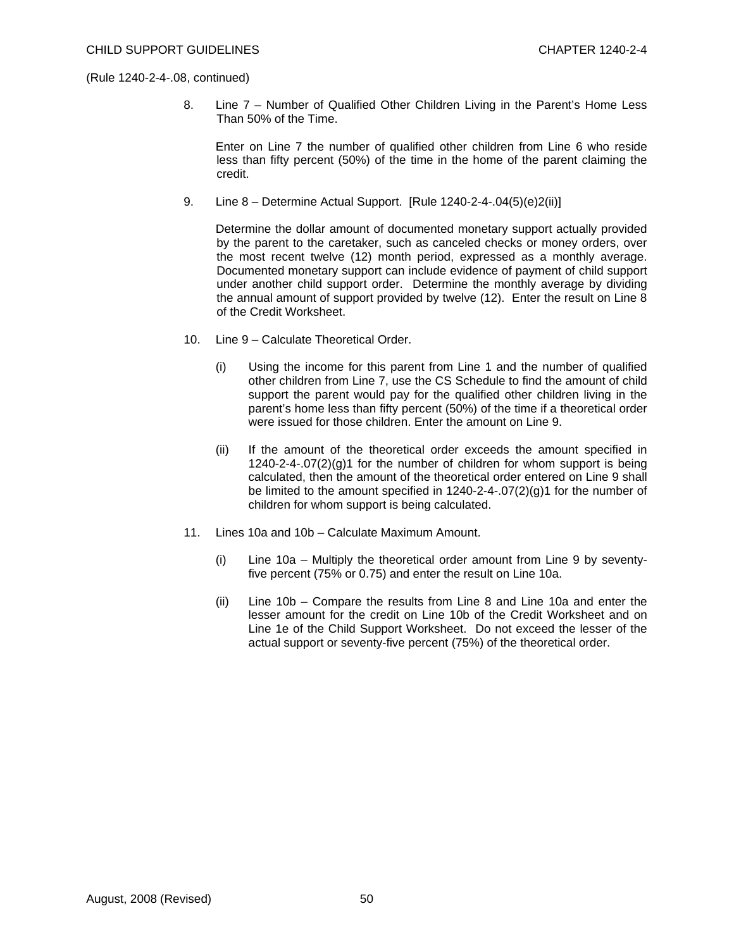8. Line 7 – Number of Qualified Other Children Living in the Parent's Home Less Than 50% of the Time.

 Enter on Line 7 the number of qualified other children from Line 6 who reside less than fifty percent (50%) of the time in the home of the parent claiming the credit.

9. Line 8 – Determine Actual Support. [Rule 1240-2-4-.04(5)(e)2(ii)]

 Determine the dollar amount of documented monetary support actually provided by the parent to the caretaker, such as canceled checks or money orders, over the most recent twelve (12) month period, expressed as a monthly average. Documented monetary support can include evidence of payment of child support under another child support order. Determine the monthly average by dividing the annual amount of support provided by twelve (12). Enter the result on Line 8 of the Credit Worksheet.

- 10. Line 9 Calculate Theoretical Order.
	- (i) Using the income for this parent from Line 1 and the number of qualified other children from Line 7, use the CS Schedule to find the amount of child support the parent would pay for the qualified other children living in the parent's home less than fifty percent (50%) of the time if a theoretical order were issued for those children. Enter the amount on Line 9.
	- (ii) If the amount of the theoretical order exceeds the amount specified in 1240-2-4-.07(2)(g)1 for the number of children for whom support is being calculated, then the amount of the theoretical order entered on Line 9 shall be limited to the amount specified in  $1240-2-4-07(2)(q)1$  for the number of children for whom support is being calculated.
- 11. Lines 10a and 10b Calculate Maximum Amount.
	- (i) Line 10a Multiply the theoretical order amount from Line 9 by seventyfive percent (75% or 0.75) and enter the result on Line 10a.
	- (ii) Line 10b Compare the results from Line 8 and Line 10a and enter the lesser amount for the credit on Line 10b of the Credit Worksheet and on Line 1e of the Child Support Worksheet. Do not exceed the lesser of the actual support or seventy-five percent (75%) of the theoretical order.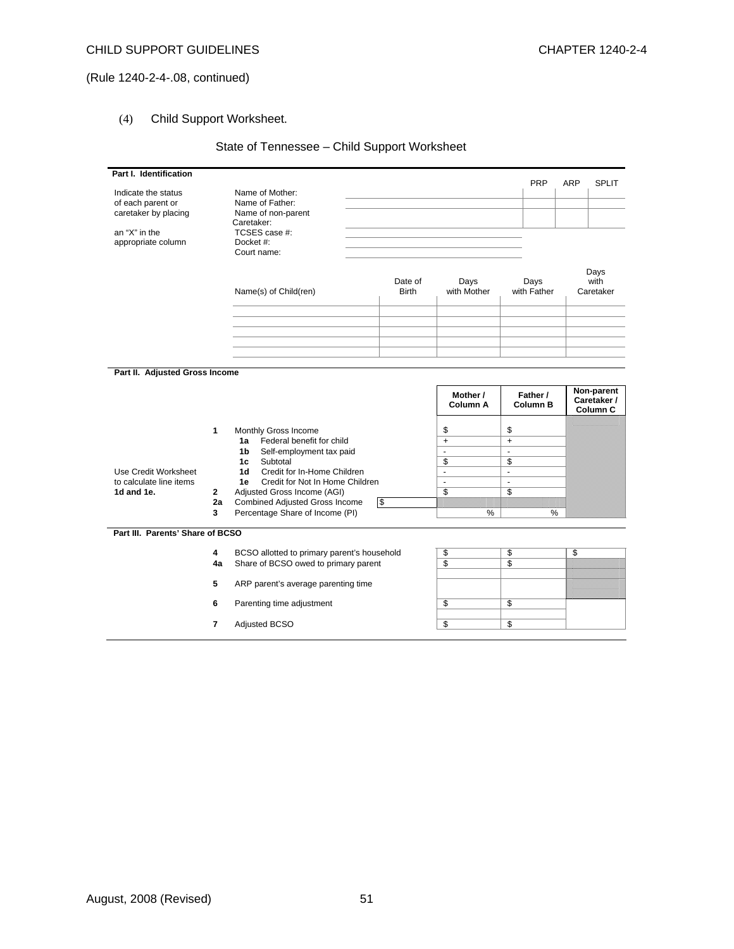# (4) Child Support Worksheet.

# State of Tennessee – Child Support Worksheet

| Part I. Identification                    |              |                                                                 |                         |                             | <b>PRP</b>                  | ARP | <b>SPLIT</b>                          |
|-------------------------------------------|--------------|-----------------------------------------------------------------|-------------------------|-----------------------------|-----------------------------|-----|---------------------------------------|
| Indicate the status                       |              | Name of Mother:                                                 |                         |                             |                             |     |                                       |
| of each parent or<br>caretaker by placing |              | Name of Father:<br>Name of non-parent                           |                         |                             |                             |     |                                       |
|                                           |              | Caretaker:                                                      |                         |                             |                             |     |                                       |
| an "X" in the                             |              | TCSES case #:                                                   |                         |                             |                             |     |                                       |
| appropriate column                        |              | Docket #:                                                       |                         |                             |                             |     |                                       |
|                                           |              | Court name:                                                     |                         |                             |                             |     |                                       |
|                                           |              | Name(s) of Child(ren)                                           | Date of<br><b>Birth</b> | Days<br>with Mother         | Days<br>with Father         |     | Days<br>with<br>Caretaker             |
|                                           |              |                                                                 |                         |                             |                             |     |                                       |
|                                           |              |                                                                 |                         |                             |                             |     |                                       |
|                                           |              |                                                                 |                         |                             |                             |     |                                       |
|                                           |              |                                                                 |                         |                             |                             |     |                                       |
|                                           |              |                                                                 |                         |                             |                             |     |                                       |
| Part II. Adjusted Gross Income            |              |                                                                 |                         |                             |                             |     |                                       |
|                                           |              |                                                                 |                         | Mother /<br><b>Column A</b> | Father /<br><b>Column B</b> |     | Non-parent<br>Caretaker /<br>Column C |
|                                           | 1            | Monthly Gross Income                                            |                         | \$                          | \$                          |     |                                       |
|                                           |              | Federal benefit for child<br>1a                                 |                         | $\ddot{}$                   | $+$                         |     |                                       |
|                                           |              | Self-employment tax paid<br>1b                                  |                         | $\overline{a}$              | ÷.                          |     |                                       |
| Use Credit Worksheet                      |              | Subtotal<br>1c<br>Credit for In-Home Children<br>1 <sub>d</sub> |                         | \$<br>÷,                    | \$<br>$\mathbf{r}$          |     |                                       |
| to calculate line items                   |              | Credit for Not In Home Children<br>1e                           |                         | $\blacksquare$              | $\mathbf{r}$                |     |                                       |
| 1d and 1e.                                | $\mathbf{2}$ | Adjusted Gross Income (AGI)                                     |                         | \$                          | \$                          |     |                                       |
|                                           | 2a           | <b>Combined Adjusted Gross Income</b>                           | $\overline{\mathbf{3}}$ |                             |                             |     |                                       |
|                                           | 3            | Percentage Share of Income (PI)                                 |                         | %                           |                             | %   |                                       |
| Part III. Parents' Share of BCSO          |              |                                                                 |                         |                             |                             |     |                                       |
|                                           | 4            | BCSO allotted to primary parent's household                     |                         | \$                          | \$                          | \$  |                                       |
|                                           | 4a           | Share of BCSO owed to primary parent                            |                         | $\overline{s}$              | $\overline{s}$              |     |                                       |
|                                           | 5            | ARP parent's average parenting time                             |                         |                             |                             |     |                                       |
|                                           | 6            | Parenting time adjustment                                       |                         | \$                          | \$                          |     |                                       |
|                                           |              |                                                                 |                         |                             |                             |     |                                       |
|                                           | 7            | <b>Adjusted BCSO</b>                                            |                         | \$                          | \$                          |     |                                       |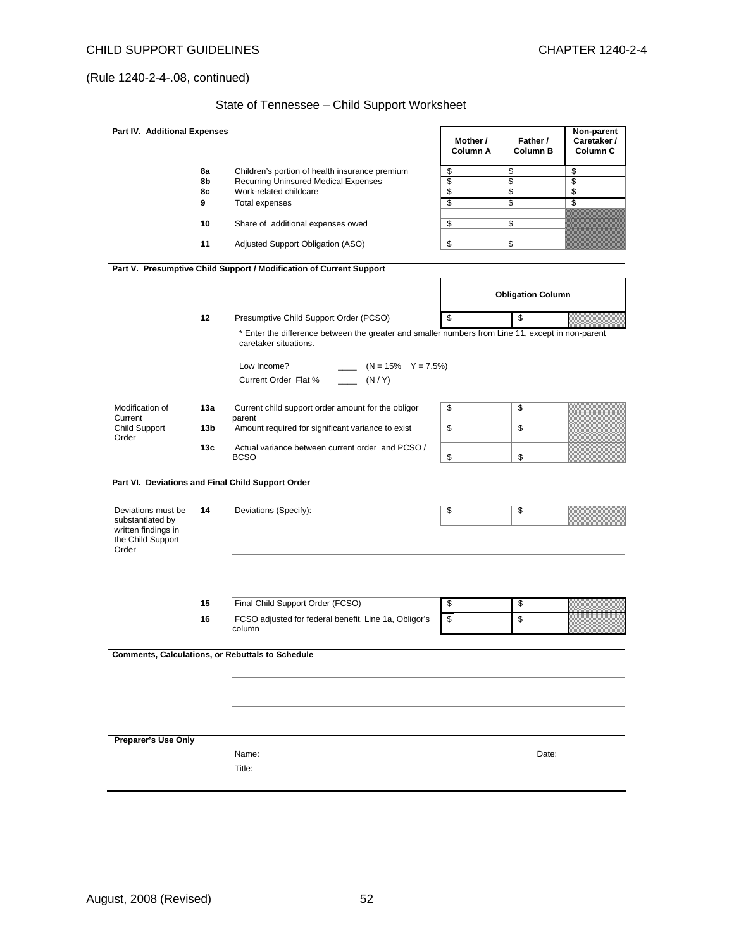# State of Tennessee – Child Support Worksheet

| Part IV. Additional Expenses                                                                |         |                                                                                                                            | Mother /<br>Column A | Father /<br>Column B     | Non-parent<br>Caretaker /<br>Column <sub>C</sub> |
|---------------------------------------------------------------------------------------------|---------|----------------------------------------------------------------------------------------------------------------------------|----------------------|--------------------------|--------------------------------------------------|
|                                                                                             | 8a      | Children's portion of health insurance premium                                                                             | \$                   | \$                       | \$                                               |
|                                                                                             | 8b      | <b>Recurring Uninsured Medical Expenses</b>                                                                                | \$                   | \$                       | \$                                               |
|                                                                                             | 8с<br>9 | Work-related childcare<br>Total expenses                                                                                   | \$<br>\$             | \$<br>\$                 | \$<br>\$                                         |
|                                                                                             |         |                                                                                                                            |                      |                          |                                                  |
|                                                                                             | 10      | Share of additional expenses owed                                                                                          | \$                   | \$                       |                                                  |
|                                                                                             | 11      | Adjusted Support Obligation (ASO)                                                                                          | \$                   | \$                       |                                                  |
|                                                                                             |         | Part V. Presumptive Child Support / Modification of Current Support                                                        |                      |                          |                                                  |
|                                                                                             |         |                                                                                                                            |                      | <b>Obligation Column</b> |                                                  |
|                                                                                             | 12      | Presumptive Child Support Order (PCSO)                                                                                     | \$                   | \$                       |                                                  |
|                                                                                             |         | * Enter the difference between the greater and smaller numbers from Line 11, except in non-parent<br>caretaker situations. |                      |                          |                                                  |
|                                                                                             |         | Low Income?<br>$(N = 15\% \quad Y = 7.5\%)$<br>(N/Y)<br>Current Order Flat %                                               |                      |                          |                                                  |
| Modification of                                                                             | 13a     | Current child support order amount for the obligor                                                                         | \$                   | \$                       |                                                  |
| Current                                                                                     |         | parent                                                                                                                     |                      |                          |                                                  |
| <b>Child Support</b><br>Order                                                               | 13b     | Amount required for significant variance to exist                                                                          | \$                   | \$                       |                                                  |
|                                                                                             | 13c     | Actual variance between current order and PCSO /<br><b>BCSO</b>                                                            | \$                   | \$                       |                                                  |
|                                                                                             |         | Part VI. Deviations and Final Child Support Order                                                                          |                      |                          |                                                  |
| Deviations must be<br>substantiated by<br>written findings in<br>the Child Support<br>Order | 14      | Deviations (Specify):                                                                                                      | \$                   | \$                       |                                                  |
|                                                                                             |         |                                                                                                                            |                      |                          |                                                  |
|                                                                                             | 15      | Final Child Support Order (FCSO)                                                                                           | \$                   | \$                       |                                                  |
|                                                                                             | 16      | FCSO adjusted for federal benefit, Line 1a, Obligor's<br>column                                                            | \$                   | \$                       |                                                  |
|                                                                                             |         | <b>Comments, Calculations, or Rebuttals to Schedule</b>                                                                    |                      |                          |                                                  |
| Preparer's Use Only                                                                         |         | Name:                                                                                                                      |                      | Date:                    |                                                  |
|                                                                                             |         | Title:                                                                                                                     |                      |                          |                                                  |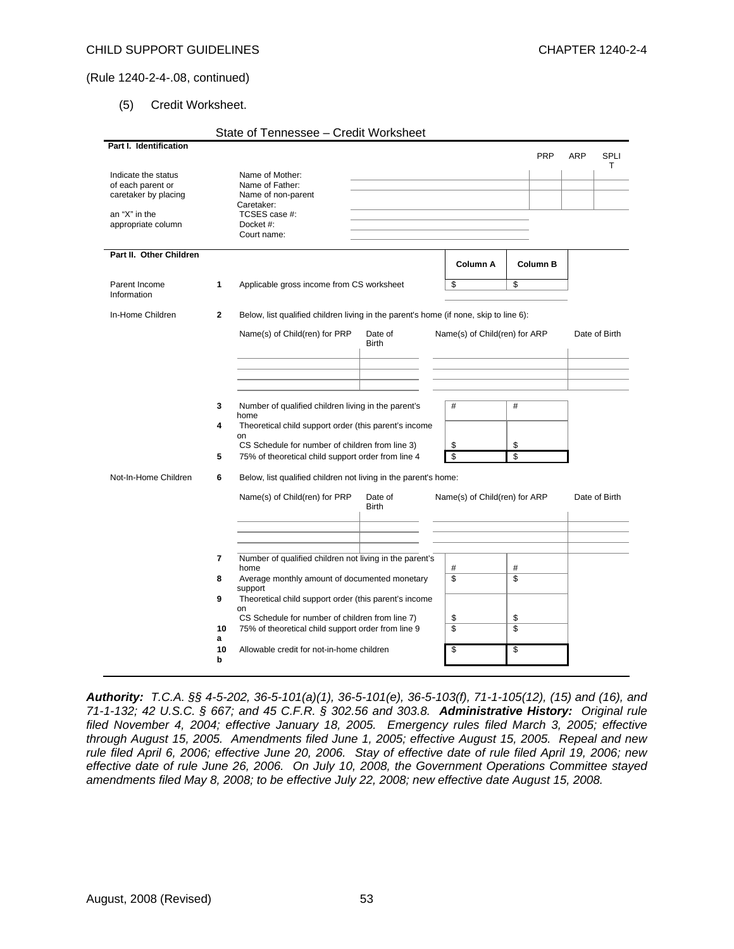### (5) Credit Worksheet.

|                                     |              | State of Tennessee - Credit Worksheet                                                 |              |                               |                         |     |                  |
|-------------------------------------|--------------|---------------------------------------------------------------------------------------|--------------|-------------------------------|-------------------------|-----|------------------|
| Part I. Identification              |              |                                                                                       |              |                               |                         |     |                  |
|                                     |              |                                                                                       |              |                               | <b>PRP</b>              | ARP | <b>SPLI</b><br>т |
| Indicate the status                 |              | Name of Mother:                                                                       |              |                               |                         |     |                  |
| of each parent or                   |              | Name of Father:                                                                       |              |                               |                         |     |                  |
| caretaker by placing                |              | Name of non-parent                                                                    |              |                               |                         |     |                  |
|                                     |              | Caretaker:                                                                            |              |                               |                         |     |                  |
| an "X" in the<br>appropriate column |              | TCSES case #:<br>Docket #:                                                            |              |                               |                         |     |                  |
|                                     |              | Court name:                                                                           |              |                               |                         |     |                  |
|                                     |              |                                                                                       |              |                               |                         |     |                  |
| Part II. Other Children             |              |                                                                                       |              |                               |                         |     |                  |
|                                     |              |                                                                                       |              | Column A                      | <b>Column B</b>         |     |                  |
| Parent Income                       | 1            | Applicable gross income from CS worksheet                                             |              | \$                            | \$                      |     |                  |
| Information                         |              |                                                                                       |              |                               |                         |     |                  |
|                                     |              |                                                                                       |              |                               |                         |     |                  |
| In-Home Children                    | $\mathbf{2}$ | Below, list qualified children living in the parent's home (if none, skip to line 6): |              |                               |                         |     |                  |
|                                     |              | Name(s) of Child(ren) for PRP                                                         | Date of      | Name(s) of Child(ren) for ARP |                         |     | Date of Birth    |
|                                     |              |                                                                                       | <b>Birth</b> |                               |                         |     |                  |
|                                     |              |                                                                                       |              |                               |                         |     |                  |
|                                     |              |                                                                                       |              |                               |                         |     |                  |
|                                     |              |                                                                                       |              |                               |                         |     |                  |
|                                     |              |                                                                                       |              |                               |                         |     |                  |
|                                     | 3            | Number of qualified children living in the parent's                                   |              | #                             | #                       |     |                  |
|                                     | 4            | home<br>Theoretical child support order (this parent's income                         |              |                               |                         |     |                  |
|                                     |              | on                                                                                    |              |                               |                         |     |                  |
|                                     |              | CS Schedule for number of children from line 3)                                       |              | \$                            | \$                      |     |                  |
|                                     | 5            | 75% of theoretical child support order from line 4                                    |              | \$                            | \$                      |     |                  |
| Not-In-Home Children                | 6            | Below, list qualified children not living in the parent's home:                       |              |                               |                         |     |                  |
|                                     |              | Name(s) of Child(ren) for PRP                                                         | Date of      | Name(s) of Child(ren) for ARP |                         |     | Date of Birth    |
|                                     |              |                                                                                       | <b>Birth</b> |                               |                         |     |                  |
|                                     |              |                                                                                       |              |                               |                         |     |                  |
|                                     |              |                                                                                       |              |                               |                         |     |                  |
|                                     |              |                                                                                       |              |                               |                         |     |                  |
|                                     | 7            | Number of qualified children not living in the parent's                               |              |                               |                         |     |                  |
|                                     |              | home                                                                                  |              | #                             | #                       |     |                  |
|                                     | 8            | Average monthly amount of documented monetary                                         |              | \$                            | \$                      |     |                  |
|                                     |              | support                                                                               |              |                               |                         |     |                  |
|                                     | 9            | Theoretical child support order (this parent's income<br>on                           |              |                               |                         |     |                  |
|                                     |              | CS Schedule for number of children from line 7)                                       |              | \$                            | \$                      |     |                  |
|                                     | 10           | 75% of theoretical child support order from line 9                                    |              | $\overline{\mathbb{S}}$       | $\overline{\mathbb{S}}$ |     |                  |
|                                     | a            |                                                                                       |              |                               |                         |     |                  |
|                                     | 10<br>b      | Allowable credit for not-in-home children                                             |              | \$                            | \$                      |     |                  |
|                                     |              |                                                                                       |              |                               |                         |     |                  |
|                                     |              |                                                                                       |              |                               |                         |     |                  |

*Authority: T.C.A. §§ 4-5-202, 36-5-101(a)(1), 36-5-101(e), 36-5-103(f), 71-1-105(12), (15) and (16), and 71-1-132; 42 U.S.C. § 667; and 45 C.F.R. § 302.56 and 303.8. Administrative History: Original rule filed November 4, 2004; effective January 18, 2005. Emergency rules filed March 3, 2005; effective through August 15, 2005. Amendments filed June 1, 2005; effective August 15, 2005. Repeal and new rule filed April 6, 2006; effective June 20, 2006. Stay of effective date of rule filed April 19, 2006; new effective date of rule June 26, 2006. On July 10, 2008, the Government Operations Committee stayed amendments filed May 8, 2008; to be effective July 22, 2008; new effective date August 15, 2008.*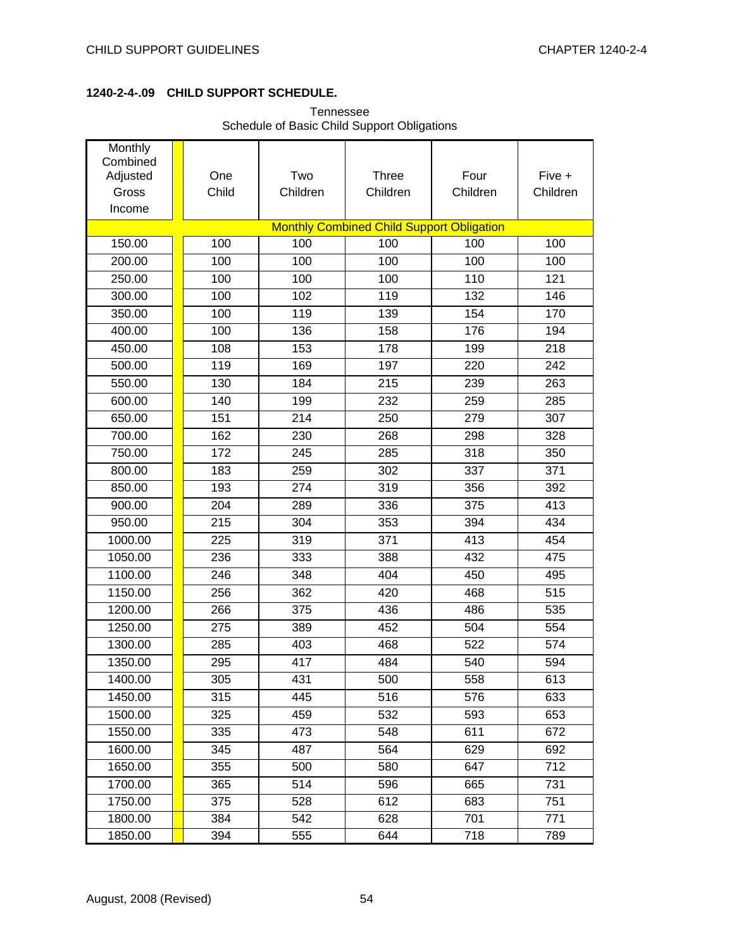### **1240-2-4-.09 CHILD SUPPORT SCHEDULE.**

|                                                    |              | Scriedule of Basic Crilia Support Obligations |                                                  |                  |                    |
|----------------------------------------------------|--------------|-----------------------------------------------|--------------------------------------------------|------------------|--------------------|
| Monthly<br>Combined<br>Adjusted<br>Gross<br>Income | One<br>Child | Two<br>Children                               | <b>Three</b><br>Children                         | Four<br>Children | Five +<br>Children |
|                                                    |              |                                               | <b>Monthly Combined Child Support Obligation</b> |                  |                    |
| 150.00                                             | 100          | 100                                           | 100                                              | 100              | 100                |
| 200.00                                             | 100          | 100                                           | 100                                              | 100              | 100                |
| 250.00                                             | 100          | 100                                           | 100                                              | 110              | 121                |
| 300.00                                             | 100          | 102                                           | 119                                              | 132              | 146                |
| 350.00                                             | 100          | 119                                           | 139                                              | 154              | 170                |
| 400.00                                             | 100          | 136                                           | 158                                              | 176              | 194                |
| 450.00                                             | 108          | 153                                           | 178                                              | 199              | 218                |
| 500.00                                             | 119          | 169                                           | 197                                              | 220              | 242                |
| 550.00                                             | 130          | 184                                           | 215                                              | 239              | 263                |
| 600.00                                             | 140          | 199                                           | 232                                              | 259              | 285                |
| 650.00                                             | 151          | 214                                           | 250                                              | 279              | 307                |
| 700.00                                             | 162          | 230                                           | 268                                              | 298              | 328                |
| 750.00                                             | 172          | 245                                           | 285                                              | 318              | 350                |
| 800.00                                             | 183          | 259                                           | 302                                              | 337              | 371                |
| 850.00                                             | 193          | 274                                           | 319                                              | 356              | 392                |
| 900.00                                             | 204          | 289                                           | 336                                              | 375              | 413                |
| 950.00                                             | 215          | 304                                           | 353                                              | 394              | 434                |
| 1000.00                                            | 225          | 319                                           | 371                                              | 413              | 454                |
| 1050.00                                            | 236          | 333                                           | 388                                              | 432              | 475                |
| 1100.00                                            | 246          | 348                                           | 404                                              | 450              | 495                |
| 1150.00                                            | 256          | 362                                           | 420                                              | 468              | 515                |
| 1200.00                                            | 266          | 375                                           | 436                                              | 486              | 535                |
| 1250.00                                            | 275          | 389                                           | 452                                              | 504              | 554                |
| 1300.00                                            | 285          | 403                                           | 468                                              | 522              | 574                |
| 1350.00                                            | 295          | 417                                           | 484                                              | 540              | 594                |
| 1400.00                                            | 305          | 431                                           | 500                                              | 558              | 613                |
| 1450.00                                            | 315          | 445                                           | 516                                              | 576              | 633                |
| 1500.00                                            | 325          | 459                                           | 532                                              | 593              | 653                |
| 1550.00                                            | 335          | 473                                           | 548                                              | 611              | 672                |
| 1600.00                                            | 345          | 487                                           | 564                                              | 629              | 692                |
| 1650.00                                            | 355          | 500                                           | 580                                              | 647              | 712                |
| 1700.00                                            | 365          | 514                                           | 596                                              | 665              | 731                |
| 1750.00                                            | 375          | 528                                           | 612                                              | 683              | 751                |

Tennessee Schedule of Basic Child Support Obligations

1800.00 1 384 542 628 701 771 1850.00 **1** 394 555 644 718 789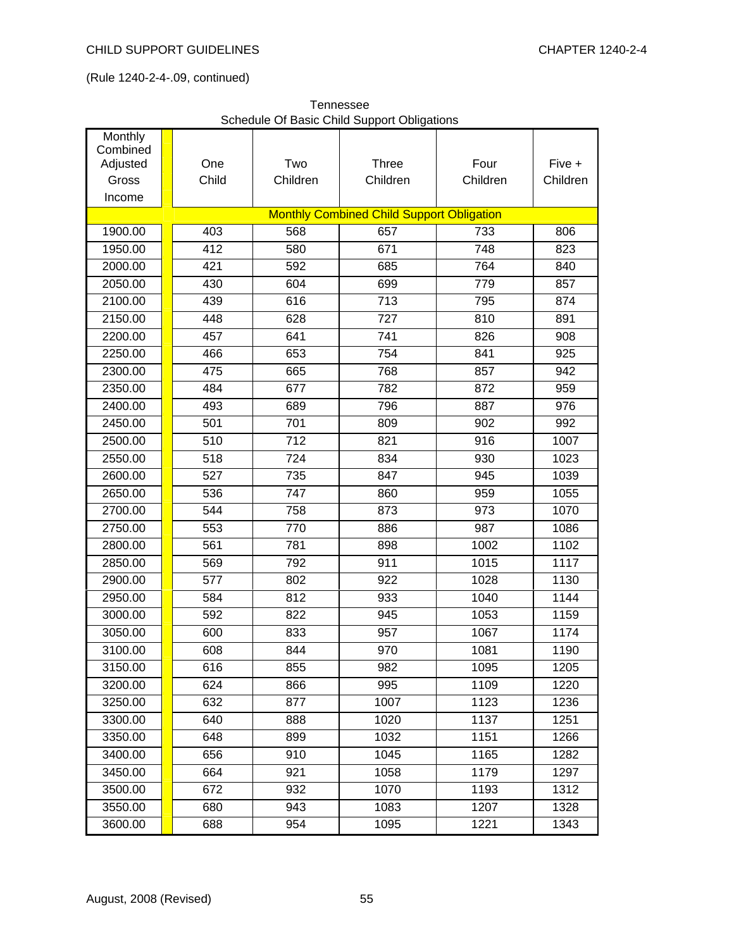|                     |       |                  | Schedule Of Basic Child Support Obligations      |          |          |
|---------------------|-------|------------------|--------------------------------------------------|----------|----------|
| Monthly<br>Combined |       |                  |                                                  |          |          |
| Adjusted            | One   | Two              | <b>Three</b>                                     | Four     | Five +   |
| Gross               | Child | Children         | Children                                         | Children | Children |
| Income              |       |                  |                                                  |          |          |
|                     |       |                  | <b>Monthly Combined Child Support Obligation</b> |          |          |
| 1900.00             | 403   | 568              | 657                                              | 733      | 806      |
| 1950.00             | 412   | 580              | 671                                              | 748      | 823      |
| 2000.00             | 421   | 592              | 685                                              | 764      | 840      |
| 2050.00             | 430   | 604              | 699                                              | 779      | 857      |
| 2100.00             | 439   | 616              | 713                                              | 795      | 874      |
| 2150.00             | 448   | 628              | 727                                              | 810      | 891      |
| 2200.00             | 457   | 641              | 741                                              | 826      | 908      |
| 2250.00             | 466   | 653              | 754                                              | 841      | 925      |
| 2300.00             | 475   | 665              | 768                                              | 857      | 942      |
| 2350.00             | 484   | 677              | 782                                              | 872      | 959      |
| 2400.00             | 493   | 689              | 796                                              | 887      | 976      |
| 2450.00             | 501   | 701              | 809                                              | 902      | 992      |
| 2500.00             | 510   | $\overline{712}$ | 821                                              | 916      | 1007     |
| 2550.00             | 518   | 724              | 834                                              | 930      | 1023     |
| 2600.00             | 527   | 735              | 847                                              | 945      | 1039     |
| 2650.00             | 536   | 747              | 860                                              | 959      | 1055     |
| 2700.00             | 544   | 758              | 873                                              | 973      | 1070     |
| 2750.00             | 553   | 770              | 886                                              | 987      | 1086     |
| 2800.00             | 561   | 781              | 898                                              | 1002     | 1102     |
| 2850.00             | 569   | 792              | 911                                              | 1015     | 1117     |
| 2900.00             | 577   | 802              | 922                                              | 1028     | 1130     |
| 2950.00             | 584   | 812              | 933                                              | 1040     | 1144     |
| 3000.00             | 592   | 822              | 945                                              | 1053     | 1159     |
| 3050.00             | 600   | 833              | 957                                              | 1067     | 1174     |
| 3100.00             | 608   | 844              | 970                                              | 1081     | 1190     |
| 3150.00             | 616   | 855              | 982                                              | 1095     | 1205     |
| 3200.00             | 624   | 866              | 995                                              | 1109     | 1220     |
| 3250.00             | 632   | 877              | 1007                                             | 1123     | 1236     |
| 3300.00             | 640   | 888              | 1020                                             | 1137     | 1251     |
| 3350.00             | 648   | 899              | 1032                                             | 1151     | 1266     |
| 3400.00             | 656   | 910              | 1045                                             | 1165     | 1282     |
| 3450.00             | 664   | 921              | 1058                                             | 1179     | 1297     |
| 3500.00             | 672   | 932              | 1070                                             | 1193     | 1312     |

Tennessee<br>
sie Obild Our Schedule Of Basic Child Support Obligations

3550.00 **1** 680 1 943 1083 1207 1328 3600.00 <mark>|</mark> 688 | 954 | 1095 | 1221 | 1343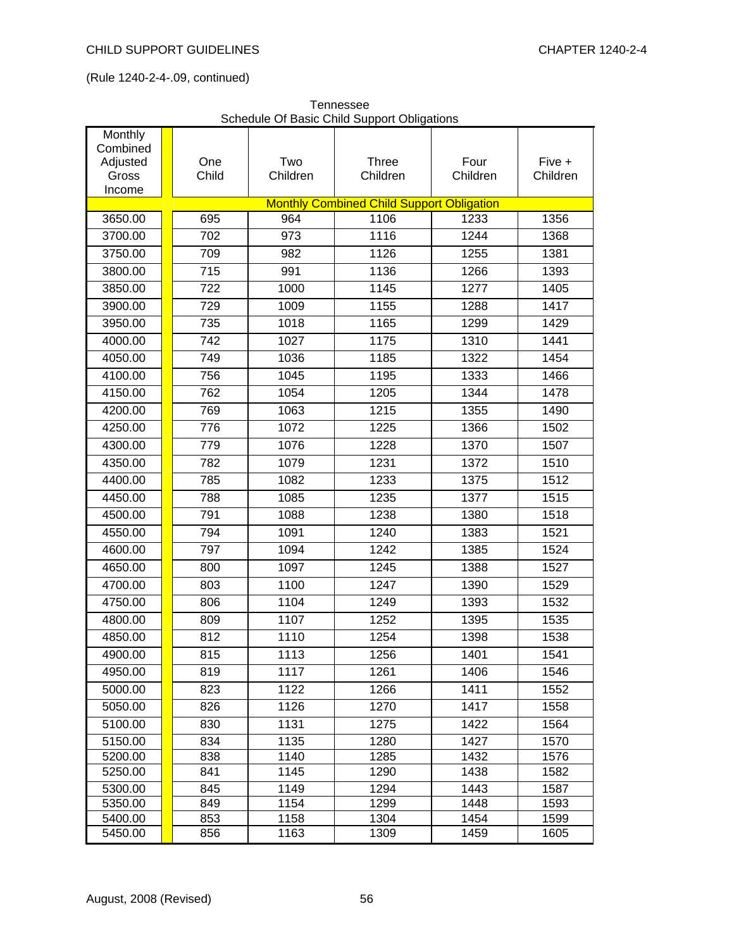| Monthly  |                  |          | burbaald Of Basic Orling Oupport Obligations     |          |          |
|----------|------------------|----------|--------------------------------------------------|----------|----------|
| Combined |                  |          |                                                  |          |          |
| Adjusted | One              | Two      | Three                                            | Four     | Five +   |
| Gross    | Child            | Children | Children                                         | Children | Children |
| Income   |                  |          |                                                  |          |          |
|          |                  |          | <b>Monthly Combined Child Support Obligation</b> |          |          |
| 3650.00  | 695              | 964      | 1106                                             | 1233     | 1356     |
| 3700.00  | 702              | 973      | 1116                                             | 1244     | 1368     |
| 3750.00  | 709              | 982      | 1126                                             | 1255     | 1381     |
| 3800.00  | $\overline{715}$ | 991      | 1136                                             | 1266     | 1393     |
| 3850.00  | 722              | 1000     | 1145                                             | 1277     | 1405     |
| 3900.00  | 729              | 1009     | 1155                                             | 1288     | 1417     |
| 3950.00  | 735              | 1018     | 1165                                             | 1299     | 1429     |
| 4000.00  | 742              | 1027     | 1175                                             | 1310     | 1441     |
| 4050.00  | 749              | 1036     | 1185                                             | 1322     | 1454     |
| 4100.00  | 756              | 1045     | 1195                                             | 1333     | 1466     |
| 4150.00  | 762              | 1054     | 1205                                             | 1344     | 1478     |
| 4200.00  | 769              | 1063     | 1215                                             | 1355     | 1490     |
| 4250.00  | 776              | 1072     | 1225                                             | 1366     | 1502     |
| 4300.00  | 779              | 1076     | 1228                                             | 1370     | 1507     |
| 4350.00  | 782              | 1079     | 1231                                             | 1372     | 1510     |
| 4400.00  | 785              | 1082     | 1233                                             | 1375     | 1512     |
| 4450.00  | 788              | 1085     | 1235                                             | 1377     | 1515     |
| 4500.00  | 791              | 1088     | 1238                                             | 1380     | 1518     |
| 4550.00  | 794              | 1091     | 1240                                             | 1383     | 1521     |
| 4600.00  | 797              | 1094     | 1242                                             | 1385     | 1524     |
| 4650.00  | 800              | 1097     | 1245                                             | 1388     | 1527     |
| 4700.00  | 803              | 1100     | 1247                                             | 1390     | 1529     |
| 4750.00  | 806              | 1104     | 1249                                             | 1393     | 1532     |
| 4800.00  | 809              | 1107     | 1252                                             | 1395     | 1535     |
| 4850.00  | 812              | 1110     | 1254                                             | 1398     | 1538     |
| 4900.00  | 815              | 1113     | 1256                                             | 1401     | 1541     |
| 4950.00  | 819              | 1117     | 1261                                             | 1406     | 1546     |
| 5000.00  | 823              | 1122     | 1266                                             | 1411     | 1552     |
| 5050.00  | 826              | 1126     | 1270                                             | 1417     | 1558     |
| 5100.00  | 830              | 1131     | 1275                                             | 1422     | 1564     |
| 5150.00  | 834              | 1135     | 1280                                             | 1427     | 1570     |
| 5200.00  | 838              | 1140     | 1285                                             | 1432     | 1576     |
| 5250.00  | 841              | 1145     | 1290                                             | 1438     | 1582     |
| 5300.00  | 845              | 1149     | 1294                                             | 1443     | 1587     |
| 5350.00  | 849              | 1154     | 1299                                             | 1448     | 1593     |
| 5400.00  | 853              | 1158     | 1304                                             | 1454     | 1599     |
| 5450.00  | 856              | 1163     | 1309                                             | 1459     | 1605     |

Tennessee Schedule Of Basic Child Support Obligations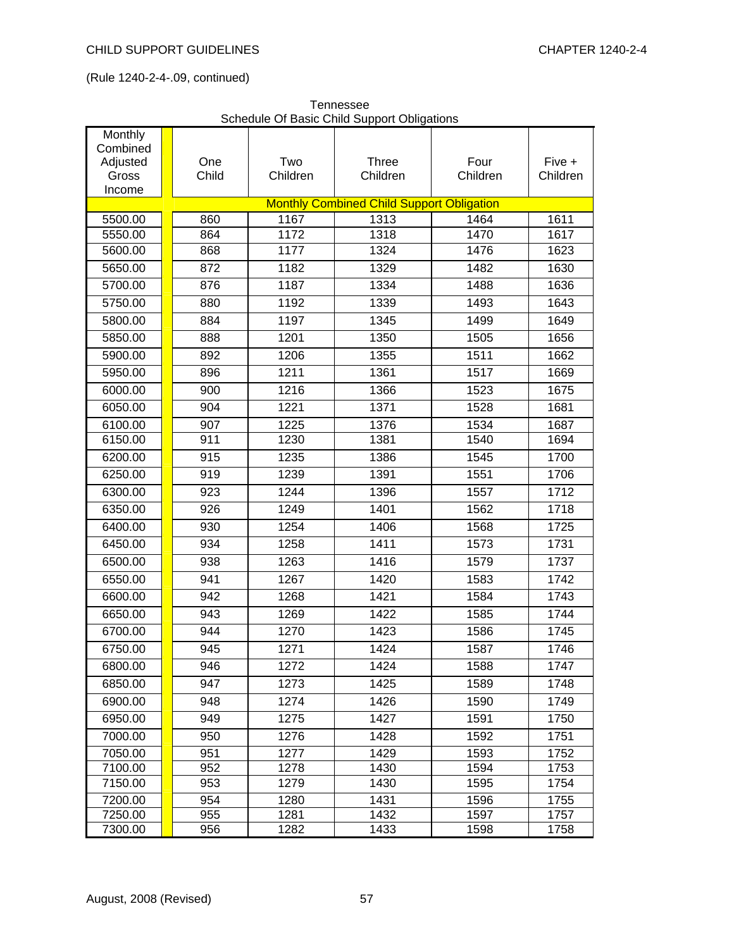| Monthly  |       |          | soriodalo Or Baolo Orilla Oapport Oblig          |          |          |
|----------|-------|----------|--------------------------------------------------|----------|----------|
| Combined |       |          |                                                  |          |          |
| Adjusted | One   | Two      | <b>Three</b>                                     | Four     | Five +   |
| Gross    | Child | Children | Children                                         | Children | Children |
| Income   |       |          | <b>Monthly Combined Child Support Obligation</b> |          |          |
| 5500.00  | 860   | 1167     | 1313                                             | 1464     | 1611     |
| 5550.00  | 864   | 1172     | 1318                                             | 1470     | 1617     |
| 5600.00  | 868   | 1177     | 1324                                             | 1476     | 1623     |
| 5650.00  | 872   | 1182     | 1329                                             | 1482     | 1630     |
| 5700.00  | 876   | 1187     | 1334                                             | 1488     | 1636     |
| 5750.00  | 880   | 1192     | 1339                                             | 1493     | 1643     |
| 5800.00  | 884   | 1197     | 1345                                             | 1499     | 1649     |
| 5850.00  | 888   | 1201     | 1350                                             | 1505     | 1656     |
| 5900.00  | 892   | 1206     | 1355                                             | 1511     | 1662     |
| 5950.00  | 896   | 1211     | 1361                                             | 1517     | 1669     |
| 6000.00  | 900   | 1216     | 1366                                             | 1523     | 1675     |
| 6050.00  | 904   | 1221     | 1371                                             | 1528     | 1681     |
| 6100.00  | 907   | 1225     | 1376                                             | 1534     | 1687     |
| 6150.00  | 911   | 1230     | 1381                                             | 1540     | 1694     |
| 6200.00  | 915   | 1235     | 1386                                             | 1545     | 1700     |
| 6250.00  | 919   | 1239     | 1391                                             | 1551     | 1706     |
| 6300.00  | 923   | 1244     | 1396                                             | 1557     | 1712     |
| 6350.00  | 926   | 1249     | 1401                                             | 1562     | 1718     |
| 6400.00  | 930   | 1254     | 1406                                             | 1568     | 1725     |
| 6450.00  | 934   | 1258     | 1411                                             | 1573     | 1731     |
| 6500.00  | 938   | 1263     | 1416                                             | 1579     | 1737     |
| 6550.00  | 941   | 1267     | 1420                                             | 1583     | 1742     |
| 6600.00  | 942   | 1268     | 1421                                             | 1584     | 1743     |
| 6650.00  | 943   | 1269     | 1422                                             | 1585     | 1744     |
| 6700.00  | 944   | 1270     | 1423                                             | 1586     | 1745     |
| 6750.00  | 945   | 1271     | 1424                                             | 1587     | 1746     |
| 6800.00  | 946   | 1272     | 1424                                             | 1588     | 1747     |
| 6850.00  | 947   | 1273     | 1425                                             | 1589     | 1748     |
| 6900.00  | 948   | 1274     | 1426                                             | 1590     | 1749     |
| 6950.00  | 949   | 1275     | 1427                                             | 1591     | 1750     |
| 7000.00  | 950   | 1276     | 1428                                             | 1592     | 1751     |
| 7050.00  | 951   | 1277     | 1429                                             | 1593     | 1752     |
| 7100.00  | 952   | 1278     | 1430                                             | 1594     | 1753     |
| 7150.00  | 953   | 1279     | 1430                                             | 1595     | 1754     |
| 7200.00  | 954   | 1280     | 1431                                             | 1596     | 1755     |
| 7250.00  | 955   | 1281     | 1432                                             | 1597     | 1757     |
| 7300.00  | 956   | 1282     | 1433                                             | 1598     | 1758     |

Tennessee Schedule Of Basic Child Support Obligations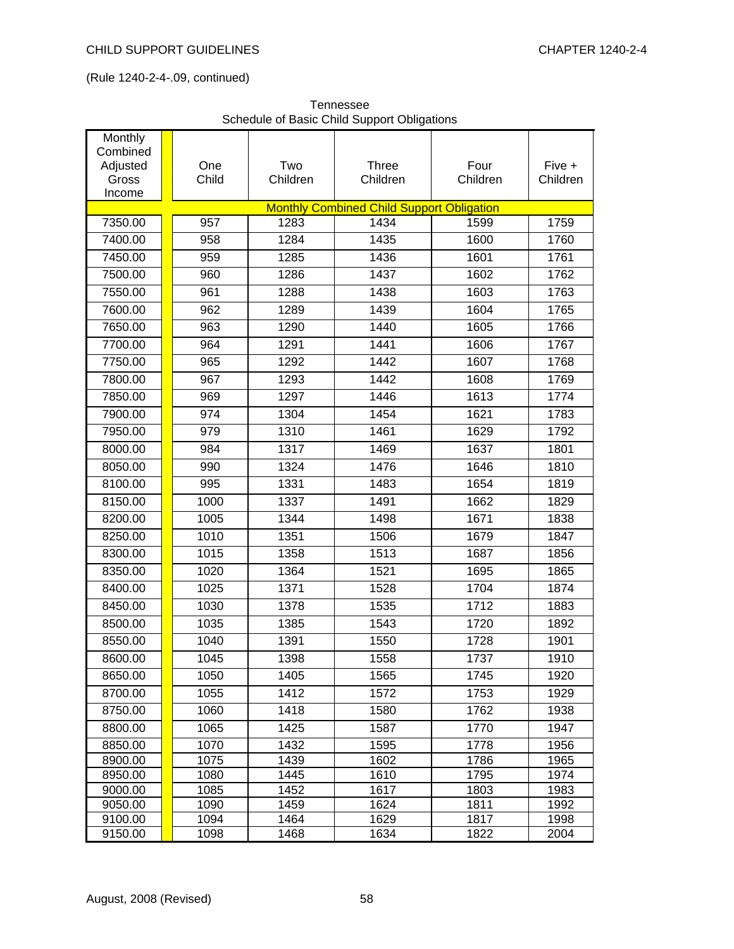| Monthly<br>Combined<br>Adjusted<br>Gross<br>Income | One<br>Child | Two<br>Children | <b>Three</b><br>Children                         | Four<br>Children | Five +<br>Children |
|----------------------------------------------------|--------------|-----------------|--------------------------------------------------|------------------|--------------------|
|                                                    |              |                 | <b>Monthly Combined Child Support Obligation</b> |                  |                    |
| 7350.00                                            | 957          | 1283            | 1434                                             | 1599             | 1759               |
| 7400.00                                            | 958          | 1284            | 1435                                             | 1600             | 1760               |
| 7450.00                                            | 959          | 1285            | 1436                                             | 1601             | 1761               |
| 7500.00                                            | 960          | 1286            | 1437                                             | 1602             | 1762               |
| 7550.00                                            | 961          | 1288            | 1438                                             | 1603             | 1763               |
| 7600.00                                            | 962          | 1289            | 1439                                             | 1604             | 1765               |
| 7650.00                                            | 963          | 1290            | 1440                                             | 1605             | 1766               |
| 7700.00                                            | 964          | 1291            | 1441                                             | 1606             | 1767               |
| 7750.00                                            | 965          | 1292            | 1442                                             | 1607             | 1768               |
| 7800.00                                            | 967          | 1293            | 1442                                             | 1608             | 1769               |
| 7850.00                                            | 969          | 1297            | 1446                                             | 1613             | 1774               |
| 7900.00                                            | 974          | 1304            | 1454                                             | 1621             | 1783               |
| 7950.00                                            | 979          | 1310            | 1461                                             | 1629             | 1792               |
| 8000.00                                            | 984          | 1317            | 1469                                             | 1637             | 1801               |
| 8050.00                                            | 990          | 1324            | 1476                                             | 1646             | 1810               |
| 8100.00                                            | 995          | 1331            | 1483                                             | 1654             | 1819               |
| 8150.00                                            | 1000         | 1337            | 1491                                             | 1662             | 1829               |
| 8200.00                                            | 1005         | 1344            | 1498                                             | 1671             | 1838               |
| 8250.00                                            | 1010         | 1351            | 1506                                             | 1679             | 1847               |
| 8300.00                                            | 1015         | 1358            | 1513                                             | 1687             | 1856               |
| 8350.00                                            | 1020         | 1364            | 1521                                             | 1695             | 1865               |
| 8400.00                                            | 1025         | 1371            | 1528                                             | 1704             | 1874               |
| 8450.00                                            | 1030         | 1378            | 1535                                             | 1712             | 1883               |
| 8500.00                                            | 1035         | 1385            | 1543                                             | 1720             | 1892               |
| 8550.00                                            | 1040         | 1391            | 1550                                             | 1728             | 1901               |
| 8600.00                                            | 1045         | 1398            | 1558                                             | 1737             | 1910               |
| 8650.00                                            | 1050         | 1405            | 1565                                             | 1745             | 1920               |
| 8700.00                                            | 1055         | 1412            | 1572                                             | 1753             | 1929               |
| 8750.00                                            | 1060         | 1418            | 1580                                             | 1762             | 1938               |
| 8800.00                                            | 1065         | 1425            | 1587                                             | 1770             | 1947               |
| 8850.00                                            | 1070         | 1432            | 1595                                             | 1778             | 1956               |
| 8900.00                                            | 1075         | 1439            | 1602                                             | 1786             | 1965               |
| 8950.00                                            | 1080         | 1445            | 1610                                             | 1795             | 1974               |
| 9000.00                                            | 1085         | 1452            | 1617                                             | 1803             | 1983               |
| 9050.00                                            | 1090         | 1459            | 1624                                             | 1811             | 1992               |
| 9100.00                                            | 1094         | 1464            | 1629                                             | 1817             | 1998               |
| 9150.00                                            | 1098         | 1468            | 1634                                             | 1822             | 2004               |

Tennessee Schedule of Basic Child Support Obligations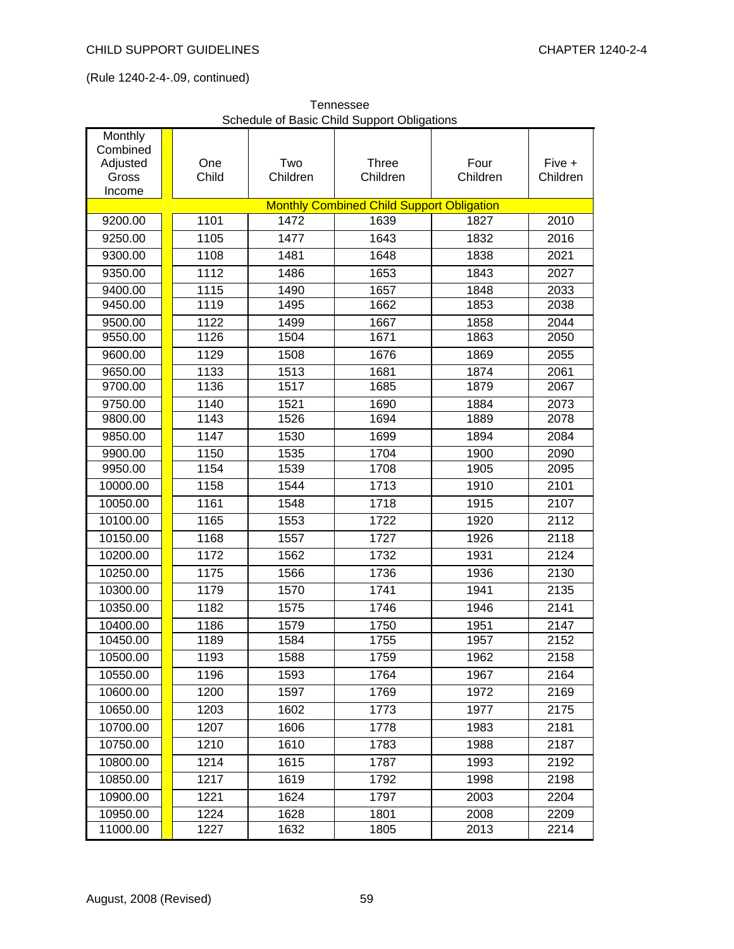| Monthly<br>Combined |              |                 |                                                  |                  |                    |
|---------------------|--------------|-----------------|--------------------------------------------------|------------------|--------------------|
| Adjusted<br>Gross   | One<br>Child | Two<br>Children | <b>Three</b><br>Children                         | Four<br>Children | Five +<br>Children |
| Income              |              |                 | <b>Monthly Combined Child Support Obligation</b> |                  |                    |
| 9200.00             | 1101         | 1472            | 1639                                             | 1827             | 2010               |
| 9250.00             | 1105         | 1477            | 1643                                             | 1832             | 2016               |
| 9300.00             | 1108         | 1481            | 1648                                             | 1838             | 2021               |
| 9350.00             | 1112         | 1486            | 1653                                             | 1843             | 2027               |
| 9400.00             | 1115         | 1490            | 1657                                             | 1848             | 2033               |
| 9450.00             | 1119         | 1495            | 1662                                             | 1853             | 2038               |
| 9500.00             | 1122         | 1499            | 1667                                             | 1858             | 2044               |
| 9550.00             | 1126         | 1504            | 1671                                             | 1863             | 2050               |
| 9600.00             | 1129         | 1508            | 1676                                             | 1869             | 2055               |
| 9650.00             | 1133         | 1513            | 1681                                             | 1874             | 2061               |
| 9700.00             | 1136         | 1517            | 1685                                             | 1879             | 2067               |
| 9750.00             | 1140         | 1521            | 1690                                             | 1884             | 2073               |
| 9800.00             | 1143         | 1526            | 1694                                             | 1889             | 2078               |
| 9850.00             | 1147         | 1530            | 1699                                             | 1894             | 2084               |
| 9900.00             | 1150         | 1535            | 1704                                             | 1900             | 2090               |
| 9950.00             | 1154         | 1539            | 1708                                             | 1905             | 2095               |
| 10000.00            | 1158         | 1544            | 1713                                             | 1910             | 2101               |
| 10050.00            | 1161         | 1548            | 1718                                             | 1915             | 2107               |
| 10100.00            | 1165         | 1553            | 1722                                             | 1920             | 2112               |
| 10150.00            | 1168         | 1557            | 1727                                             | 1926             | 2118               |
| 10200.00            | 1172         | 1562            | 1732                                             | 1931             | 2124               |
| 10250.00            | 1175         | 1566            | 1736                                             | 1936             | 2130               |
| 10300.00            | 1179         | 1570            | 1741                                             | 1941             | 2135               |
| 10350.00            | 1182         | 1575            | 1746                                             | 1946             | 2141               |
| 10400.00            | 1186         | 1579            | 1750                                             | 1951             | 2147               |
| 10450.00            | 1189         | 1584            | 1755                                             | 1957             | 2152               |
| 10500.00            | 1193         | 1588            | 1759                                             | 1962             | 2158               |
| 10550.00            | 1196         | 1593            | 1764                                             | 1967             | 2164               |
| 10600.00            | 1200         | 1597            | 1769                                             | 1972             | 2169               |
| 10650.00            | 1203         | 1602            | 1773                                             | 1977             | 2175               |
| 10700.00            | 1207         | 1606            | 1778                                             | 1983             | 2181               |
| 10750.00            | 1210         | 1610            | 1783                                             | 1988             | 2187               |
| 10800.00            | 1214         | 1615            | 1787                                             | 1993             | 2192               |
| 10850.00            | 1217         | 1619            | 1792                                             | 1998             | 2198               |
| 10900.00            | 1221         | 1624            | 1797                                             | 2003             | 2204               |
| 10950.00            | 1224         | 1628            | 1801                                             | 2008             | 2209               |
| 11000.00            | 1227         | 1632            | 1805                                             | 2013             | 2214               |

Tennessee Schedule of Basic Child Support Obligations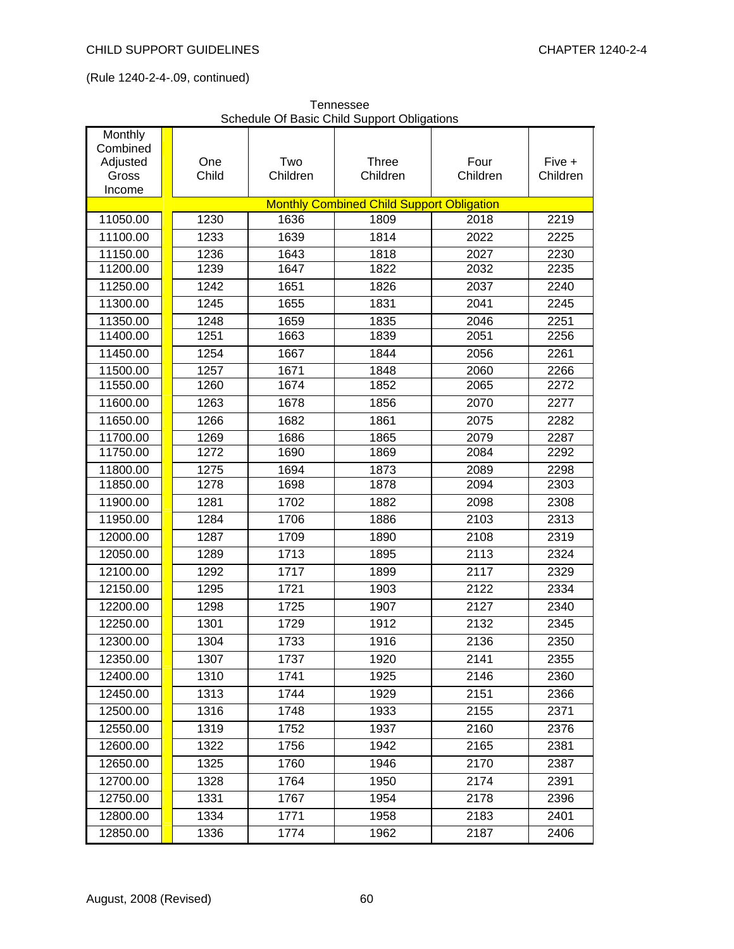| Monthly                                          |       |          | a oapport opm |          |          |  |  |  |
|--------------------------------------------------|-------|----------|---------------|----------|----------|--|--|--|
| Combined<br>Adjusted                             | One   | Two      | <b>Three</b>  | Four     | Five +   |  |  |  |
| Gross                                            | Child | Children | Children      | Children | Children |  |  |  |
| Income                                           |       |          |               |          |          |  |  |  |
| <b>Monthly Combined Child Support Obligation</b> |       |          |               |          |          |  |  |  |
| 11050.00                                         | 1230  | 1636     | 1809          | 2018     | 2219     |  |  |  |
| 11100.00                                         | 1233  | 1639     | 1814          | 2022     | 2225     |  |  |  |
| 11150.00                                         | 1236  | 1643     | 1818          | 2027     | 2230     |  |  |  |
| 11200.00                                         | 1239  | 1647     | 1822          | 2032     | 2235     |  |  |  |
| 11250.00                                         | 1242  | 1651     | 1826          | 2037     | 2240     |  |  |  |
| 11300.00                                         | 1245  | 1655     | 1831          | 2041     | 2245     |  |  |  |
| 11350.00                                         | 1248  | 1659     | 1835          | 2046     | 2251     |  |  |  |
| 11400.00                                         | 1251  | 1663     | 1839          | 2051     | 2256     |  |  |  |
| 11450.00                                         | 1254  | 1667     | 1844          | 2056     | 2261     |  |  |  |
| 11500.00                                         | 1257  | 1671     | 1848          | 2060     | 2266     |  |  |  |
| 11550.00                                         | 1260  | 1674     | 1852          | 2065     | 2272     |  |  |  |
| 11600.00                                         | 1263  | 1678     | 1856          | 2070     | 2277     |  |  |  |
| 11650.00                                         | 1266  | 1682     | 1861          | 2075     | 2282     |  |  |  |
| 11700.00                                         | 1269  | 1686     | 1865          | 2079     | 2287     |  |  |  |
| 11750.00                                         | 1272  | 1690     | 1869          | 2084     | 2292     |  |  |  |
| 11800.00                                         | 1275  | 1694     | 1873          | 2089     | 2298     |  |  |  |
| 11850.00                                         | 1278  | 1698     | 1878          | 2094     | 2303     |  |  |  |
| 11900.00                                         | 1281  | 1702     | 1882          | 2098     | 2308     |  |  |  |
| 11950.00                                         | 1284  | 1706     | 1886          | 2103     | 2313     |  |  |  |
| 12000.00                                         | 1287  | 1709     | 1890          | 2108     | 2319     |  |  |  |
| 12050.00                                         | 1289  | 1713     | 1895          | 2113     | 2324     |  |  |  |
| 12100.00                                         | 1292  | 1717     | 1899          | 2117     | 2329     |  |  |  |
| 12150.00                                         | 1295  | 1721     | 1903          | 2122     | 2334     |  |  |  |
| 12200.00                                         | 1298  | 1725     | 1907          | 2127     | 2340     |  |  |  |
| 12250.00                                         | 1301  | 1729     | 1912          | 2132     | 2345     |  |  |  |
| 12300.00                                         | 1304  | 1733     | 1916          | 2136     | 2350     |  |  |  |
| 12350.00                                         | 1307  | 1737     | 1920          | 2141     | 2355     |  |  |  |
| 12400.00                                         | 1310  | 1741     | 1925          | 2146     | 2360     |  |  |  |
| 12450.00                                         | 1313  | 1744     | 1929          | 2151     | 2366     |  |  |  |
| 12500.00                                         | 1316  | 1748     | 1933          | 2155     | 2371     |  |  |  |
| 12550.00                                         | 1319  | 1752     | 1937          | 2160     | 2376     |  |  |  |
| 12600.00                                         | 1322  | 1756     | 1942          | 2165     | 2381     |  |  |  |
| 12650.00                                         | 1325  | 1760     | 1946          | 2170     | 2387     |  |  |  |
| 12700.00                                         | 1328  | 1764     | 1950          | 2174     | 2391     |  |  |  |
| 12750.00                                         | 1331  | 1767     | 1954          | 2178     | 2396     |  |  |  |
| 12800.00                                         | 1334  | 1771     | 1958          | 2183     | 2401     |  |  |  |
| 12850.00                                         | 1336  | 1774     | 1962          | 2187     | 2406     |  |  |  |

Tennessee Schedule Of Basic Child Support Obligations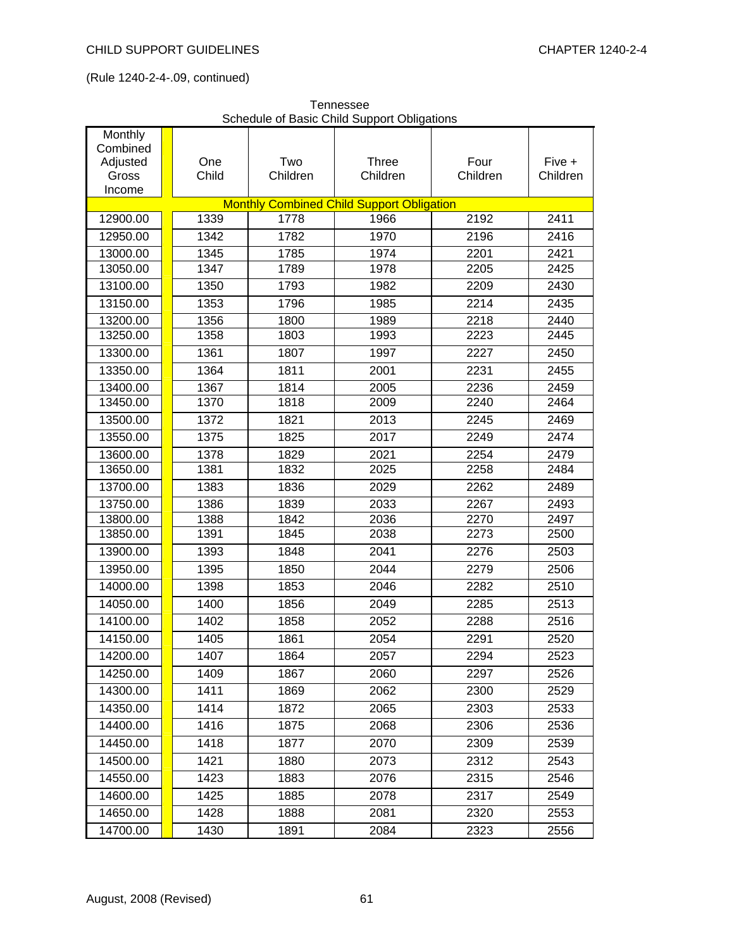| Monthly           |              | soriodalo or Baolo Orilla Oapport Oblic |                                                  |                  |                    |
|-------------------|--------------|-----------------------------------------|--------------------------------------------------|------------------|--------------------|
| Combined          |              | Two                                     |                                                  |                  |                    |
| Adjusted<br>Gross | One<br>Child | Children                                | <b>Three</b><br>Children                         | Four<br>Children | Five +<br>Children |
| Income            |              |                                         |                                                  |                  |                    |
|                   |              |                                         | <b>Monthly Combined Child Support Obligation</b> |                  |                    |
| 12900.00          | 1339         | 1778                                    | 1966                                             | 2192             | 2411               |
| 12950.00          | 1342         | 1782                                    | 1970                                             | 2196             | 2416               |
| 13000.00          | 1345         | 1785                                    | 1974                                             | 2201             | 2421               |
| 13050.00          | 1347         | 1789                                    | 1978                                             | 2205             | 2425               |
| 13100.00          | 1350         | 1793                                    | 1982                                             | 2209             | 2430               |
| 13150.00          | 1353         | 1796                                    | 1985                                             | 2214             | 2435               |
| 13200.00          | 1356         | 1800                                    | 1989                                             | 2218             | 2440               |
| 13250.00          | 1358         | 1803                                    | 1993                                             | 2223             | 2445               |
| 13300.00          | 1361         | 1807                                    | 1997                                             | 2227             | 2450               |
| 13350.00          | 1364         | 1811                                    | 2001                                             | 2231             | 2455               |
| 13400.00          | 1367         | 1814                                    | 2005                                             | 2236             | 2459               |
| 13450.00          | 1370         | 1818                                    | 2009                                             | 2240             | 2464               |
| 13500.00          | 1372         | 1821                                    | 2013                                             | 2245             | 2469               |
| 13550.00          | 1375         | 1825                                    | 2017                                             | 2249             | 2474               |
| 13600.00          | 1378         | 1829                                    | 2021                                             | 2254             | 2479               |
| 13650.00          | 1381         | 1832                                    | 2025                                             | 2258             | 2484               |
| 13700.00          | 1383         | 1836                                    | 2029                                             | 2262             | 2489               |
| 13750.00          | 1386         | 1839                                    | 2033                                             | 2267             | 2493               |
| 13800.00          | 1388         | 1842                                    | 2036                                             | 2270             | 2497               |
| 13850.00          | 1391         | 1845                                    | 2038                                             | 2273             | 2500               |
| 13900.00          | 1393         | 1848                                    | 2041                                             | 2276             | 2503               |
| 13950.00          | 1395         | 1850                                    | 2044                                             | 2279             | 2506               |
| 14000.00          | 1398         | 1853                                    | 2046                                             | 2282             | 2510               |
| 14050.00          | 1400         | 1856                                    | 2049                                             | 2285             | 2513               |
| 14100.00          | 1402         | 1858                                    | 2052                                             | 2288             | 2516               |
| 14150.00          | 1405         | 1861                                    | 2054                                             | 2291             | 2520               |
| 14200.00          | 1407         | 1864                                    | 2057                                             | 2294             | 2523               |
| 14250.00          | 1409         | 1867                                    | 2060                                             | 2297             | 2526               |
| 14300.00          | 1411         | 1869                                    | 2062                                             | 2300             | 2529               |
| 14350.00          | 1414         | 1872                                    | 2065                                             | 2303             | 2533               |
| 14400.00          | 1416         | 1875                                    | 2068                                             | 2306             | 2536               |
| 14450.00          | 1418         | 1877                                    | 2070                                             | 2309             | 2539               |
| 14500.00          | 1421         | 1880                                    | 2073                                             | 2312             | 2543               |
| 14550.00          | 1423         | 1883                                    | 2076                                             | 2315             | 2546               |
| 14600.00          | 1425         | 1885                                    | 2078                                             | 2317             | 2549               |
| 14650.00          | 1428         | 1888                                    | 2081                                             | 2320             | 2553               |
| 14700.00          | 1430         | 1891                                    | 2084                                             | 2323             | 2556               |

Tennessee Schedule of Basic Child Support Obligations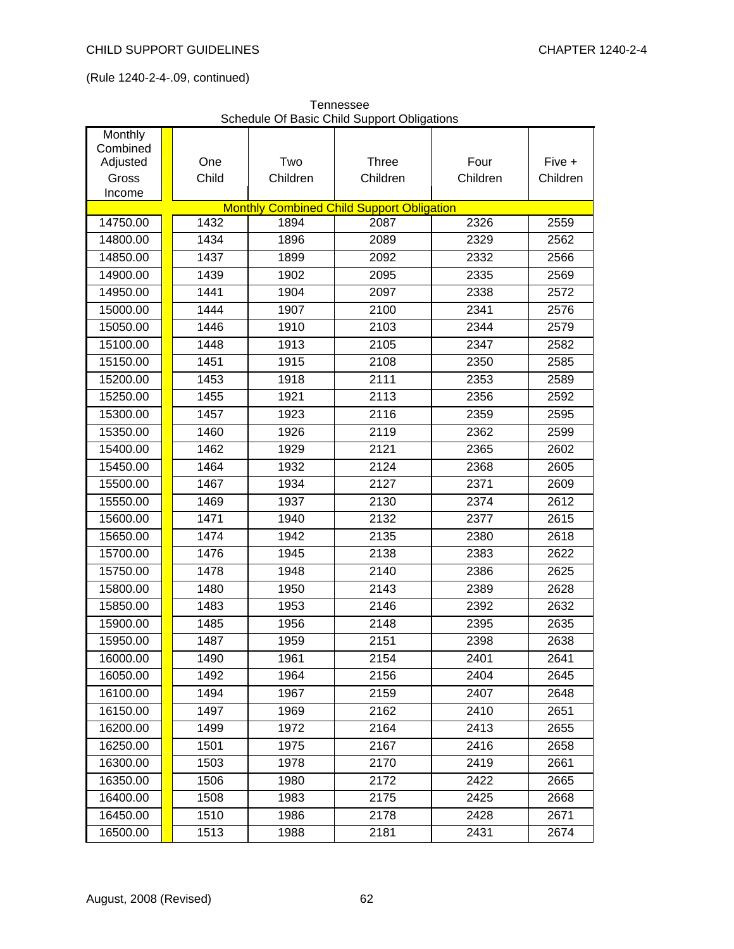| Monthly<br>Combined |       |          |                                                  |          |          |
|---------------------|-------|----------|--------------------------------------------------|----------|----------|
| Adjusted            | One   | Two      | Three                                            | Four     | Five +   |
| Gross               | Child | Children | Children                                         | Children | Children |
| Income              |       |          |                                                  |          |          |
|                     |       |          | <b>Monthly Combined Child Support Obligation</b> |          |          |
| 14750.00            | 1432  | 1894     | 2087                                             | 2326     | 2559     |
| 14800.00            | 1434  | 1896     | 2089                                             | 2329     | 2562     |
| 14850.00            | 1437  | 1899     | 2092                                             | 2332     | 2566     |
| 14900.00            | 1439  | 1902     | 2095                                             | 2335     | 2569     |
| 14950.00            | 1441  | 1904     | 2097                                             | 2338     | 2572     |
| 15000.00            | 1444  | 1907     | 2100                                             | 2341     | 2576     |
| 15050.00            | 1446  | 1910     | 2103                                             | 2344     | 2579     |
| 15100.00            | 1448  | 1913     | 2105                                             | 2347     | 2582     |
| 15150.00            | 1451  | 1915     | 2108                                             | 2350     | 2585     |
| 15200.00            | 1453  | 1918     | 2111                                             | 2353     | 2589     |
| 15250.00            | 1455  | 1921     | 2113                                             | 2356     | 2592     |
| 15300.00            | 1457  | 1923     | 2116                                             | 2359     | 2595     |
| 15350.00            | 1460  | 1926     | 2119                                             | 2362     | 2599     |
| 15400.00            | 1462  | 1929     | 2121                                             | 2365     | 2602     |
| 15450.00            | 1464  | 1932     | 2124                                             | 2368     | 2605     |
| 15500.00            | 1467  | 1934     | 2127                                             | 2371     | 2609     |
| 15550.00            | 1469  | 1937     | 2130                                             | 2374     | 2612     |
| 15600.00            | 1471  | 1940     | 2132                                             | 2377     | 2615     |
| 15650.00            | 1474  | 1942     | 2135                                             | 2380     | 2618     |
| 15700.00            | 1476  | 1945     | 2138                                             | 2383     | 2622     |
| 15750.00            | 1478  | 1948     | 2140                                             | 2386     | 2625     |
| 15800.00            | 1480  | 1950     | 2143                                             | 2389     | 2628     |
| 15850.00            | 1483  | 1953     | 2146                                             | 2392     | 2632     |
| 15900.00            | 1485  | 1956     | 2148                                             | 2395     | 2635     |
| 15950.00            | 1487  | 1959     | 2151                                             | 2398     | 2638     |
| 16000.00            | 1490  | 1961     | 2154                                             | 2401     | 2641     |
| 16050.00            | 1492  | 1964     | 2156                                             | 2404     | 2645     |
| 16100.00            | 1494  | 1967     | 2159                                             | 2407     | 2648     |
| 16150.00            | 1497  | 1969     | 2162                                             | 2410     | 2651     |
| 16200.00            | 1499  | 1972     | 2164                                             | 2413     | 2655     |
| 16250.00            | 1501  | 1975     | 2167                                             | 2416     | 2658     |
| 16300.00            | 1503  | 1978     | 2170                                             | 2419     | 2661     |
| 16350.00            | 1506  | 1980     | 2172                                             | 2422     | 2665     |
| 16400.00            | 1508  | 1983     | 2175                                             | 2425     | 2668     |
| 16450.00            | 1510  | 1986     | 2178                                             | 2428     | 2671     |
| 16500.00            | 1513  | 1988     | 2181                                             | 2431     | 2674     |

Tennessee Schedule Of Basic Child Support Obligations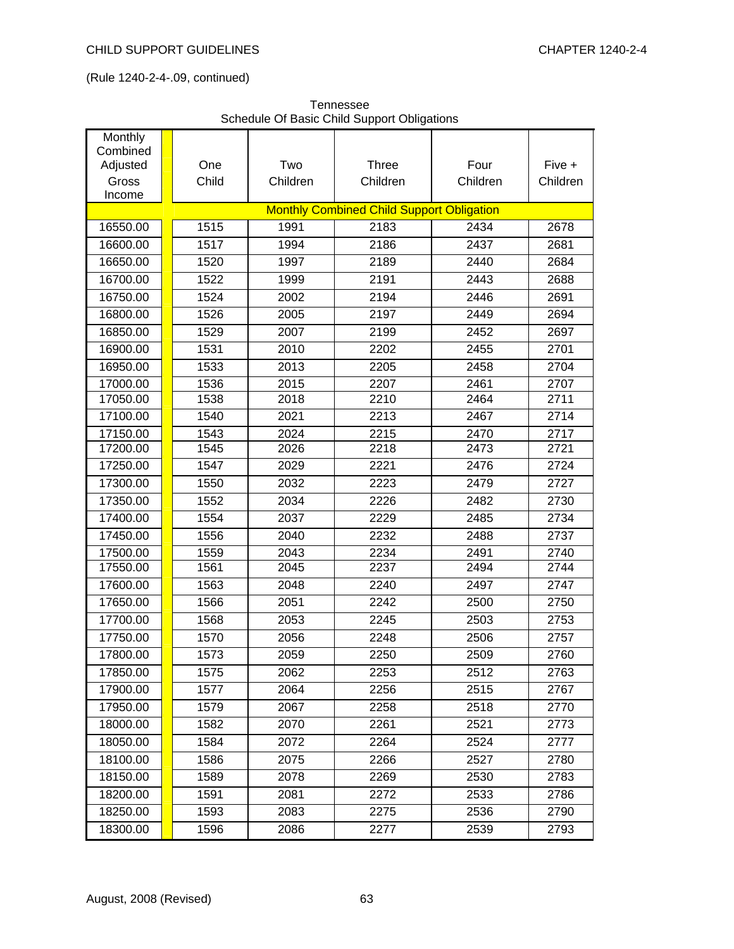| Tennessee                                   |  |
|---------------------------------------------|--|
| Schedule Of Basic Child Support Obligations |  |

| Monthly<br>Combined |       |          |                                                  |          |          |
|---------------------|-------|----------|--------------------------------------------------|----------|----------|
| Adjusted            | One   | Two      | <b>Three</b>                                     | Four     | Five +   |
| Gross               | Child | Children | Children                                         | Children | Children |
| Income              |       |          |                                                  |          |          |
|                     |       |          | <b>Monthly Combined Child Support Obligation</b> |          |          |
| 16550.00            | 1515  | 1991     | 2183                                             | 2434     | 2678     |
| 16600.00            | 1517  | 1994     | 2186                                             | 2437     | 2681     |
| 16650.00            | 1520  | 1997     | 2189                                             | 2440     | 2684     |
| 16700.00            | 1522  | 1999     | 2191                                             | 2443     | 2688     |
| 16750.00            | 1524  | 2002     | 2194                                             | 2446     | 2691     |
| 16800.00            | 1526  | 2005     | 2197                                             | 2449     | 2694     |
| 16850.00            | 1529  | 2007     | 2199                                             | 2452     | 2697     |
| 16900.00            | 1531  | 2010     | 2202                                             | 2455     | 2701     |
| 16950.00            | 1533  | 2013     | 2205                                             | 2458     | 2704     |
| 17000.00            | 1536  | 2015     | 2207                                             | 2461     | 2707     |
| 17050.00            | 1538  | 2018     | 2210                                             | 2464     | 2711     |
| 17100.00            | 1540  | 2021     | 2213                                             | 2467     | 2714     |
| 17150.00            | 1543  | 2024     | 2215                                             | 2470     | 2717     |
| 17200.00            | 1545  | 2026     | 2218                                             | 2473     | 2721     |
| 17250.00            | 1547  | 2029     | 2221                                             | 2476     | 2724     |
| 17300.00            | 1550  | 2032     | 2223                                             | 2479     | 2727     |
| 17350.00            | 1552  | 2034     | 2226                                             | 2482     | 2730     |
| 17400.00            | 1554  | 2037     | 2229                                             | 2485     | 2734     |
| 17450.00            | 1556  | 2040     | 2232                                             | 2488     | 2737     |
| 17500.00            | 1559  | 2043     | 2234                                             | 2491     | 2740     |
| 17550.00            | 1561  | 2045     | 2237                                             | 2494     | 2744     |
| 17600.00            | 1563  | 2048     | 2240                                             | 2497     | 2747     |
| 17650.00            | 1566  | 2051     | 2242                                             | 2500     | 2750     |
| 17700.00            | 1568  | 2053     | 2245                                             | 2503     | 2753     |
| 17750.00            | 1570  | 2056     | 2248                                             | 2506     | 2757     |
| 17800.00            | 1573  | 2059     | 2250                                             | 2509     | 2760     |
| 17850.00            | 1575  | 2062     | 2253                                             | 2512     | 2763     |
| 17900.00            | 1577  | 2064     | 2256                                             | 2515     | 2767     |
| 17950.00            | 1579  | 2067     | 2258                                             | 2518     | 2770     |
| 18000.00            | 1582  | 2070     | 2261                                             | 2521     | 2773     |
| 18050.00            | 1584  | 2072     | 2264                                             | 2524     | 2777     |
| 18100.00            | 1586  | 2075     | 2266                                             | 2527     | 2780     |
| 18150.00            | 1589  | 2078     | 2269                                             | 2530     | 2783     |
| 18200.00            | 1591  | 2081     | 2272                                             | 2533     | 2786     |
| 18250.00            | 1593  | 2083     | 2275                                             | 2536     | 2790     |
| 18300.00            | 1596  | 2086     | 2277                                             | 2539     | 2793     |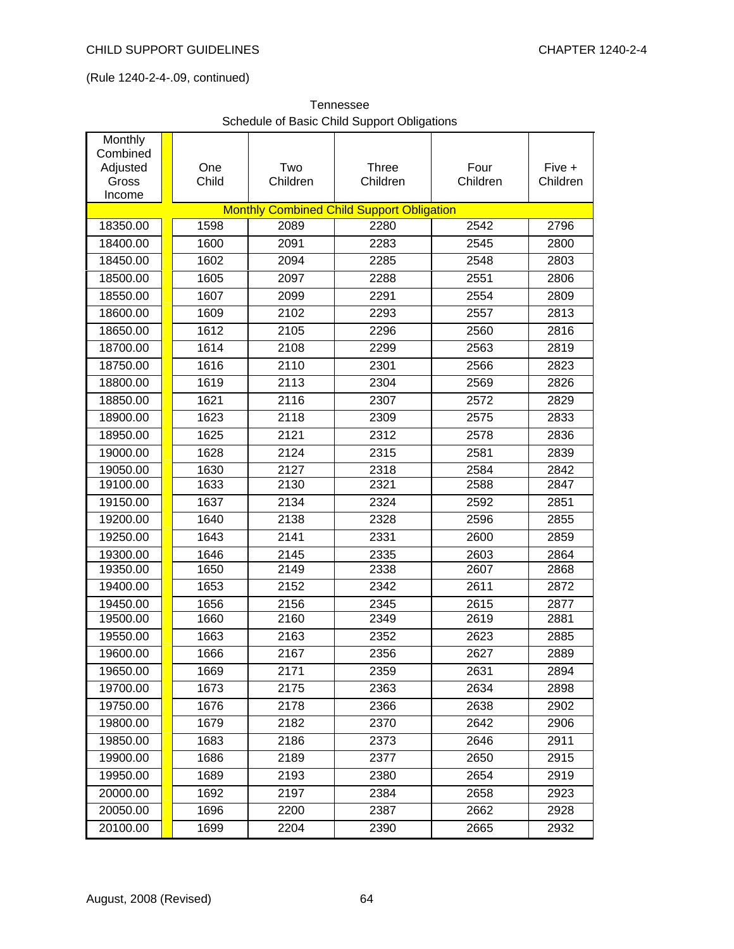| <b>Lennessee</b>                            |  |
|---------------------------------------------|--|
| Schedule of Basic Child Support Obligations |  |
|                                             |  |

| Monthly<br>Combined<br>Adjusted<br>Gross<br>Income | One<br>Child | Two<br>Children | Three<br>Children                                | Four<br>Children | Five +<br>Children |
|----------------------------------------------------|--------------|-----------------|--------------------------------------------------|------------------|--------------------|
|                                                    |              |                 | <b>Monthly Combined Child Support Obligation</b> |                  |                    |
| 18350.00                                           | 1598         | 2089            | 2280                                             | 2542             | 2796               |
| 18400.00                                           | 1600         | 2091            | 2283                                             | 2545             | 2800               |
| 18450.00                                           | 1602         | 2094            | 2285                                             | 2548             | 2803               |
| 18500.00                                           | 1605         | 2097            | 2288                                             | 2551             | 2806               |
| 18550.00                                           | 1607         | 2099            | 2291                                             | 2554             | 2809               |
| 18600.00                                           | 1609         | 2102            | 2293                                             | 2557             | 2813               |
| 18650.00                                           | 1612         | 2105            | 2296                                             | 2560             | 2816               |
| 18700.00                                           | 1614         | 2108            | 2299                                             | 2563             | 2819               |
| 18750.00                                           | 1616         | 2110            | 2301                                             | 2566             | 2823               |
| 18800.00                                           | 1619         | 2113            | 2304                                             | 2569             | 2826               |
| 18850.00                                           | 1621         | 2116            | 2307                                             | 2572             | 2829               |
| 18900.00                                           | 1623         | 2118            | 2309                                             | 2575             | 2833               |
| 18950.00                                           | 1625         | 2121            | 2312                                             | 2578             | 2836               |
| 19000.00                                           | 1628         | 2124            | 2315                                             | 2581             | 2839               |
| 19050.00                                           | 1630         | 2127            | 2318                                             | 2584             | 2842               |
| 19100.00                                           | 1633         | 2130            | 2321                                             | 2588             | 2847               |
| 19150.00                                           | 1637         | 2134            | 2324                                             | 2592             | 2851               |
| 19200.00                                           | 1640         | 2138            | 2328                                             | 2596             | 2855               |
| 19250.00                                           | 1643         | 2141            | 2331                                             | 2600             | 2859               |
| 19300.00                                           | 1646         | 2145            | 2335                                             | 2603             | 2864               |
| 19350.00                                           | 1650         | 2149            | 2338                                             | 2607             | 2868               |
| 19400.00                                           | 1653         | 2152            | 2342                                             | 2611             | 2872               |
| 19450.00                                           | 1656         | 2156            | 2345                                             | 2615             | 2877               |
| 19500.00                                           | 1660         | 2160            | 2349                                             | 2619             | 2881               |
| 19550.00                                           | 1663         | 2163            | 2352                                             | 2623<br>2627     | 2885               |
| 19600.00                                           | 1666         | 2167            | 2356                                             |                  | 2889               |
| 19650.00<br>19700.00                               | 1669         | 2171<br>2175    | 2359                                             | 2631<br>2634     | 2894               |
| 19750.00                                           | 1673<br>1676 | 2178            | 2363<br>2366                                     | 2638             | 2898<br>2902       |
|                                                    |              |                 |                                                  |                  |                    |
| 19800.00                                           | 1679         | 2182            | 2370                                             | 2642             | 2906               |
| 19850.00                                           | 1683<br>1686 | 2186            | 2373                                             | 2646             | 2911               |
| 19900.00                                           |              | 2189            | 2377                                             | 2650             | 2915               |
| 19950.00<br>20000.00                               | 1689         | 2193<br>2197    | 2380<br>2384                                     | 2654             | 2919               |
|                                                    | 1692         |                 |                                                  | 2658             | 2923               |
| 20050.00                                           | 1696         | 2200            | 2387                                             | 2662             | 2928               |
| 20100.00                                           | 1699         | 2204            | 2390                                             | 2665             | 2932               |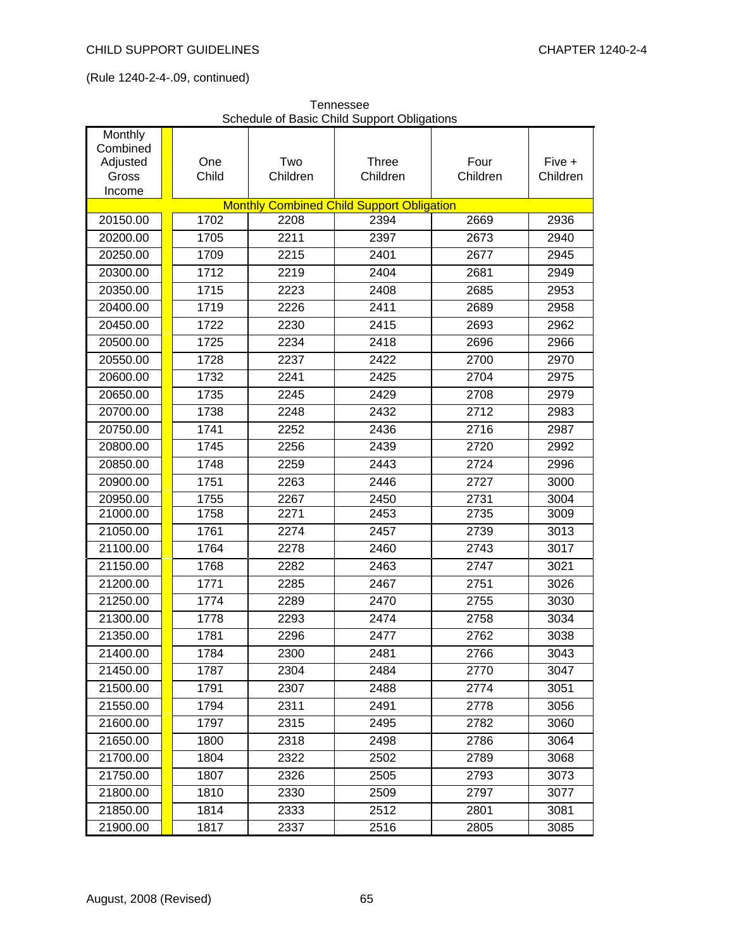| Monthly           |              | cricadic or Dasid Orling Oupport Obligations |                                                  |                  |                    |
|-------------------|--------------|----------------------------------------------|--------------------------------------------------|------------------|--------------------|
| Combined          |              |                                              |                                                  |                  |                    |
| Adjusted<br>Gross | One<br>Child | Two<br>Children                              | Three<br>Children                                | Four<br>Children | Five +<br>Children |
| Income            |              |                                              |                                                  |                  |                    |
|                   |              |                                              | <b>Monthly Combined Child Support Obligation</b> |                  |                    |
| 20150.00          | 1702         | 2208                                         | 2394                                             | 2669             | 2936               |
| 20200.00          | 1705         | 2211                                         | 2397                                             | 2673             | 2940               |
| 20250.00          | 1709         | 2215                                         | 2401                                             | 2677             | 2945               |
| 20300.00          | 1712         | 2219                                         | 2404                                             | 2681             | 2949               |
| 20350.00          | 1715         | 2223                                         | 2408                                             | 2685             | 2953               |
| 20400.00          | 1719         | 2226                                         | 2411                                             | 2689             | 2958               |
| 20450.00          | 1722         | 2230                                         | 2415                                             | 2693             | 2962               |
| 20500.00          | 1725         | 2234                                         | 2418                                             | 2696             | 2966               |
| 20550.00          | 1728         | 2237                                         | 2422                                             | 2700             | 2970               |
| 20600.00          | 1732         | 2241                                         | 2425                                             | 2704             | 2975               |
| 20650.00          | 1735         | 2245                                         | 2429                                             | 2708             | 2979               |
| 20700.00          | 1738         | 2248                                         | 2432                                             | 2712             | 2983               |
| 20750.00          | 1741         | 2252                                         | 2436                                             | 2716             | 2987               |
| 20800.00          | 1745         | 2256                                         | 2439                                             | 2720             | 2992               |
| 20850.00          | 1748         | 2259                                         | 2443                                             | 2724             | 2996               |
| 20900.00          | 1751         | 2263                                         | 2446                                             | 2727             | 3000               |
| 20950.00          | 1755         | 2267                                         | 2450                                             | 2731             | 3004               |
| 21000.00          | 1758         | 2271                                         | 2453                                             | 2735             | 3009               |
| 21050.00          | 1761         | 2274                                         | 2457                                             | 2739             | 3013               |
| 21100.00          | 1764         | 2278                                         | 2460                                             | 2743             | 3017               |
| 21150.00          | 1768         | 2282                                         | 2463                                             | 2747             | 3021               |
| 21200.00          | 1771         | 2285                                         | 2467                                             | 2751             | 3026               |
| 21250.00          | 1774         | 2289                                         | 2470                                             | 2755             | 3030               |
| 21300.00          | 1778         | 2293                                         | 2474                                             | 2758             | 3034               |
| 21350.00          | 1781         | 2296                                         | 2477                                             | 2762             | 3038               |
| 21400.00          | 1784         | 2300                                         | 2481                                             | 2766             | 3043               |
| 21450.00          | 1787         | 2304                                         | 2484                                             | 2770             | 3047               |
| 21500.00          | 1791         | 2307                                         | 2488                                             | 2774             | 3051               |
| 21550.00          | 1794         | 2311                                         | 2491                                             | 2778             | 3056               |
| 21600.00          | 1797         | 2315                                         | 2495                                             | 2782             | 3060               |
| 21650.00          | 1800         | 2318                                         | 2498                                             | 2786             | 3064               |
| 21700.00          | 1804         | 2322                                         | 2502                                             | 2789             | 3068               |
| 21750.00          | 1807         | 2326                                         | 2505                                             | 2793             | 3073               |
| 21800.00          | 1810         | 2330                                         | 2509                                             | 2797             | 3077               |
| 21850.00          | 1814         | 2333                                         | 2512                                             | 2801             | 3081               |
| 21900.00          | 1817         | 2337                                         | 2516                                             | 2805             | 3085               |

Tennessee Schedule of Basic Child Support Obligations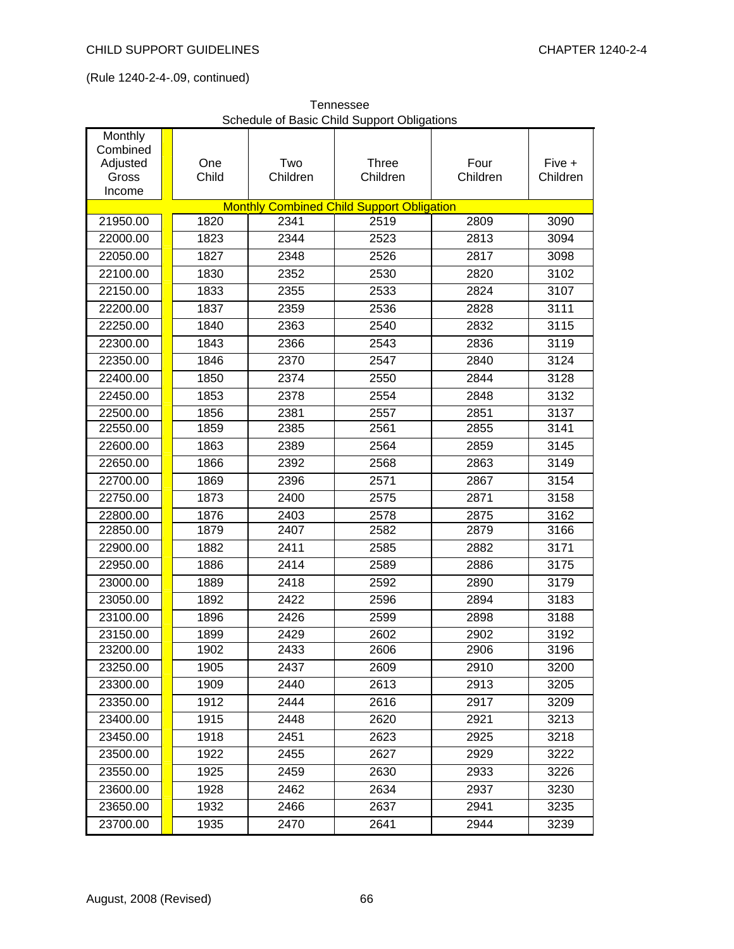| Monthly<br>Combined<br>Adjusted | One   | Two      | $\sim$ $\sim$ $\sim$ $\sim$ $\sim$ $\sim$ $\sim$ $\sim$<br><b>Three</b> | Four     | Five +   |
|---------------------------------|-------|----------|-------------------------------------------------------------------------|----------|----------|
| Gross<br>Income                 | Child | Children | Children                                                                | Children | Children |
|                                 |       |          | <b>Monthly Combined Child Support Obligation</b>                        |          |          |
| 21950.00                        | 1820  | 2341     | 2519                                                                    | 2809     | 3090     |
| 22000.00                        | 1823  | 2344     | 2523                                                                    | 2813     | 3094     |
| 22050.00                        | 1827  | 2348     | 2526                                                                    | 2817     | 3098     |
| 22100.00                        | 1830  | 2352     | 2530                                                                    | 2820     | 3102     |
| 22150.00                        | 1833  | 2355     | 2533                                                                    | 2824     | 3107     |
| 22200.00                        | 1837  | 2359     | 2536                                                                    | 2828     | 3111     |
| 22250.00                        | 1840  | 2363     | 2540                                                                    | 2832     | 3115     |
| 22300.00                        | 1843  | 2366     | 2543                                                                    | 2836     | 3119     |
| 22350.00                        | 1846  | 2370     | 2547                                                                    | 2840     | 3124     |
| 22400.00                        | 1850  | 2374     | 2550                                                                    | 2844     | 3128     |
| 22450.00                        | 1853  | 2378     | 2554                                                                    | 2848     | 3132     |
| 22500.00                        | 1856  | 2381     | 2557                                                                    | 2851     | 3137     |
| 22550.00                        | 1859  | 2385     | 2561                                                                    | 2855     | 3141     |
| 22600.00                        | 1863  | 2389     | 2564                                                                    | 2859     | 3145     |
| 22650.00                        | 1866  | 2392     | 2568                                                                    | 2863     | 3149     |
| 22700.00                        | 1869  | 2396     | 2571                                                                    | 2867     | 3154     |
| 22750.00                        | 1873  | 2400     | 2575                                                                    | 2871     | 3158     |
| 22800.00                        | 1876  | 2403     | 2578                                                                    | 2875     | 3162     |
| 22850.00                        | 1879  | 2407     | 2582                                                                    | 2879     | 3166     |
| 22900.00                        | 1882  | 2411     | 2585                                                                    | 2882     | 3171     |
| 22950.00                        | 1886  | 2414     | 2589                                                                    | 2886     | 3175     |
| 23000.00                        | 1889  | 2418     | 2592                                                                    | 2890     | 3179     |
| 23050.00                        | 1892  | 2422     | 2596                                                                    | 2894     | 3183     |
| 23100.00                        | 1896  | 2426     | 2599                                                                    | 2898     | 3188     |
| 23150.00                        | 1899  | 2429     | 2602                                                                    | 2902     | 3192     |
| 23200.00                        | 1902  | 2433     | 2606                                                                    | 2906     | 3196     |
| 23250.00                        | 1905  | 2437     | 2609                                                                    | 2910     | 3200     |
| 23300.00                        | 1909  | 2440     | 2613                                                                    | 2913     | 3205     |
| 23350.00                        | 1912  | 2444     | 2616                                                                    | 2917     | 3209     |
| 23400.00                        | 1915  | 2448     | 2620                                                                    | 2921     | 3213     |
| 23450.00                        | 1918  | 2451     | 2623                                                                    | 2925     | 3218     |
| 23500.00                        | 1922  | 2455     | 2627                                                                    | 2929     | 3222     |
| 23550.00                        | 1925  | 2459     | 2630                                                                    | 2933     | 3226     |
| 23600.00                        | 1928  | 2462     | 2634                                                                    | 2937     | 3230     |
| 23650.00                        | 1932  | 2466     | 2637                                                                    | 2941     | 3235     |
| 23700.00                        | 1935  | 2470     | 2641                                                                    | 2944     | 3239     |

Tennessee Schedule of Basic Child Support Obligations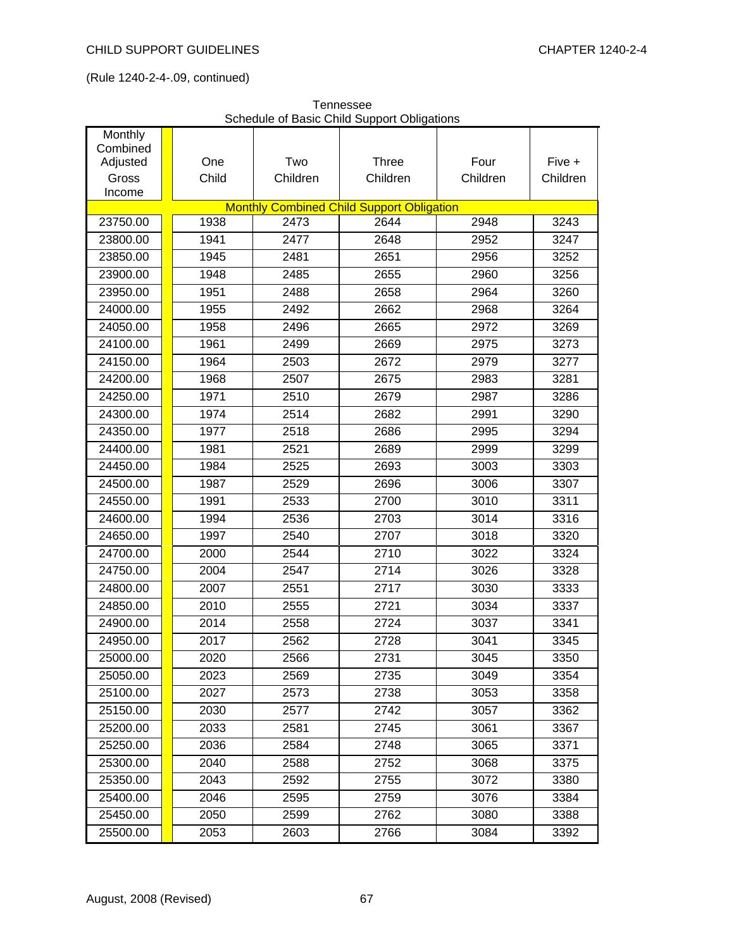| Monthly<br>Combined<br>Adjusted | One<br>Child | Two<br>Children | Three                                            | Four<br>Children | Five +   |
|---------------------------------|--------------|-----------------|--------------------------------------------------|------------------|----------|
| Gross<br>Income                 |              |                 | Children                                         |                  | Children |
|                                 |              |                 | <b>Monthly Combined Child Support Obligation</b> |                  |          |
| 23750.00                        | 1938         | 2473            | 2644                                             | 2948             | 3243     |
| 23800.00                        | 1941         | 2477            | 2648                                             | 2952             | 3247     |
| 23850.00                        | 1945         | 2481            | 2651                                             | 2956             | 3252     |
| 23900.00                        | 1948         | 2485            | 2655                                             | 2960             | 3256     |
| 23950.00                        | 1951         | 2488            | 2658                                             | 2964             | 3260     |
| 24000.00                        | 1955         | 2492            | 2662                                             | 2968             | 3264     |
| 24050.00                        | 1958         | 2496            | 2665                                             | 2972             | 3269     |
| 24100.00                        | 1961         | 2499            | 2669                                             | 2975             | 3273     |
| 24150.00                        | 1964         | 2503            | 2672                                             | 2979             | 3277     |
| 24200.00                        | 1968         | 2507            | 2675                                             | 2983             | 3281     |
| 24250.00                        | 1971         | 2510            | 2679                                             | 2987             | 3286     |
| 24300.00                        | 1974         | 2514            | 2682                                             | 2991             | 3290     |
| 24350.00                        | 1977         | 2518            | 2686                                             | 2995             | 3294     |
| 24400.00                        | 1981         | 2521            | 2689                                             | 2999             | 3299     |
| 24450.00                        | 1984         | 2525            | 2693                                             | 3003             | 3303     |
| 24500.00                        | 1987         | 2529            | 2696                                             | 3006             | 3307     |
| 24550.00                        | 1991         | 2533            | 2700                                             | 3010             | 3311     |
| 24600.00                        | 1994         | 2536            | 2703                                             | 3014             | 3316     |
| 24650.00                        | 1997         | 2540            | 2707                                             | 3018             | 3320     |
| 24700.00                        | 2000         | 2544            | 2710                                             | 3022             | 3324     |
| 24750.00                        | 2004         | 2547            | 2714                                             | 3026             | 3328     |
| 24800.00                        | 2007         | 2551            | 2717                                             | 3030             | 3333     |
| 24850.00                        | 2010         | 2555            | 2721                                             | 3034             | 3337     |
| 24900.00                        | 2014         | 2558            | 2724                                             | 3037             | 3341     |
| 24950.00                        | 2017         | 2562            | 2728                                             | 3041             | 3345     |
| 25000.00                        | 2020         | 2566            | 2731                                             | 3045             | 3350     |
| 25050.00                        | 2023         | 2569            | 2735                                             | 3049             | 3354     |
| 25100.00                        | 2027         | 2573            | 2738                                             | 3053             | 3358     |
| 25150.00                        | 2030         | 2577            | 2742                                             | 3057             | 3362     |
| 25200.00                        | 2033         | 2581            | 2745                                             | 3061             | 3367     |
| 25250.00                        | 2036         | 2584            | 2748                                             | 3065             | 3371     |
| 25300.00                        | 2040         | 2588            | 2752                                             | 3068             | 3375     |
| 25350.00                        | 2043         | 2592            | 2755                                             | 3072             | 3380     |
| 25400.00                        | 2046         | 2595            | 2759                                             | 3076             | 3384     |
| 25450.00                        | 2050         | 2599            | 2762                                             | 3080             | 3388     |
| 25500.00                        | 2053         | 2603            | 2766                                             | 3084             | 3392     |

Tennessee Schedule of Basic Child Support Obligations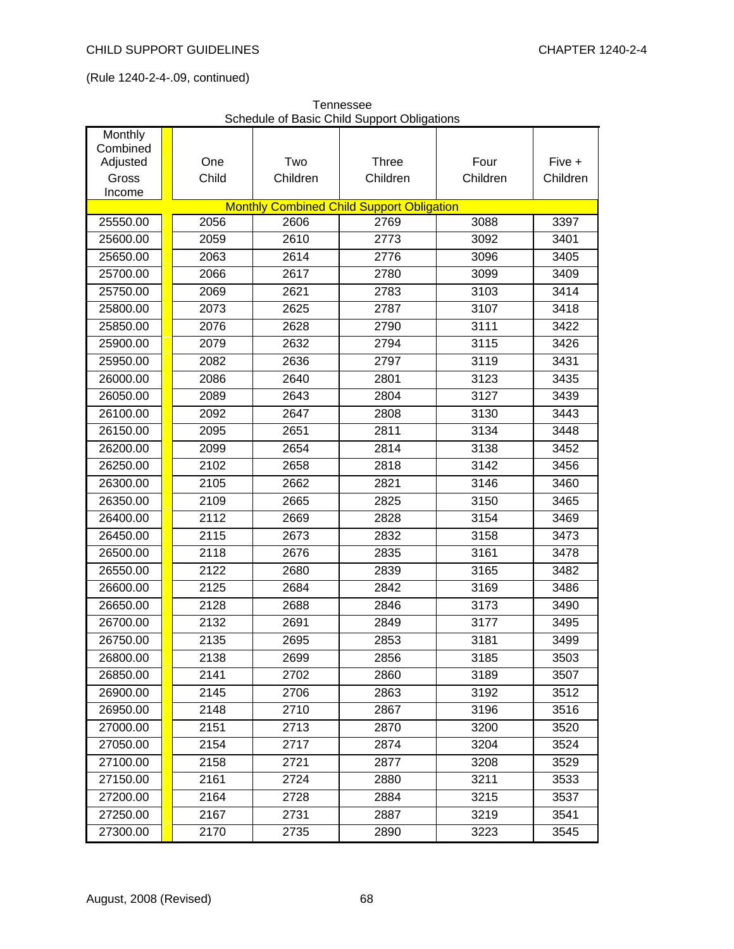| Monthly<br>Combined |       |          |                                                          |          |          |
|---------------------|-------|----------|----------------------------------------------------------|----------|----------|
| Adjusted            | One   | Two      | Three                                                    | Four     | Five +   |
| Gross               | Child | Children | Children                                                 | Children | Children |
| Income              |       |          |                                                          |          |          |
| 25550.00            | 2056  | 2606     | <b>Monthly Combined Child Support Obligation</b><br>2769 | 3088     | 3397     |
|                     |       |          |                                                          |          |          |
| 25600.00            | 2059  | 2610     | 2773                                                     | 3092     | 3401     |
| 25650.00            | 2063  | 2614     | 2776                                                     | 3096     | 3405     |
| 25700.00            | 2066  | 2617     | 2780                                                     | 3099     | 3409     |
| 25750.00            | 2069  | 2621     | 2783                                                     | 3103     | 3414     |
| 25800.00            | 2073  | 2625     | 2787                                                     | 3107     | 3418     |
| 25850.00            | 2076  | 2628     | 2790                                                     | 3111     | 3422     |
| 25900.00            | 2079  | 2632     | 2794                                                     | 3115     | 3426     |
| 25950.00            | 2082  | 2636     | 2797                                                     | 3119     | 3431     |
| 26000.00            | 2086  | 2640     | 2801                                                     | 3123     | 3435     |
| 26050.00            | 2089  | 2643     | 2804                                                     | 3127     | 3439     |
| 26100.00            | 2092  | 2647     | 2808                                                     | 3130     | 3443     |
| 26150.00            | 2095  | 2651     | 2811                                                     | 3134     | 3448     |
| 26200.00            | 2099  | 2654     | 2814                                                     | 3138     | 3452     |
| 26250.00            | 2102  | 2658     | 2818                                                     | 3142     | 3456     |
| 26300.00            | 2105  | 2662     | 2821                                                     | 3146     | 3460     |
| 26350.00            | 2109  | 2665     | 2825                                                     | 3150     | 3465     |
| 26400.00            | 2112  | 2669     | 2828                                                     | 3154     | 3469     |
| 26450.00            | 2115  | 2673     | 2832                                                     | 3158     | 3473     |
| 26500.00            | 2118  | 2676     | 2835                                                     | 3161     | 3478     |
| 26550.00            | 2122  | 2680     | 2839                                                     | 3165     | 3482     |
| 26600.00            | 2125  | 2684     | 2842                                                     | 3169     | 3486     |
| 26650.00            | 2128  | 2688     | 2846                                                     | 3173     | 3490     |
| 26700.00            | 2132  | 2691     | 2849                                                     | 3177     | 3495     |
| 26750.00            | 2135  | 2695     | 2853                                                     | 3181     | 3499     |
| 26800.00            | 2138  | 2699     | 2856                                                     | 3185     | 3503     |
| 26850.00            | 2141  | 2702     | 2860                                                     | 3189     | 3507     |
| 26900.00            | 2145  | 2706     | 2863                                                     | 3192     | 3512     |
| 26950.00            | 2148  | 2710     | 2867                                                     | 3196     | 3516     |
| 27000.00            | 2151  | 2713     | 2870                                                     | 3200     | 3520     |
| 27050.00            | 2154  | 2717     | 2874                                                     | 3204     | 3524     |
| 27100.00            | 2158  | 2721     | 2877                                                     | 3208     | 3529     |
| 27150.00            | 2161  | 2724     | 2880                                                     | 3211     | 3533     |
| 27200.00            | 2164  | 2728     | 2884                                                     | 3215     | 3537     |
| 27250.00            | 2167  | 2731     | 2887                                                     | 3219     | 3541     |
| 27300.00            | 2170  | 2735     | 2890                                                     | 3223     | 3545     |

| Tennessee                                   |
|---------------------------------------------|
| Schedule of Basic Child Support Obligations |